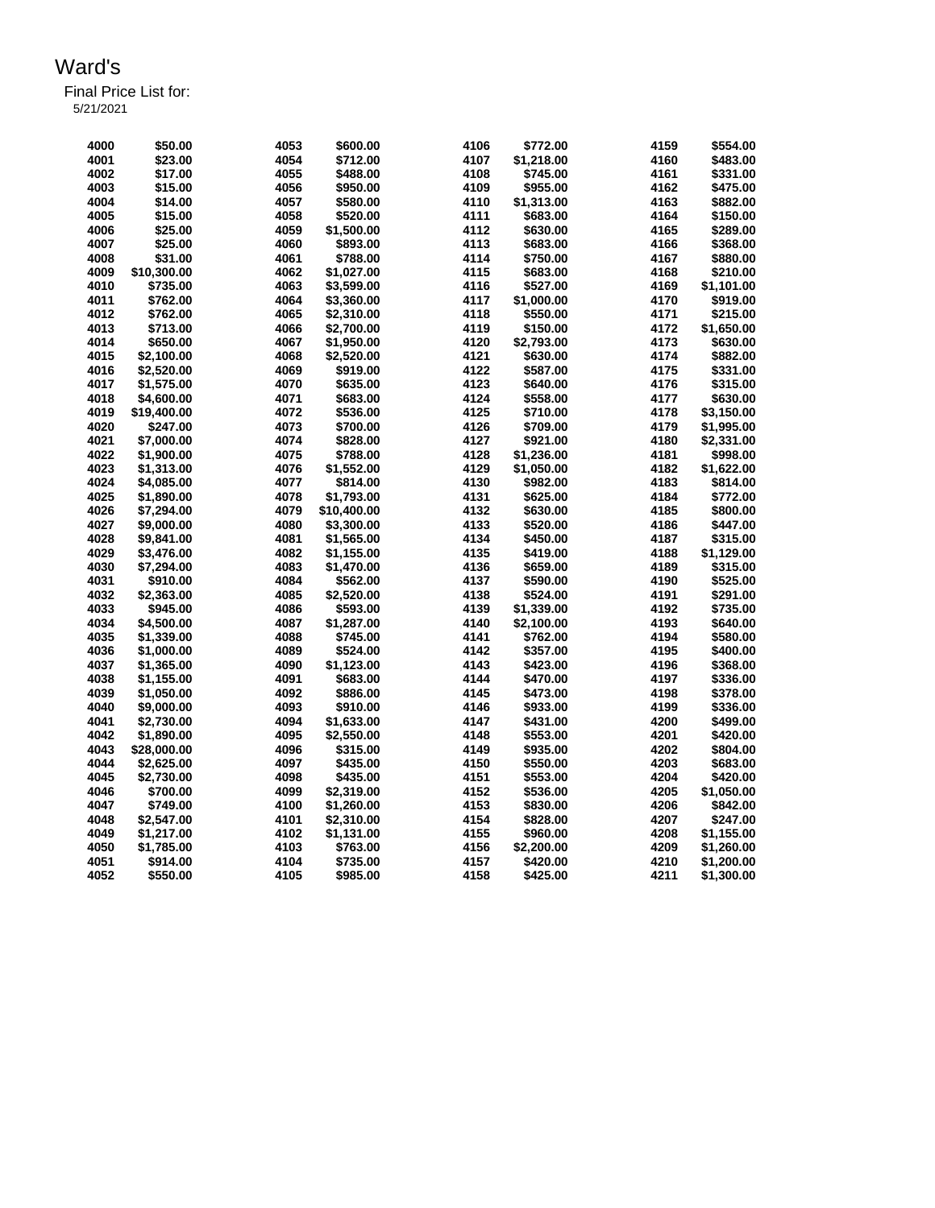Final Price List for:

5/21/2021

| 4000 | \$50.00     | 4053 | \$600.00    | 4106 | \$772.00   | 4159 | \$554.00   |
|------|-------------|------|-------------|------|------------|------|------------|
| 4001 | \$23.00     | 4054 | \$712.00    | 4107 | \$1,218.00 | 4160 | \$483.00   |
| 4002 | \$17.00     | 4055 | \$488.00    | 4108 | \$745.00   | 4161 | \$331.00   |
| 4003 | \$15.00     | 4056 | \$950.00    | 4109 | \$955.00   | 4162 | \$475.00   |
| 4004 | \$14.00     | 4057 | \$580.00    | 4110 | \$1,313.00 | 4163 | \$882.00   |
| 4005 | \$15.00     | 4058 | \$520.00    | 4111 | \$683.00   | 4164 | \$150.00   |
| 4006 | \$25.00     | 4059 | \$1,500.00  | 4112 | \$630.00   | 4165 | \$289.00   |
| 4007 | \$25.00     | 4060 | \$893.00    | 4113 | \$683.00   | 4166 | \$368.00   |
| 4008 | \$31.00     | 4061 | \$788.00    | 4114 | \$750.00   | 4167 | \$880.00   |
| 4009 | \$10,300.00 | 4062 | \$1,027.00  | 4115 | \$683.00   | 4168 | \$210.00   |
| 4010 |             | 4063 |             | 4116 |            |      |            |
|      | \$735.00    |      | \$3,599.00  |      | \$527.00   | 4169 | \$1,101.00 |
| 4011 | \$762.00    | 4064 | \$3,360.00  | 4117 | \$1,000.00 | 4170 | \$919.00   |
| 4012 | \$762.00    | 4065 | \$2,310.00  | 4118 | \$550.00   | 4171 | \$215.00   |
| 4013 | \$713.00    | 4066 | \$2,700.00  | 4119 | \$150.00   | 4172 | \$1,650.00 |
| 4014 | \$650.00    | 4067 | \$1,950.00  | 4120 | \$2,793.00 | 4173 | \$630.00   |
| 4015 | \$2,100.00  | 4068 | \$2,520.00  | 4121 | \$630.00   | 4174 | \$882.00   |
| 4016 | \$2,520.00  | 4069 | \$919.00    | 4122 | \$587.00   | 4175 | \$331.00   |
| 4017 | \$1,575.00  | 4070 | \$635.00    | 4123 | \$640.00   | 4176 | \$315.00   |
| 4018 | \$4,600.00  | 4071 | \$683.00    | 4124 | \$558.00   | 4177 | \$630.00   |
| 4019 | \$19,400.00 | 4072 | \$536.00    | 4125 | \$710.00   | 4178 | \$3,150.00 |
| 4020 | \$247.00    | 4073 | \$700.00    | 4126 | \$709.00   | 4179 | \$1,995.00 |
| 4021 | \$7,000.00  | 4074 | \$828.00    | 4127 | \$921.00   | 4180 | \$2,331.00 |
| 4022 | \$1,900.00  | 4075 | \$788.00    | 4128 | \$1,236.00 | 4181 | \$998.00   |
| 4023 | \$1,313.00  | 4076 | \$1,552.00  | 4129 | \$1,050.00 | 4182 | \$1,622.00 |
| 4024 | \$4,085.00  | 4077 | \$814.00    | 4130 | \$982.00   | 4183 | \$814.00   |
| 4025 | \$1,890.00  | 4078 | \$1,793.00  | 4131 | \$625.00   | 4184 | \$772.00   |
| 4026 | \$7,294.00  | 4079 | \$10,400.00 | 4132 | \$630.00   | 4185 | \$800.00   |
| 4027 | \$9,000.00  | 4080 | \$3,300.00  | 4133 | \$520.00   | 4186 | \$447.00   |
| 4028 | \$9,841.00  | 4081 | \$1,565.00  | 4134 | \$450.00   | 4187 | \$315.00   |
| 4029 | \$3,476.00  | 4082 | \$1,155.00  | 4135 | \$419.00   | 4188 | \$1,129.00 |
| 4030 | \$7,294.00  | 4083 | \$1,470.00  | 4136 | \$659.00   | 4189 | \$315.00   |
| 4031 | \$910.00    | 4084 | \$562.00    | 4137 | \$590.00   | 4190 | \$525.00   |
| 4032 | \$2,363,00  | 4085 | \$2,520.00  | 4138 | \$524.00   | 4191 | \$291.00   |
| 4033 | \$945.00    | 4086 | \$593.00    | 4139 | \$1,339.00 | 4192 | \$735.00   |
| 4034 | \$4,500.00  | 4087 | \$1,287.00  | 4140 | \$2,100.00 | 4193 | \$640.00   |
| 4035 | \$1,339.00  | 4088 | \$745.00    | 4141 | \$762.00   | 4194 | \$580.00   |
| 4036 | \$1,000.00  | 4089 | \$524.00    | 4142 | \$357.00   | 4195 | \$400.00   |
| 4037 | \$1,365.00  | 4090 | \$1,123.00  | 4143 | \$423.00   | 4196 | \$368.00   |
| 4038 | \$1,155.00  | 4091 | \$683.00    | 4144 | \$470.00   | 4197 | \$336.00   |
| 4039 | \$1,050.00  | 4092 | \$886.00    | 4145 | \$473.00   | 4198 | \$378.00   |
| 4040 | \$9,000.00  | 4093 | \$910.00    | 4146 | \$933.00   | 4199 | \$336.00   |
| 4041 | \$2,730.00  | 4094 | \$1,633.00  | 4147 | \$431.00   | 4200 | \$499.00   |
| 4042 |             | 4095 |             | 4148 |            | 4201 |            |
|      | \$1,890.00  |      | \$2,550.00  |      | \$553.00   |      | \$420.00   |
| 4043 | \$28,000.00 | 4096 | \$315.00    | 4149 | \$935.00   | 4202 | \$804.00   |
| 4044 | \$2,625.00  | 4097 | \$435.00    | 4150 | \$550.00   | 4203 | \$683.00   |
| 4045 | \$2,730.00  | 4098 | \$435.00    | 4151 | \$553.00   | 4204 | \$420.00   |
| 4046 | \$700.00    | 4099 | \$2,319.00  | 4152 | \$536.00   | 4205 | \$1,050.00 |
| 4047 | \$749.00    | 4100 | \$1,260.00  | 4153 | \$830.00   | 4206 | \$842.00   |
| 4048 | \$2,547.00  | 4101 | \$2,310.00  | 4154 | \$828.00   | 4207 | \$247.00   |
| 4049 | \$1,217.00  | 4102 | \$1,131.00  | 4155 | \$960.00   | 4208 | \$1,155.00 |
| 4050 | \$1,785.00  | 4103 | \$763.00    | 4156 | \$2,200.00 | 4209 | \$1,260.00 |
| 4051 | \$914.00    | 4104 | \$735.00    | 4157 | \$420.00   | 4210 | \$1,200.00 |
| 4052 | \$550.00    | 4105 | \$985.00    | 4158 | \$425.00   | 4211 | \$1,300.00 |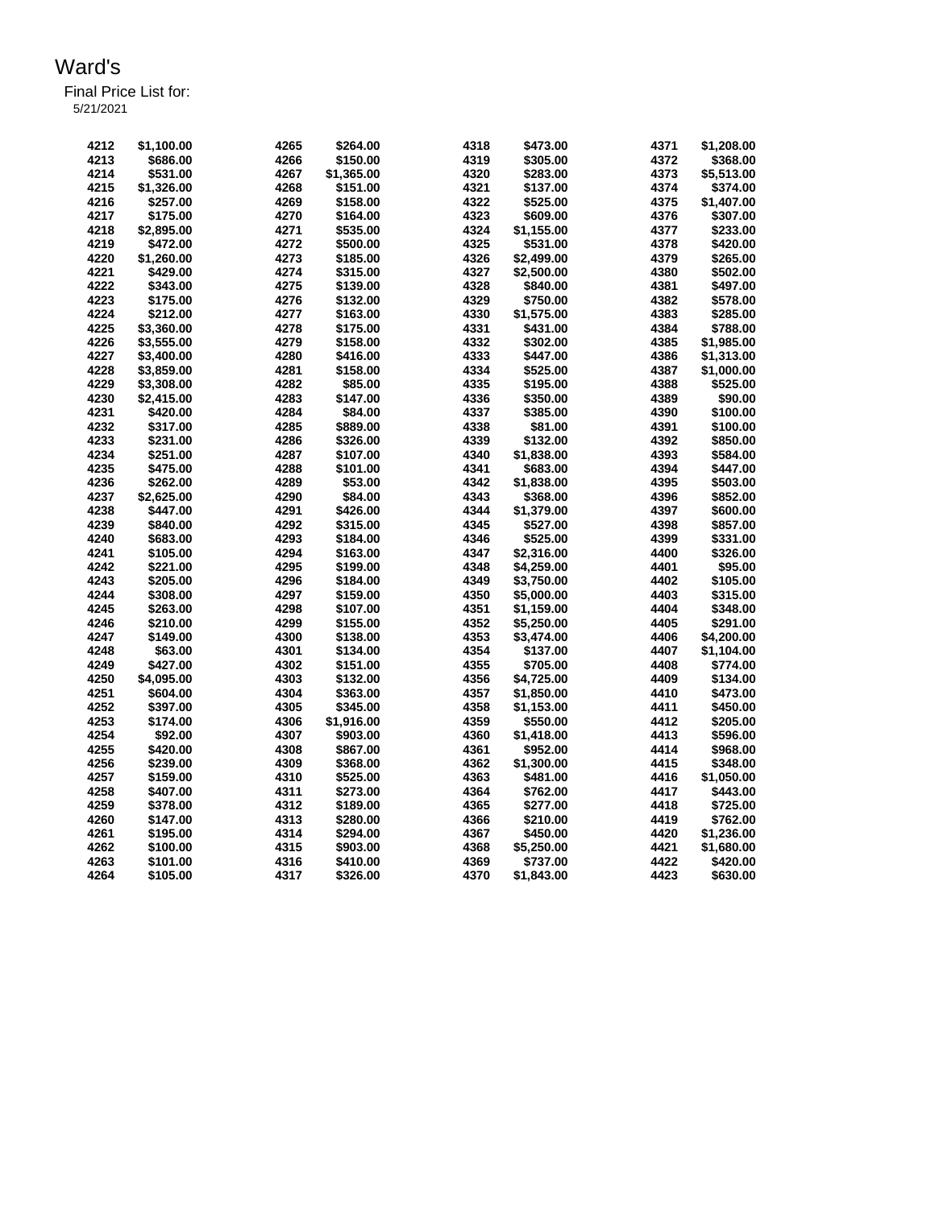| 4212 | \$1,100.00 | 4265 | \$264.00   | 4318 | \$473.00   | 4371 | \$1,208.00 |
|------|------------|------|------------|------|------------|------|------------|
| 4213 | \$686.00   | 4266 | \$150.00   | 4319 | \$305.00   | 4372 | \$368.00   |
| 4214 | \$531.00   | 4267 | \$1,365.00 | 4320 | \$283.00   | 4373 | \$5,513.00 |
| 4215 | \$1,326.00 | 4268 | \$151.00   | 4321 | \$137.00   | 4374 | \$374.00   |
| 4216 | \$257.00   | 4269 | \$158.00   | 4322 | \$525.00   | 4375 | \$1,407.00 |
| 4217 | \$175.00   | 4270 | \$164.00   | 4323 | \$609.00   | 4376 | \$307.00   |
| 4218 | \$2,895.00 | 4271 | \$535.00   | 4324 | \$1,155.00 | 4377 | \$233.00   |
| 4219 | \$472.00   | 4272 | \$500.00   | 4325 | \$531.00   | 4378 | \$420.00   |
| 4220 | \$1,260.00 | 4273 | \$185.00   | 4326 | \$2,499.00 | 4379 | \$265.00   |
| 4221 | \$429.00   | 4274 | \$315.00   | 4327 | \$2,500.00 | 4380 | \$502.00   |
| 4222 | \$343.00   | 4275 | \$139.00   | 4328 | \$840.00   | 4381 | \$497.00   |
| 4223 | \$175.00   | 4276 | \$132.00   | 4329 | \$750.00   | 4382 | \$578.00   |
| 4224 | \$212.00   | 4277 | \$163.00   | 4330 | \$1,575.00 | 4383 | \$285.00   |
| 4225 | \$3,360.00 | 4278 | \$175.00   | 4331 | \$431.00   | 4384 | \$788.00   |
| 4226 | \$3,555.00 | 4279 | \$158.00   | 4332 | \$302.00   | 4385 | \$1,985.00 |
| 4227 | \$3.400.00 | 4280 | \$416.00   | 4333 | \$447.00   | 4386 | \$1,313.00 |
| 4228 | \$3,859.00 | 4281 | \$158.00   | 4334 | \$525.00   | 4387 | \$1,000.00 |
| 4229 | \$3,308.00 | 4282 | \$85.00    | 4335 | \$195.00   | 4388 | \$525.00   |
| 4230 | \$2,415.00 | 4283 | \$147.00   | 4336 | \$350.00   | 4389 | \$90.00    |
| 4231 | \$420.00   | 4284 | \$84.00    | 4337 | \$385.00   | 4390 | \$100.00   |
| 4232 | \$317.00   | 4285 | \$889.00   | 4338 | \$81.00    | 4391 | \$100.00   |
| 4233 | \$231.00   | 4286 | \$326.00   | 4339 | \$132.00   | 4392 | \$850.00   |
| 4234 |            |      |            | 4340 |            |      |            |
|      | \$251.00   | 4287 | \$107.00   |      | \$1,838.00 | 4393 | \$584.00   |
| 4235 | \$475.00   | 4288 | \$101.00   | 4341 | \$683.00   | 4394 | \$447.00   |
| 4236 | \$262.00   | 4289 | \$53.00    | 4342 | \$1,838.00 | 4395 | \$503.00   |
| 4237 | \$2,625.00 | 4290 | \$84.00    | 4343 | \$368.00   | 4396 | \$852.00   |
| 4238 | \$447.00   | 4291 | \$426.00   | 4344 | \$1,379.00 | 4397 | \$600.00   |
| 4239 | \$840.00   | 4292 | \$315.00   | 4345 | \$527.00   | 4398 | \$857.00   |
| 4240 | \$683.00   | 4293 | \$184.00   | 4346 | \$525.00   | 4399 | \$331.00   |
| 4241 | \$105.00   | 4294 | \$163.00   | 4347 | \$2,316.00 | 4400 | \$326.00   |
| 4242 | \$221.00   | 4295 | \$199.00   | 4348 | \$4,259.00 | 4401 | \$95.00    |
| 4243 | \$205.00   | 4296 | \$184.00   | 4349 | \$3,750.00 | 4402 | \$105.00   |
| 4244 | \$308.00   | 4297 | \$159.00   | 4350 | \$5,000.00 | 4403 | \$315.00   |
| 4245 | \$263.00   | 4298 | \$107.00   | 4351 | \$1,159.00 | 4404 | \$348.00   |
| 4246 | \$210.00   | 4299 | \$155.00   | 4352 | \$5,250.00 | 4405 | \$291.00   |
| 4247 | \$149.00   | 4300 | \$138.00   | 4353 | \$3,474.00 | 4406 | \$4,200.00 |
| 4248 | \$63.00    | 4301 | \$134.00   | 4354 | \$137.00   | 4407 | \$1,104.00 |
| 4249 | \$427.00   | 4302 | \$151.00   | 4355 | \$705.00   | 4408 | \$774.00   |
| 4250 | \$4,095.00 | 4303 | \$132.00   | 4356 | \$4,725.00 | 4409 | \$134.00   |
| 4251 | \$604.00   | 4304 | \$363.00   | 4357 | \$1,850.00 | 4410 | \$473.00   |
| 4252 | \$397.00   | 4305 | \$345.00   | 4358 | \$1,153.00 | 4411 | \$450.00   |
| 4253 | \$174.00   | 4306 | \$1,916.00 | 4359 | \$550.00   | 4412 | \$205.00   |
| 4254 | \$92.00    | 4307 | \$903.00   | 4360 | \$1,418.00 | 4413 | \$596.00   |
| 4255 | \$420.00   | 4308 | \$867.00   | 4361 | \$952.00   | 4414 | \$968.00   |
| 4256 | \$239.00   | 4309 | \$368.00   | 4362 | \$1,300.00 | 4415 | \$348.00   |
| 4257 | \$159.00   | 4310 | \$525.00   | 4363 | \$481.00   | 4416 | \$1,050.00 |
| 4258 | \$407.00   | 4311 | \$273.00   | 4364 | \$762.00   | 4417 | \$443.00   |
| 4259 | \$378.00   | 4312 | \$189.00   | 4365 | \$277.00   | 4418 | \$725.00   |
| 4260 | \$147.00   | 4313 | \$280.00   | 4366 | \$210.00   | 4419 | \$762.00   |
| 4261 | \$195.00   | 4314 | \$294.00   | 4367 | \$450.00   | 4420 | \$1,236.00 |
| 4262 | \$100.00   | 4315 | \$903.00   | 4368 | \$5,250.00 | 4421 | \$1,680.00 |
| 4263 | \$101.00   | 4316 | \$410.00   | 4369 | \$737.00   | 4422 | \$420.00   |
| 4264 | \$105.00   | 4317 | \$326.00   | 4370 | \$1,843.00 | 4423 | \$630.00   |
|      |            |      |            |      |            |      |            |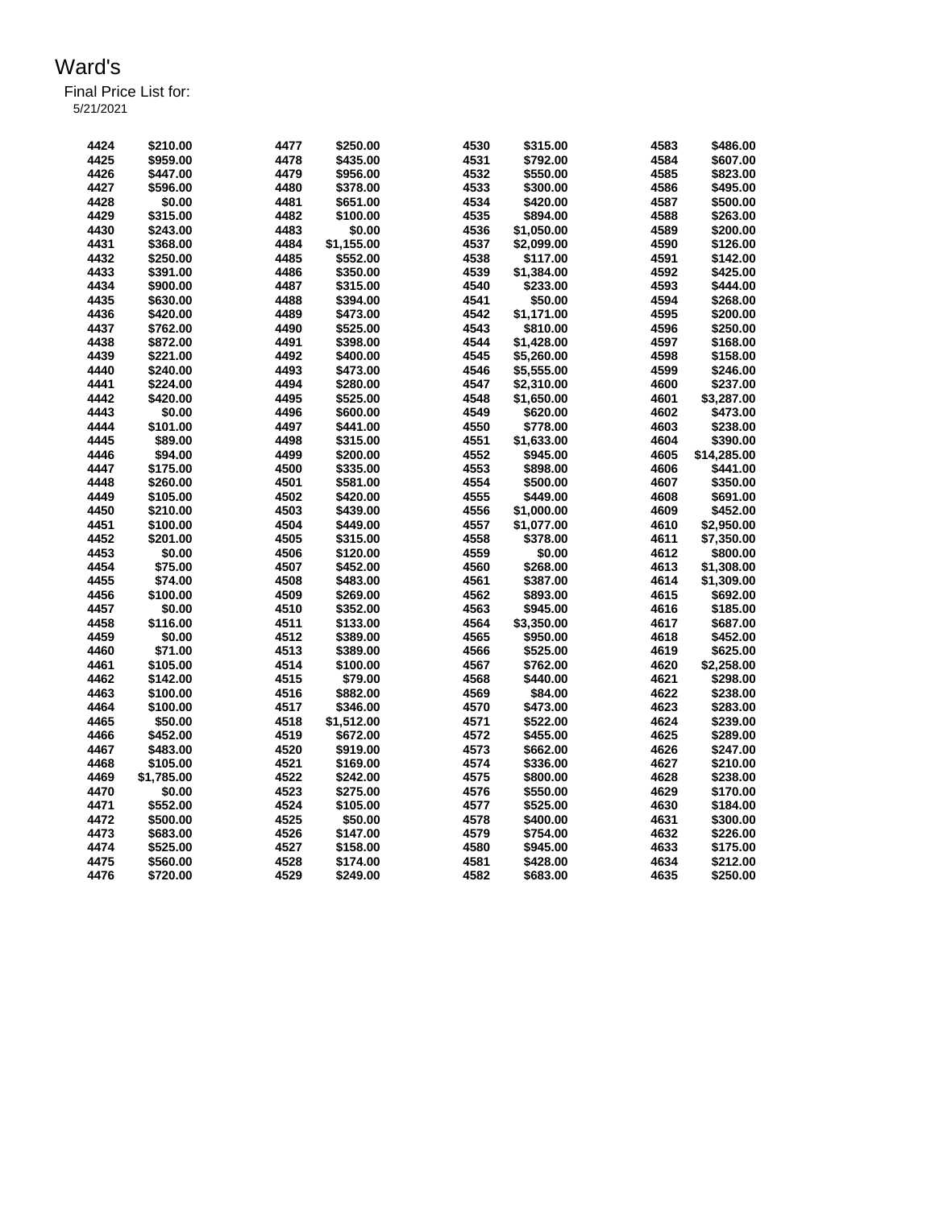| 4424 | \$210.00   | 4477 | \$250.00   | 4530 | \$315.00   | 4583 | \$486.00    |
|------|------------|------|------------|------|------------|------|-------------|
| 4425 | \$959.00   | 4478 | \$435.00   | 4531 | \$792.00   | 4584 | \$607.00    |
| 4426 | \$447.00   | 4479 | \$956.00   | 4532 | \$550.00   | 4585 | \$823.00    |
| 4427 | \$596.00   | 4480 | \$378.00   | 4533 | \$300.00   | 4586 | \$495.00    |
| 4428 | \$0.00     | 4481 | \$651.00   | 4534 | \$420.00   | 4587 | \$500.00    |
| 4429 | \$315.00   | 4482 | \$100.00   | 4535 | \$894.00   | 4588 | \$263.00    |
| 4430 | \$243.00   | 4483 | \$0.00     | 4536 | \$1,050.00 | 4589 | \$200.00    |
| 4431 | \$368.00   | 4484 | \$1,155.00 | 4537 | \$2,099.00 | 4590 | \$126.00    |
| 4432 | \$250.00   | 4485 | \$552.00   | 4538 | \$117.00   | 4591 | \$142.00    |
| 4433 | \$391.00   | 4486 | \$350.00   | 4539 | \$1,384.00 | 4592 | \$425.00    |
| 4434 | \$900.00   | 4487 | \$315.00   | 4540 | \$233.00   | 4593 | \$444.00    |
| 4435 | \$630.00   | 4488 | \$394.00   | 4541 | \$50.00    | 4594 | \$268.00    |
| 4436 | \$420.00   | 4489 | \$473.00   | 4542 | \$1,171.00 | 4595 | \$200.00    |
| 4437 | \$762.00   | 4490 | \$525.00   | 4543 | \$810.00   | 4596 | \$250.00    |
| 4438 | \$872.00   | 4491 | \$398.00   | 4544 | \$1,428.00 | 4597 | \$168.00    |
| 4439 | \$221.00   | 4492 | \$400.00   | 4545 | \$5,260.00 | 4598 | \$158.00    |
| 4440 | \$240.00   | 4493 | \$473.00   | 4546 | \$5,555.00 | 4599 | \$246.00    |
| 4441 | \$224.00   | 4494 | \$280.00   | 4547 | \$2,310.00 | 4600 | \$237.00    |
| 4442 | \$420.00   | 4495 | \$525.00   | 4548 | \$1,650.00 | 4601 | \$3,287.00  |
| 4443 | \$0.00     | 4496 | \$600.00   | 4549 | \$620.00   | 4602 | \$473.00    |
| 4444 | \$101.00   | 4497 | \$441.00   | 4550 | \$778.00   | 4603 | \$238.00    |
| 4445 | \$89.00    | 4498 | \$315.00   | 4551 | \$1,633.00 | 4604 | \$390.00    |
| 4446 | \$94.00    | 4499 | \$200.00   | 4552 | \$945.00   | 4605 | \$14,285.00 |
| 4447 | \$175.00   | 4500 | \$335.00   | 4553 | \$898.00   | 4606 | \$441.00    |
| 4448 | \$260.00   | 4501 | \$581.00   | 4554 | \$500.00   | 4607 | \$350.00    |
| 4449 | \$105.00   | 4502 | \$420.00   | 4555 | \$449.00   | 4608 | \$691.00    |
| 4450 | \$210.00   | 4503 | \$439.00   | 4556 | \$1,000.00 | 4609 | \$452.00    |
| 4451 | \$100.00   | 4504 | \$449.00   | 4557 | \$1,077.00 | 4610 | \$2,950.00  |
| 4452 | \$201.00   | 4505 | \$315.00   | 4558 | \$378.00   | 4611 | \$7,350.00  |
| 4453 | \$0.00     | 4506 | \$120.00   | 4559 | \$0.00     | 4612 | \$800.00    |
| 4454 | \$75.00    | 4507 | \$452.00   | 4560 | \$268.00   | 4613 | \$1,308.00  |
| 4455 | \$74.00    | 4508 | \$483.00   | 4561 | \$387.00   | 4614 | \$1,309.00  |
| 4456 | \$100.00   | 4509 | \$269.00   | 4562 | \$893.00   | 4615 | \$692.00    |
| 4457 | \$0.00     | 4510 | \$352.00   | 4563 | \$945.00   | 4616 | \$185.00    |
| 4458 | \$116.00   | 4511 | \$133.00   | 4564 | \$3,350.00 | 4617 | \$687.00    |
| 4459 | \$0.00     | 4512 | \$389.00   | 4565 | \$950.00   | 4618 | \$452.00    |
| 4460 | \$71.00    | 4513 | \$389.00   | 4566 | \$525.00   | 4619 | \$625.00    |
| 4461 | \$105.00   | 4514 | \$100.00   | 4567 | \$762.00   | 4620 | \$2,258.00  |
| 4462 | \$142.00   | 4515 | \$79.00    | 4568 | \$440.00   | 4621 | \$298.00    |
| 4463 | \$100.00   | 4516 | \$882.00   | 4569 | \$84.00    | 4622 | \$238.00    |
| 4464 | \$100.00   | 4517 | \$346.00   | 4570 | \$473.00   | 4623 | \$283.00    |
| 4465 | \$50.00    | 4518 | \$1,512.00 | 4571 | \$522.00   | 4624 | \$239.00    |
| 4466 | \$452.00   | 4519 | \$672.00   | 4572 | \$455.00   | 4625 | \$289.00    |
| 4467 | \$483.00   | 4520 | \$919.00   | 4573 | \$662.00   | 4626 | \$247.00    |
| 4468 | \$105.00   | 4521 | \$169.00   | 4574 | \$336.00   | 4627 | \$210.00    |
| 4469 | \$1,785.00 | 4522 | \$242.00   | 4575 | \$800.00   | 4628 | \$238.00    |
| 4470 | \$0.00     | 4523 | \$275.00   | 4576 | \$550.00   | 4629 | \$170.00    |
| 4471 | \$552.00   | 4524 | \$105.00   | 4577 | \$525.00   | 4630 | \$184.00    |
| 4472 | \$500.00   | 4525 | \$50.00    | 4578 | \$400.00   | 4631 | \$300.00    |
| 4473 | \$683.00   | 4526 | \$147.00   | 4579 | \$754.00   | 4632 | \$226.00    |
| 4474 | \$525.00   | 4527 | \$158.00   | 4580 | \$945.00   | 4633 | \$175.00    |
| 4475 | \$560.00   | 4528 | \$174.00   | 4581 | \$428.00   | 4634 | \$212.00    |
| 4476 | \$720.00   | 4529 | \$249.00   | 4582 | \$683.00   | 4635 | \$250.00    |
|      |            |      |            |      |            |      |             |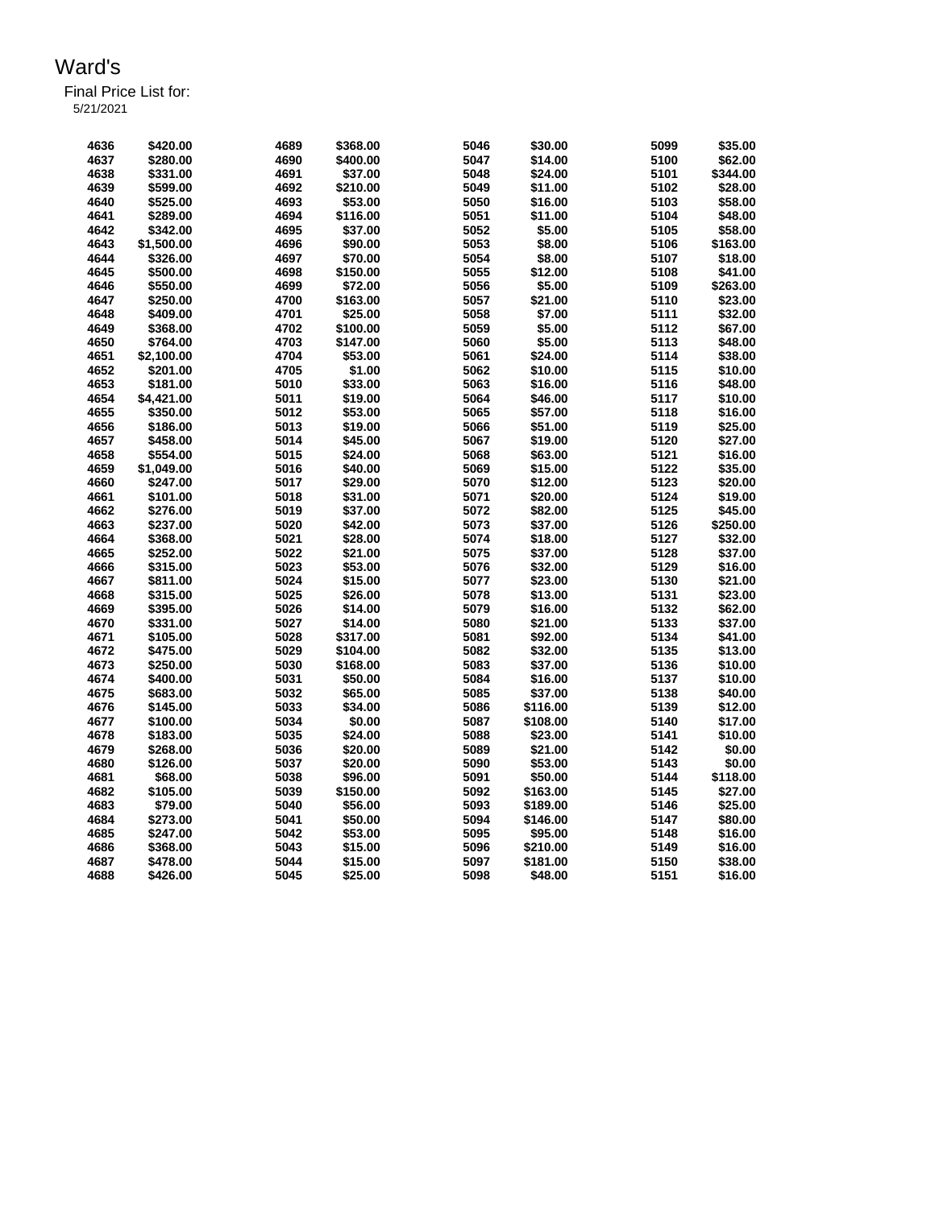Final Price List for: 5/21/2021

> **\$420.00 4689 \$368.00 5046 \$30.00 5099 \$35.00 \$280.00 4690 \$400.00 5047 \$14.00 5100 \$62.00 \$331.00 4691 \$37.00 5048 \$24.00 5101 \$344.00 \$599.00 4692 \$210.00 5049 \$11.00 5102 \$28.00 \$525.00 4693 \$53.00 5050 \$16.00 5103 \$58.00 \$289.00 4694 \$116.00 5051 \$11.00 5104 \$48.00 \$342.00 4695 \$37.00 5052 \$5.00 5105 \$58.00 \$1,500.00 4696 \$90.00 5053 \$8.00 5106 \$163.00 \$326.00 4697 \$70.00 5054 \$8.00 5107 \$18.00 \$500.00 4698 \$150.00 5055 \$12.00 5108 \$41.00 \$550.00 4699 \$72.00 5056 \$5.00 5109 \$263.00 \$250.00 4700 \$163.00 5057 \$21.00 5110 \$23.00 \$409.00 4701 \$25.00 5058 \$7.00 5111 \$32.00 \$368.00 4702 \$100.00 5059 \$5.00 5112 \$67.00 \$764.00 4703 \$147.00 5060 \$5.00 5113 \$48.00 \$2,100.00 4704 \$53.00 5061 \$24.00 5114 \$38.00 \$201.00 4705 \$1.00 5062 \$10.00 5115 \$10.00 \$181.00 5010 \$33.00 5063 \$16.00 5116 \$48.00 \$4,421.00 5011 \$19.00 5064 \$46.00 5117 \$10.00 \$350.00 5012 \$53.00 5065 \$57.00 5118 \$16.00 \$186.00 5013 \$19.00 5066 \$51.00 5119 \$25.00 \$458.00 5014 \$45.00 5067 \$19.00 5120 \$27.00 \$554.00 5015 \$24.00 5068 \$63.00 5121 \$16.00 \$1,049.00 5016 \$40.00 5069 \$15.00 5122 \$35.00 \$247.00 5017 \$29.00 5070 \$12.00 5123 \$20.00 \$101.00 5018 \$31.00 5071 \$20.00 5124 \$19.00 \$276.00 5019 \$37.00 5072 \$82.00 5125 \$45.00 \$237.00 5020 \$42.00 5073 \$37.00 5126 \$250.00 \$368.00 5021 \$28.00 5074 \$18.00 5127 \$32.00 \$252.00 5022 \$21.00 5075 \$37.00 5128 \$37.00 \$315.00 5023 \$53.00 5076 \$32.00 5129 \$16.00 \$811.00 5024 \$15.00 5077 \$23.00 5130 \$21.00 \$315.00 5025 \$26.00 5078 \$13.00 5131 \$23.00 \$395.00 5026 \$14.00 5079 \$16.00 5132 \$62.00 \$331.00 5027 \$14.00 5080 \$21.00 5133 \$37.00 \$105.00 5028 \$317.00 5081 \$92.00 5134 \$41.00 \$475.00 5029 \$104.00 5082 \$32.00 5135 \$13.00 \$250.00 5030 \$168.00 5083 \$37.00 5136 \$10.00 \$400.00 5031 \$50.00 5084 \$16.00 5137 \$10.00 \$683.00 5032 \$65.00 5085 \$37.00 5138 \$40.00 \$145.00 5033 \$34.00 5086 \$116.00 5139 \$12.00 \$100.00 5034 \$0.00 5087 \$108.00 5140 \$17.00 \$183.00 5035 \$24.00 5088 \$23.00 5141 \$10.00 \$268.00 5036 \$20.00 5089 \$21.00 5142 \$0.00 \$126.00 5037 \$20.00 5090 \$53.00 5143 \$0.00 \$68.00 5038 \$96.00 5091 \$50.00 5144 \$118.00 \$105.00 5039 \$150.00 5092 \$163.00 5145 \$27.00 \$79.00 5040 \$56.00 5093 \$189.00 5146 \$25.00 \$273.00 5041 \$50.00 5094 \$146.00 5147 \$80.00 \$247.00 5042 \$53.00 5095 \$95.00 5148 \$16.00 \$368.00 5043 \$15.00 5096 \$210.00 5149 \$16.00 \$478.00 5044 \$15.00 5097 \$181.00 5150 \$38.00 \$426.00 5045 \$25.00 5098 \$48.00 5151 \$16.00**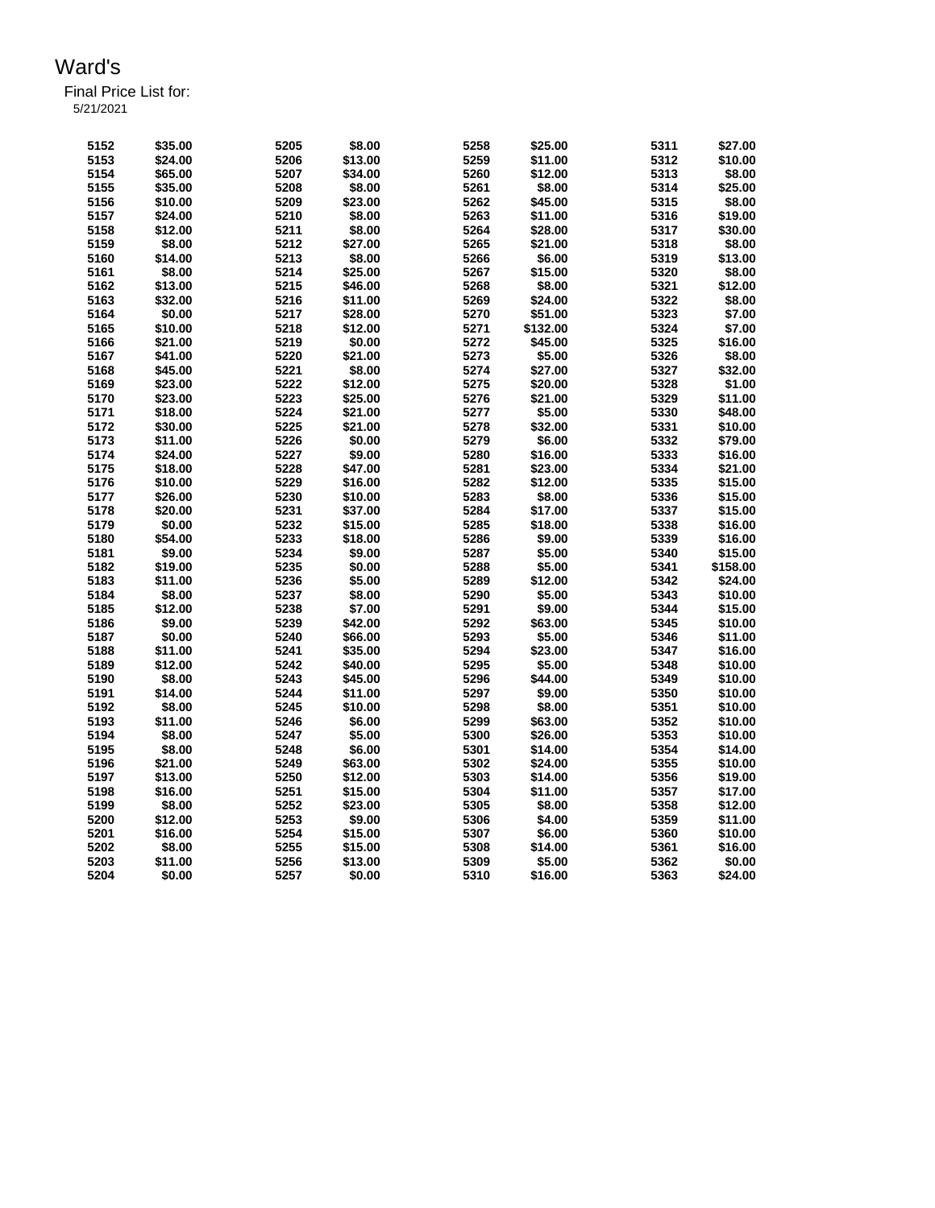Final Price List for: 5/21/2021

> **\$35.00 5205 \$8.00 5258 \$25.00 5311 \$27.00 \$24.00 5206 \$13.00 5259 \$11.00 5312 \$10.00 \$65.00 5207 \$34.00 5260 \$12.00 5313 \$8.00 \$35.00 5208 \$8.00 5261 \$8.00 5314 \$25.00 \$10.00 5209 \$23.00 5262 \$45.00 5315 \$8.00 \$24.00 5210 \$8.00 5263 \$11.00 5316 \$19.00 \$12.00 5211 \$8.00 5264 \$28.00 5317 \$30.00 \$8.00 5212 \$27.00 5265 \$21.00 5318 \$8.00 \$14.00 5213 \$8.00 5266 \$6.00 5319 \$13.00 \$8.00 5214 \$25.00 5267 \$15.00 5320 \$8.00 \$13.00 5215 \$46.00 5268 \$8.00 5321 \$12.00 \$32.00 5216 \$11.00 5269 \$24.00 5322 \$8.00 \$0.00 5217 \$28.00 5270 \$51.00 5323 \$7.00 \$10.00 5218 \$12.00 5271 \$132.00 5324 \$7.00 \$21.00 5219 \$0.00 5272 \$45.00 5325 \$16.00 \$41.00 5220 \$21.00 5273 \$5.00 5326 \$8.00 \$45.00 5221 \$8.00 5274 \$27.00 5327 \$32.00 \$23.00 5222 \$12.00 5275 \$20.00 5328 \$1.00 \$23.00 5223 \$25.00 5276 \$21.00 5329 \$11.00 \$18.00 5224 \$21.00 5277 \$5.00 5330 \$48.00 \$30.00 5225 \$21.00 5278 \$32.00 5331 \$10.00 \$11.00 5226 \$0.00 5279 \$6.00 5332 \$79.00 \$24.00 5227 \$9.00 5280 \$16.00 5333 \$16.00 \$18.00 5228 \$47.00 5281 \$23.00 5334 \$21.00 \$10.00 5229 \$16.00 5282 \$12.00 5335 \$15.00 \$26.00 5230 \$10.00 5283 \$8.00 5336 \$15.00 \$20.00 5231 \$37.00 5284 \$17.00 5337 \$15.00 \$0.00 5232 \$15.00 5285 \$18.00 5338 \$16.00 \$54.00 5233 \$18.00 5286 \$9.00 5339 \$16.00 \$9.00 5234 \$9.00 5287 \$5.00 5340 \$15.00 \$19.00 5235 \$0.00 5288 \$5.00 5341 \$158.00 \$11.00 5236 \$5.00 5289 \$12.00 5342 \$24.00 \$8.00 5237 \$8.00 5290 \$5.00 5343 \$10.00 \$12.00 5238 \$7.00 5291 \$9.00 5344 \$15.00 \$9.00 5239 \$42.00 5292 \$63.00 5345 \$10.00 \$0.00 5240 \$66.00 5293 \$5.00 5346 \$11.00 \$11.00 5241 \$35.00 5294 \$23.00 5347 \$16.00 \$12.00 5242 \$40.00 5295 \$5.00 5348 \$10.00 \$8.00 5243 \$45.00 5296 \$44.00 5349 \$10.00 \$14.00 5244 \$11.00 5297 \$9.00 5350 \$10.00 \$8.00 5245 \$10.00 5298 \$8.00 5351 \$10.00 \$11.00 5246 \$6.00 5299 \$63.00 5352 \$10.00 \$8.00 5247 \$5.00 5300 \$26.00 5353 \$10.00 \$8.00 5248 \$6.00 5301 \$14.00 5354 \$14.00 \$21.00 5249 \$63.00 5302 \$24.00 5355 \$10.00 \$13.00 5250 \$12.00 5303 \$14.00 5356 \$19.00 \$16.00 5251 \$15.00 5304 \$11.00 5357 \$17.00 \$8.00 5252 \$23.00 5305 \$8.00 5358 \$12.00 \$12.00 5253 \$9.00 5306 \$4.00 5359 \$11.00 \$16.00 5254 \$15.00 5307 \$6.00 5360 \$10.00 \$8.00 5255 \$15.00 5308 \$14.00 5361 \$16.00 \$11.00 5256 \$13.00 5309 \$5.00 5362 \$0.00 \$0.00 5257 \$0.00 5310 \$16.00 5363 \$24.00**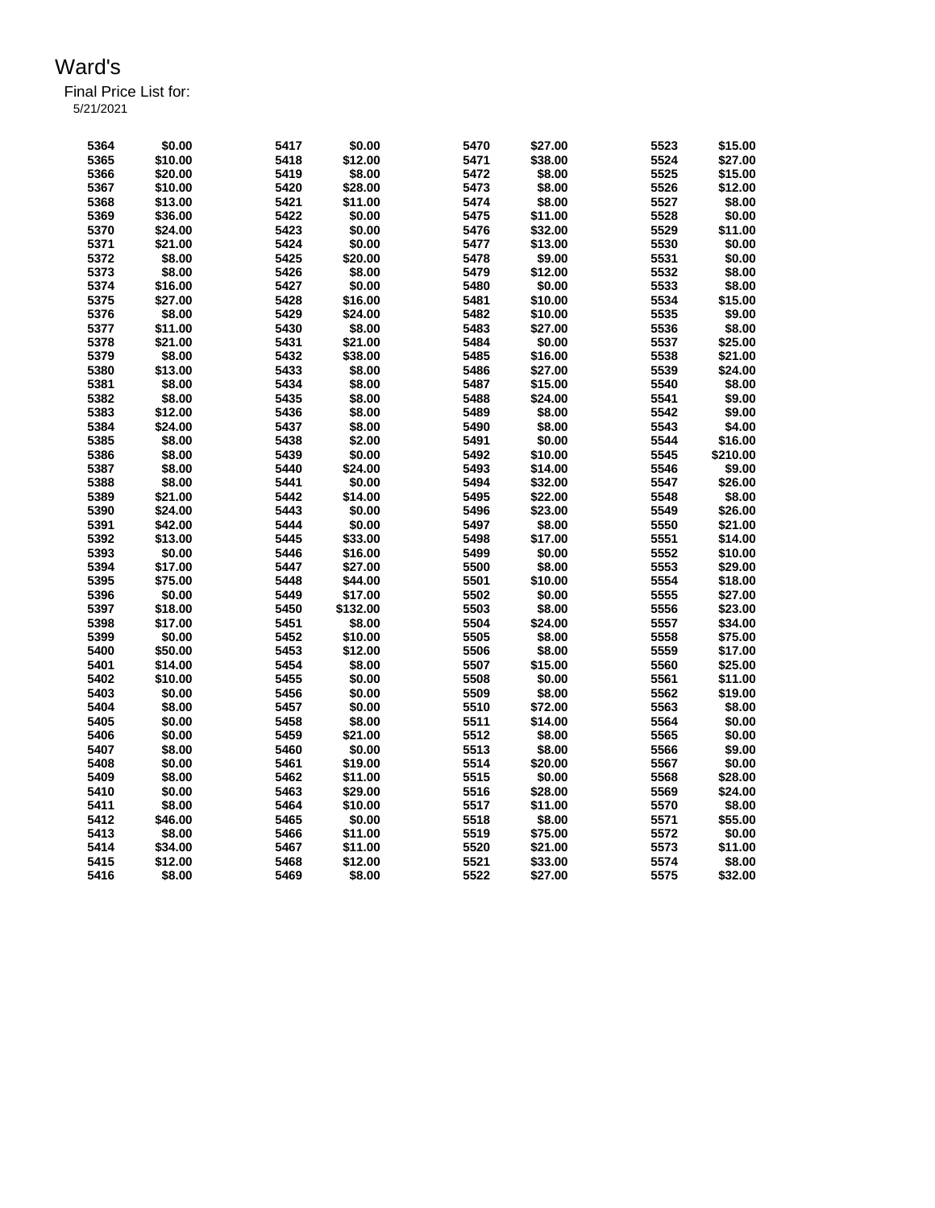Final Price List for:

5/21/2021

| 5364 | \$0.00  | 5417 | \$0.00   | 5470 | \$27.00 | 5523 | \$15.00  |
|------|---------|------|----------|------|---------|------|----------|
| 5365 | \$10.00 | 5418 | \$12.00  | 5471 | \$38.00 | 5524 | \$27.00  |
| 5366 | \$20.00 | 5419 | \$8.00   | 5472 | \$8.00  | 5525 | \$15.00  |
| 5367 | \$10.00 | 5420 | \$28.00  | 5473 | \$8.00  | 5526 | \$12.00  |
| 5368 | \$13.00 | 5421 | \$11.00  | 5474 | \$8.00  | 5527 | \$8.00   |
| 5369 | \$36.00 | 5422 | \$0.00   | 5475 | \$11.00 | 5528 | \$0.00   |
| 5370 | \$24.00 | 5423 | \$0.00   | 5476 | \$32.00 | 5529 | \$11.00  |
| 5371 | \$21.00 | 5424 | \$0.00   | 5477 | \$13.00 | 5530 | \$0.00   |
| 5372 | \$8.00  | 5425 | \$20.00  | 5478 | \$9.00  | 5531 | \$0.00   |
| 5373 | \$8.00  | 5426 | \$8.00   | 5479 | \$12.00 | 5532 | \$8.00   |
| 5374 | \$16.00 | 5427 | \$0.00   | 5480 | \$0.00  | 5533 | \$8.00   |
| 5375 | \$27.00 | 5428 | \$16.00  | 5481 | \$10.00 | 5534 | \$15.00  |
|      |         |      |          |      |         |      |          |
| 5376 | \$8.00  | 5429 | \$24.00  | 5482 | \$10.00 | 5535 | \$9.00   |
| 5377 | \$11.00 | 5430 | \$8.00   | 5483 | \$27.00 | 5536 | \$8.00   |
| 5378 | \$21.00 | 5431 | \$21.00  | 5484 | \$0.00  | 5537 | \$25.00  |
| 5379 | \$8.00  | 5432 | \$38.00  | 5485 | \$16.00 | 5538 | \$21.00  |
| 5380 | \$13.00 | 5433 | \$8.00   | 5486 | \$27.00 | 5539 | \$24.00  |
| 5381 | \$8.00  | 5434 | \$8.00   | 5487 | \$15.00 | 5540 | \$8.00   |
| 5382 | \$8.00  | 5435 | \$8.00   | 5488 | \$24.00 | 5541 | \$9.00   |
| 5383 | \$12.00 | 5436 | \$8.00   | 5489 | \$8.00  | 5542 | \$9.00   |
| 5384 | \$24.00 | 5437 | \$8.00   | 5490 | \$8.00  | 5543 | \$4.00   |
| 5385 | \$8.00  | 5438 | \$2.00   | 5491 | \$0.00  | 5544 | \$16.00  |
| 5386 | \$8.00  | 5439 | \$0.00   | 5492 | \$10.00 | 5545 | \$210.00 |
| 5387 | \$8.00  | 5440 | \$24.00  | 5493 | \$14.00 | 5546 | \$9.00   |
| 5388 | \$8.00  | 5441 | \$0.00   | 5494 | \$32.00 | 5547 | \$26.00  |
| 5389 | \$21.00 | 5442 | \$14.00  | 5495 | \$22.00 | 5548 | \$8.00   |
| 5390 | \$24.00 | 5443 | \$0.00   | 5496 | \$23.00 | 5549 | \$26.00  |
| 5391 | \$42.00 | 5444 | \$0.00   | 5497 | \$8.00  | 5550 | \$21.00  |
| 5392 | \$13.00 | 5445 | \$33.00  | 5498 | \$17.00 | 5551 | \$14.00  |
| 5393 | \$0.00  | 5446 | \$16.00  | 5499 | \$0.00  | 5552 | \$10.00  |
| 5394 | \$17.00 | 5447 | \$27.00  | 5500 | \$8.00  | 5553 | \$29.00  |
| 5395 | \$75.00 | 5448 | \$44.00  | 5501 | \$10.00 | 5554 | \$18.00  |
| 5396 | \$0.00  | 5449 | \$17.00  | 5502 | \$0.00  | 5555 | \$27.00  |
| 5397 | \$18.00 | 5450 | \$132.00 | 5503 | \$8.00  | 5556 | \$23.00  |
|      |         |      |          |      |         |      |          |
| 5398 | \$17.00 | 5451 | \$8.00   | 5504 | \$24.00 | 5557 | \$34.00  |
| 5399 | \$0.00  | 5452 | \$10.00  | 5505 | \$8.00  | 5558 | \$75.00  |
| 5400 | \$50.00 | 5453 | \$12.00  | 5506 | \$8.00  | 5559 | \$17.00  |
| 5401 | \$14.00 | 5454 | \$8.00   | 5507 | \$15.00 | 5560 | \$25.00  |
| 5402 | \$10.00 | 5455 | \$0.00   | 5508 | \$0.00  | 5561 | \$11.00  |
| 5403 | \$0.00  | 5456 | \$0.00   | 5509 | \$8.00  | 5562 | \$19.00  |
| 5404 | \$8.00  | 5457 | \$0.00   | 5510 | \$72.00 | 5563 | \$8.00   |
| 5405 | \$0.00  | 5458 | \$8.00   | 5511 | \$14.00 | 5564 | \$0.00   |
| 5406 | \$0.00  | 5459 | \$21.00  | 5512 | \$8.00  | 5565 | \$0.00   |
| 5407 | \$8.00  | 5460 | \$0.00   | 5513 | \$8.00  | 5566 | \$9.00   |
| 5408 | \$0.00  | 5461 | \$19.00  | 5514 | \$20.00 | 5567 | \$0.00   |
| 5409 | \$8.00  | 5462 | \$11.00  | 5515 | \$0.00  | 5568 | \$28.00  |
| 5410 | \$0.00  | 5463 | \$29.00  | 5516 | \$28.00 | 5569 | \$24.00  |
| 5411 | \$8.00  | 5464 | \$10.00  | 5517 | \$11.00 | 5570 | \$8.00   |
| 5412 | \$46.00 | 5465 | \$0.00   | 5518 | \$8.00  | 5571 | \$55.00  |
| 5413 | \$8.00  | 5466 | \$11.00  | 5519 | \$75.00 | 5572 | \$0.00   |
| 5414 | \$34.00 | 5467 | \$11.00  | 5520 | \$21.00 | 5573 | \$11.00  |
| 5415 | \$12.00 | 5468 | \$12.00  | 5521 | \$33.00 | 5574 | \$8.00   |
| 5416 | \$8.00  | 5469 | \$8.00   | 5522 | \$27.00 | 5575 | \$32.00  |
|      |         |      |          |      |         |      |          |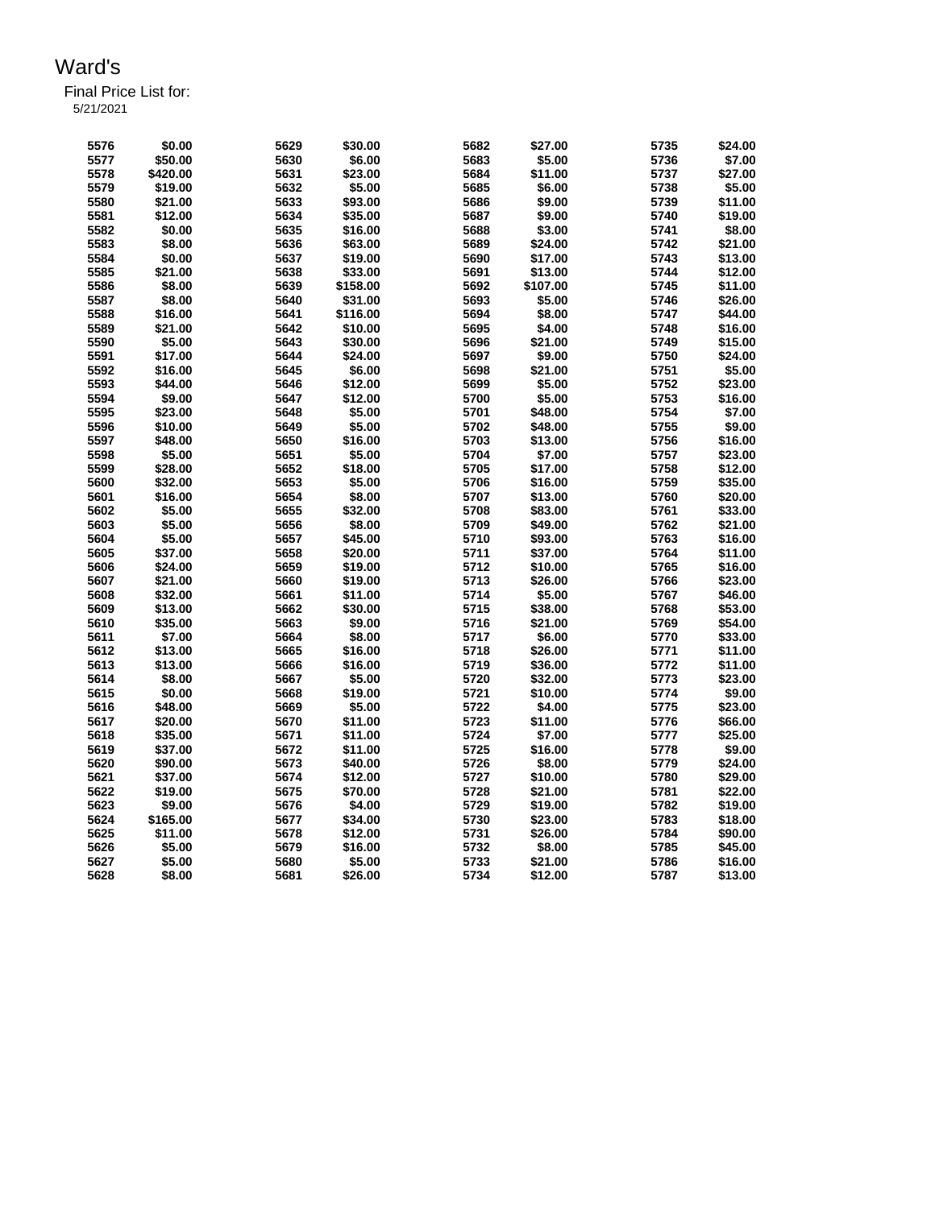Final Price List for: 5/21/2021

> **\$0.00 5629 \$30.00 5682 \$27.00 5735 \$24.00 \$50.00 5630 \$6.00 5683 \$5.00 5736 \$7.00 \$420.00 5631 \$23.00 5684 \$11.00 5737 \$27.00 \$19.00 5632 \$5.00 5685 \$6.00 5738 \$5.00 \$21.00 5633 \$93.00 5686 \$9.00 5739 \$11.00 \$12.00 5634 \$35.00 5687 \$9.00 5740 \$19.00 \$0.00 5635 \$16.00 5688 \$3.00 5741 \$8.00 \$8.00 5636 \$63.00 5689 \$24.00 5742 \$21.00 \$0.00 5637 \$19.00 5690 \$17.00 5743 \$13.00 \$21.00 5638 \$33.00 5691 \$13.00 5744 \$12.00 \$8.00 5639 \$158.00 5692 \$107.00 5745 \$11.00 \$8.00 5640 \$31.00 5693 \$5.00 5746 \$26.00 \$16.00 5641 \$116.00 5694 \$8.00 5747 \$44.00 \$21.00 5642 \$10.00 5695 \$4.00 5748 \$16.00 \$5.00 5643 \$30.00 5696 \$21.00 5749 \$15.00 \$17.00 5644 \$24.00 5697 \$9.00 5750 \$24.00 \$16.00 5645 \$6.00 5698 \$21.00 5751 \$5.00 \$44.00 5646 \$12.00 5699 \$5.00 5752 \$23.00 \$9.00 5647 \$12.00 5700 \$5.00 5753 \$16.00 \$23.00 5648 \$5.00 5701 \$48.00 5754 \$7.00 \$10.00 5649 \$5.00 5702 \$48.00 5755 \$9.00 \$48.00 5650 \$16.00 5703 \$13.00 5756 \$16.00 \$5.00 5651 \$5.00 5704 \$7.00 5757 \$23.00 \$28.00 5652 \$18.00 5705 \$17.00 5758 \$12.00 \$32.00 5653 \$5.00 5706 \$16.00 5759 \$35.00 \$16.00 5654 \$8.00 5707 \$13.00 5760 \$20.00 \$5.00 5655 \$32.00 5708 \$83.00 5761 \$33.00 \$5.00 5656 \$8.00 5709 \$49.00 5762 \$21.00 \$5.00 5657 \$45.00 5710 \$93.00 5763 \$16.00 \$37.00 5658 \$20.00 5711 \$37.00 5764 \$11.00 \$24.00 5659 \$19.00 5712 \$10.00 5765 \$16.00 \$21.00 5660 \$19.00 5713 \$26.00 5766 \$23.00 \$32.00 5661 \$11.00 5714 \$5.00 5767 \$46.00 \$13.00 5662 \$30.00 5715 \$38.00 5768 \$53.00 \$35.00 5663 \$9.00 5716 \$21.00 5769 \$54.00 \$7.00 5664 \$8.00 5717 \$6.00 5770 \$33.00 \$13.00 5665 \$16.00 5718 \$26.00 5771 \$11.00 \$13.00 5666 \$16.00 5719 \$36.00 5772 \$11.00 \$8.00 5667 \$5.00 5720 \$32.00 5773 \$23.00 \$0.00 5668 \$19.00 5721 \$10.00 5774 \$9.00 \$48.00 5669 \$5.00 5722 \$4.00 5775 \$23.00 \$20.00 5670 \$11.00 5723 \$11.00 5776 \$66.00 \$35.00 5671 \$11.00 5724 \$7.00 5777 \$25.00 \$37.00 5672 \$11.00 5725 \$16.00 5778 \$9.00 \$90.00 5673 \$40.00 5726 \$8.00 5779 \$24.00 \$37.00 5674 \$12.00 5727 \$10.00 5780 \$29.00 \$19.00 5675 \$70.00 5728 \$21.00 5781 \$22.00 \$9.00 5676 \$4.00 5729 \$19.00 5782 \$19.00 \$165.00 5677 \$34.00 5730 \$23.00 5783 \$18.00 \$11.00 5678 \$12.00 5731 \$26.00 5784 \$90.00 \$5.00 5679 \$16.00 5732 \$8.00 5785 \$45.00**

> **\$5.00 5680 \$5.00 5733 \$21.00 5786 \$16.00 \$8.00 5681 \$26.00 5734 \$12.00 5787 \$13.00**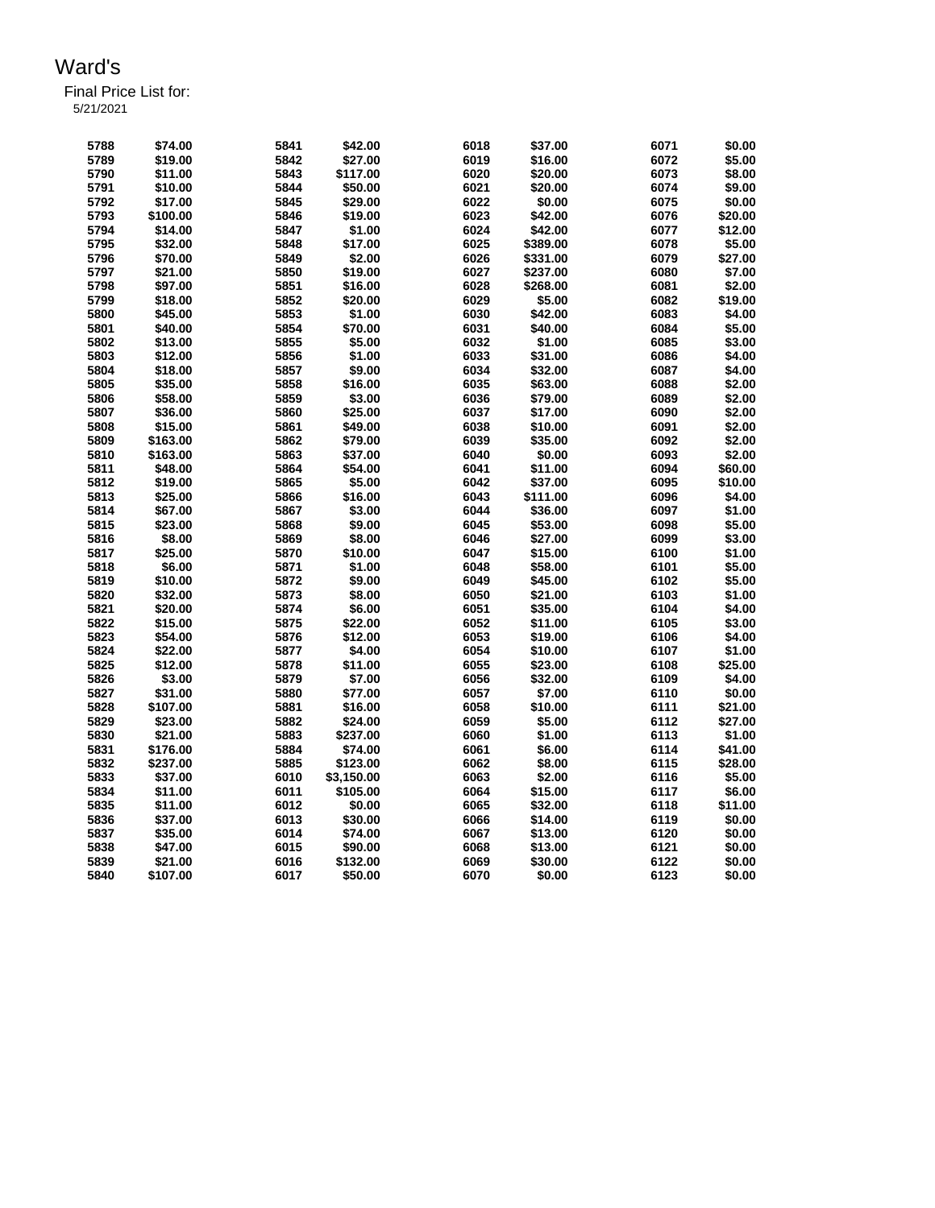Final Price List for: 5/21/2021

> **\$74.00 5841 \$42.00 6018 \$37.00 6071 \$0.00 \$19.00 5842 \$27.00 6019 \$16.00 6072 \$5.00 \$11.00 5843 \$117.00 6020 \$20.00 6073 \$8.00 \$10.00 5844 \$50.00 6021 \$20.00 6074 \$9.00 \$17.00 5845 \$29.00 6022 \$0.00 6075 \$0.00 \$100.00 5846 \$19.00 6023 \$42.00 6076 \$20.00 \$14.00 5847 \$1.00 6024 \$42.00 6077 \$12.00 \$32.00 5848 \$17.00 6025 \$389.00 6078 \$5.00 \$70.00 5849 \$2.00 6026 \$331.00 6079 \$27.00 \$21.00 5850 \$19.00 6027 \$237.00 6080 \$7.00 \$97.00 5851 \$16.00 6028 \$268.00 6081 \$2.00 \$18.00 5852 \$20.00 6029 \$5.00 6082 \$19.00 \$45.00 5853 \$1.00 6030 \$42.00 6083 \$4.00 \$40.00 5854 \$70.00 6031 \$40.00 6084 \$5.00 \$13.00 5855 \$5.00 6032 \$1.00 6085 \$3.00 \$12.00 5856 \$1.00 6033 \$31.00 6086 \$4.00 \$18.00 5857 \$9.00 6034 \$32.00 6087 \$4.00 \$35.00 5858 \$16.00 6035 \$63.00 6088 \$2.00 \$58.00 5859 \$3.00 6036 \$79.00 6089 \$2.00 \$36.00 5860 \$25.00 6037 \$17.00 6090 \$2.00 \$15.00 5861 \$49.00 6038 \$10.00 6091 \$2.00 \$163.00 5862 \$79.00 6039 \$35.00 6092 \$2.00 \$163.00 5863 \$37.00 6040 \$0.00 6093 \$2.00 \$48.00 5864 \$54.00 6041 \$11.00 6094 \$60.00 \$19.00 5865 \$5.00 6042 \$37.00 6095 \$10.00 \$25.00 5866 \$16.00 6043 \$111.00 6096 \$4.00 \$67.00 5867 \$3.00 6044 \$36.00 6097 \$1.00 \$23.00 5868 \$9.00 6045 \$53.00 6098 \$5.00 \$8.00 5869 \$8.00 6046 \$27.00 6099 \$3.00 \$25.00 5870 \$10.00 6047 \$15.00 6100 \$1.00 \$6.00 5871 \$1.00 6048 \$58.00 6101 \$5.00 \$10.00 5872 \$9.00 6049 \$45.00 6102 \$5.00 \$32.00 5873 \$8.00 6050 \$21.00 6103 \$1.00 \$20.00 5874 \$6.00 6051 \$35.00 6104 \$4.00 \$15.00 5875 \$22.00 6052 \$11.00 6105 \$3.00 \$54.00 5876 \$12.00 6053 \$19.00 6106 \$4.00 \$22.00 5877 \$4.00 6054 \$10.00 6107 \$1.00 \$12.00 5878 \$11.00 6055 \$23.00 6108 \$25.00 \$3.00 5879 \$7.00 6056 \$32.00 6109 \$4.00 \$31.00 5880 \$77.00 6057 \$7.00 6110 \$0.00 \$107.00 5881 \$16.00 6058 \$10.00 6111 \$21.00 \$23.00 5882 \$24.00 6059 \$5.00 6112 \$27.00 \$21.00 5883 \$237.00 6060 \$1.00 6113 \$1.00 \$176.00 5884 \$74.00 6061 \$6.00 6114 \$41.00 \$237.00 5885 \$123.00 6062 \$8.00 6115 \$28.00 \$37.00 6010 \$3,150.00 6063 \$2.00 6116 \$5.00 \$11.00 6011 \$105.00 6064 \$15.00 6117 \$6.00 \$11.00 6012 \$0.00 6065 \$32.00 6118 \$11.00 \$37.00 6013 \$30.00 6066 \$14.00 6119 \$0.00 \$35.00 6014 \$74.00 6067 \$13.00 6120 \$0.00 \$47.00 6015 \$90.00 6068 \$13.00 6121 \$0.00 \$21.00 6016 \$132.00 6069 \$30.00 6122 \$0.00 \$107.00 6017 \$50.00 6070 \$0.00 6123 \$0.00**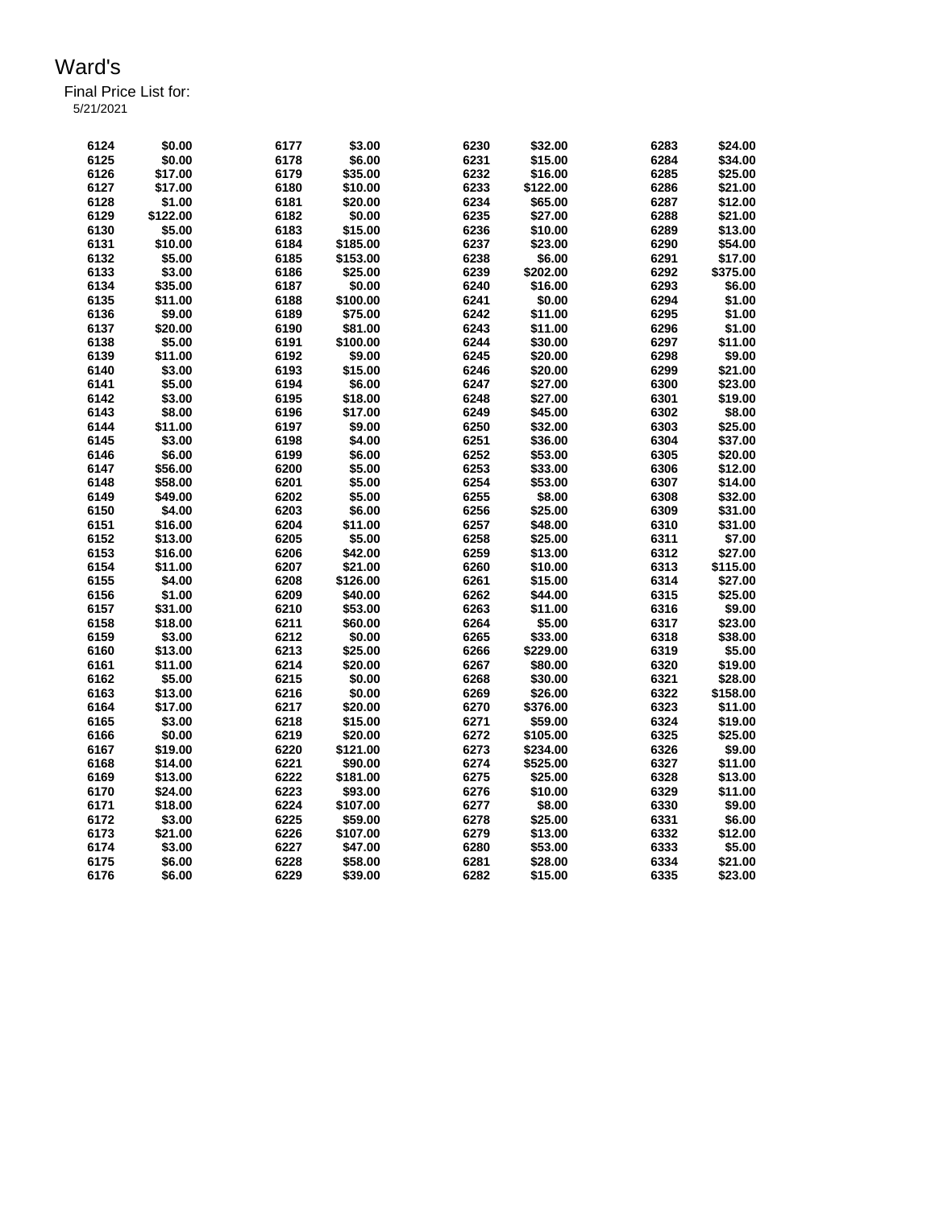Final Price List for:

5/21/2021

| 6124 | \$0.00   | 6177 | \$3.00   | 6230 | \$32.00  | 6283 | \$24.00  |
|------|----------|------|----------|------|----------|------|----------|
| 6125 |          | 6178 | \$6.00   | 6231 |          |      |          |
|      | \$0.00   |      |          |      | \$15.00  | 6284 | \$34.00  |
| 6126 | \$17.00  | 6179 | \$35.00  | 6232 | \$16.00  | 6285 | \$25.00  |
| 6127 | \$17.00  | 6180 | \$10.00  | 6233 | \$122.00 | 6286 | \$21.00  |
| 6128 | \$1.00   | 6181 | \$20.00  | 6234 | \$65.00  | 6287 | \$12.00  |
| 6129 | \$122.00 | 6182 | \$0.00   | 6235 | \$27.00  | 6288 | \$21.00  |
| 6130 | \$5.00   | 6183 | \$15.00  | 6236 | \$10.00  | 6289 | \$13.00  |
| 6131 | \$10.00  | 6184 | \$185.00 | 6237 | \$23.00  | 6290 | \$54.00  |
| 6132 | \$5.00   | 6185 | \$153.00 | 6238 | \$6.00   | 6291 | \$17.00  |
| 6133 | \$3.00   | 6186 | \$25.00  | 6239 | \$202.00 | 6292 | \$375.00 |
| 6134 | \$35.00  | 6187 | \$0.00   | 6240 | \$16.00  | 6293 | \$6.00   |
| 6135 | \$11.00  | 6188 | \$100.00 | 6241 | \$0.00   | 6294 | \$1.00   |
| 6136 | \$9.00   | 6189 | \$75.00  | 6242 | \$11.00  | 6295 | \$1.00   |
| 6137 | \$20.00  | 6190 | \$81.00  | 6243 | \$11.00  | 6296 | \$1.00   |
| 6138 | \$5.00   | 6191 | \$100.00 | 6244 | \$30.00  | 6297 | \$11.00  |
|      |          |      |          |      |          |      |          |
| 6139 | \$11.00  | 6192 | \$9.00   | 6245 | \$20.00  | 6298 | \$9.00   |
| 6140 | \$3.00   | 6193 | \$15.00  | 6246 | \$20.00  | 6299 | \$21.00  |
| 6141 | \$5.00   | 6194 | \$6.00   | 6247 | \$27.00  | 6300 | \$23.00  |
| 6142 | \$3.00   | 6195 | \$18.00  | 6248 | \$27.00  | 6301 | \$19.00  |
| 6143 | \$8.00   | 6196 | \$17.00  | 6249 | \$45.00  | 6302 | \$8.00   |
| 6144 | \$11.00  | 6197 | \$9.00   | 6250 | \$32.00  | 6303 | \$25.00  |
| 6145 | \$3.00   | 6198 | \$4.00   | 6251 | \$36.00  | 6304 | \$37.00  |
| 6146 | \$6.00   | 6199 | \$6.00   | 6252 | \$53.00  | 6305 | \$20.00  |
| 6147 | \$56.00  | 6200 | \$5.00   | 6253 | \$33.00  | 6306 | \$12.00  |
| 6148 | \$58.00  | 6201 | \$5.00   | 6254 | \$53.00  | 6307 | \$14.00  |
| 6149 | \$49.00  | 6202 | \$5.00   | 6255 | \$8.00   | 6308 | \$32.00  |
| 6150 | \$4.00   | 6203 | \$6.00   | 6256 | \$25.00  | 6309 | \$31.00  |
| 6151 | \$16.00  | 6204 | \$11.00  | 6257 | \$48.00  | 6310 | \$31.00  |
| 6152 | \$13.00  | 6205 | \$5.00   | 6258 | \$25.00  | 6311 | \$7.00   |
| 6153 | \$16.00  | 6206 | \$42.00  | 6259 | \$13.00  | 6312 | \$27.00  |
| 6154 | \$11.00  | 6207 | \$21.00  | 6260 | \$10.00  | 6313 | \$115.00 |
|      |          |      |          |      |          | 6314 |          |
| 6155 | \$4.00   | 6208 | \$126.00 | 6261 | \$15.00  |      | \$27.00  |
| 6156 | \$1.00   | 6209 | \$40.00  | 6262 | \$44.00  | 6315 | \$25.00  |
| 6157 | \$31.00  | 6210 | \$53.00  | 6263 | \$11.00  | 6316 | \$9.00   |
| 6158 | \$18.00  | 6211 | \$60.00  | 6264 | \$5.00   | 6317 | \$23.00  |
| 6159 | \$3.00   | 6212 | \$0.00   | 6265 | \$33.00  | 6318 | \$38.00  |
| 6160 | \$13.00  | 6213 | \$25.00  | 6266 | \$229.00 | 6319 | \$5.00   |
| 6161 | \$11.00  | 6214 | \$20.00  | 6267 | \$80.00  | 6320 | \$19.00  |
| 6162 | \$5.00   | 6215 | \$0.00   | 6268 | \$30.00  | 6321 | \$28.00  |
| 6163 | \$13.00  | 6216 | \$0.00   | 6269 | \$26.00  | 6322 | \$158.00 |
| 6164 | \$17.00  | 6217 | \$20.00  | 6270 | \$376.00 | 6323 | \$11.00  |
| 6165 | \$3.00   | 6218 | \$15.00  | 6271 | \$59.00  | 6324 | \$19.00  |
| 6166 | \$0.00   | 6219 | \$20.00  | 6272 | \$105.00 | 6325 | \$25.00  |
| 6167 | \$19.00  | 6220 | \$121.00 | 6273 | \$234.00 | 6326 | \$9.00   |
| 6168 | \$14.00  | 6221 | \$90.00  | 6274 | \$525.00 | 6327 | \$11.00  |
| 6169 | \$13.00  | 6222 | \$181.00 | 6275 | \$25.00  | 6328 | \$13.00  |
| 6170 | \$24.00  | 6223 | \$93.00  | 6276 | \$10.00  | 6329 | \$11.00  |
|      | \$18.00  | 6224 | \$107.00 | 6277 | \$8.00   | 6330 |          |
| 6171 |          |      |          |      |          |      | \$9.00   |
| 6172 | \$3.00   | 6225 | \$59.00  | 6278 | \$25.00  | 6331 | \$6.00   |
| 6173 | \$21.00  | 6226 | \$107.00 | 6279 | \$13.00  | 6332 | \$12.00  |
| 6174 | \$3.00   | 6227 | \$47.00  | 6280 | \$53.00  | 6333 | \$5.00   |
| 6175 | \$6.00   | 6228 | \$58.00  | 6281 | \$28.00  | 6334 | \$21.00  |
| 6176 | \$6.00   | 6229 | \$39.00  | 6282 | \$15.00  | 6335 | \$23.00  |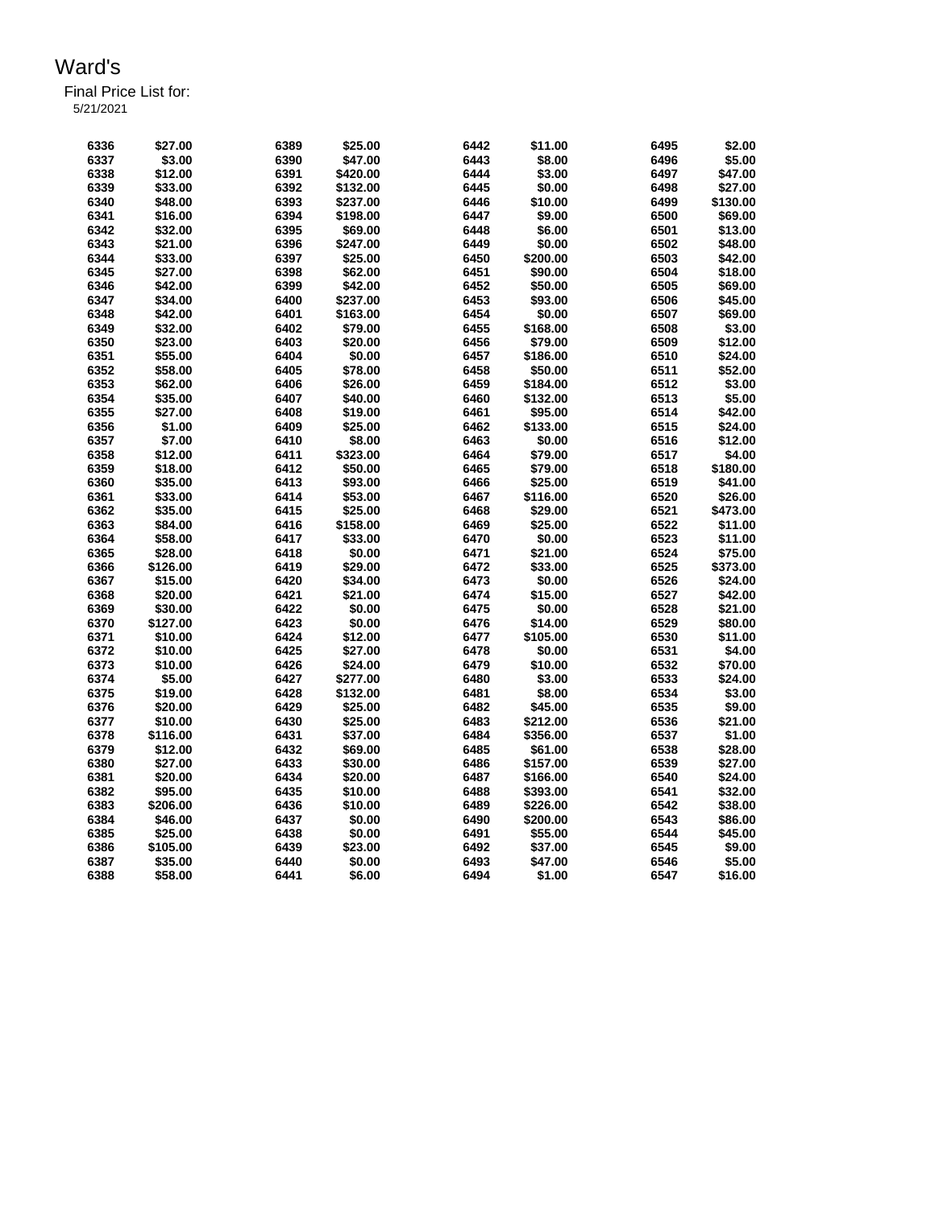| 6336 | \$27.00            | 6389 | \$25.00            | 6442         | \$11.00            | 6495 | \$2.00             |
|------|--------------------|------|--------------------|--------------|--------------------|------|--------------------|
| 6337 | \$3.00             | 6390 | \$47.00            | 6443         | \$8.00             | 6496 | \$5.00             |
| 6338 | \$12.00            | 6391 | \$420.00           | 6444         | \$3.00             | 6497 | \$47.00            |
| 6339 | \$33.00            | 6392 | \$132.00           | 6445         | \$0.00             | 6498 | \$27.00            |
| 6340 | \$48.00            | 6393 | \$237.00           | 6446         | \$10.00            | 6499 | \$130.00           |
| 6341 | \$16.00            | 6394 | \$198.00           | 6447         | \$9.00             | 6500 | \$69.00            |
| 6342 | \$32.00            | 6395 | \$69.00            | 6448         | \$6.00             | 6501 | \$13.00            |
| 6343 | \$21.00            | 6396 | \$247.00           | 6449         | \$0.00             | 6502 | \$48.00            |
| 6344 | \$33.00            | 6397 | \$25.00            | 6450         | \$200.00           | 6503 | \$42.00            |
| 6345 | \$27.00            | 6398 | \$62.00            | 6451         | \$90.00            | 6504 | \$18.00            |
| 6346 | \$42.00            | 6399 | \$42.00            | 6452         | \$50.00            | 6505 | \$69.00            |
| 6347 | \$34.00            | 6400 | \$237.00           | 6453         | \$93.00            | 6506 | \$45.00            |
| 6348 | \$42.00            | 6401 | \$163.00           | 6454         | \$0.00             | 6507 | \$69.00            |
| 6349 | \$32.00            | 6402 | \$79.00            | 6455         | \$168.00           | 6508 | \$3.00             |
| 6350 | \$23.00            | 6403 | \$20.00            | 6456         | \$79.00            | 6509 | \$12.00            |
| 6351 | \$55.00            | 6404 | \$0.00             | 6457         | \$186.00           | 6510 | \$24.00            |
| 6352 | \$58.00            | 6405 | \$78.00            | 6458         | \$50.00            | 6511 | \$52.00            |
| 6353 | \$62.00            | 6406 | \$26.00            | 6459         | \$184.00           | 6512 | \$3.00             |
| 6354 | \$35.00            | 6407 | \$40.00            | 6460         | \$132.00           | 6513 | \$5.00             |
| 6355 | \$27.00            | 6408 | \$19.00            | 6461         | \$95.00            | 6514 | \$42.00            |
| 6356 | \$1.00             | 6409 | \$25.00            | 6462         | \$133.00           | 6515 | \$24.00            |
| 6357 | \$7.00             | 6410 | \$8.00             | 6463         | \$0.00             | 6516 | \$12.00            |
| 6358 | \$12.00            | 6411 | \$323.00           | 6464         | \$79.00            | 6517 | \$4.00             |
| 6359 | \$18.00            | 6412 | \$50.00            | 6465         | \$79.00            | 6518 | \$180.00           |
| 6360 | \$35.00            | 6413 | \$93.00            | 6466         | \$25.00            | 6519 | \$41.00            |
| 6361 | \$33.00            | 6414 | \$53.00            | 6467         | \$116.00           | 6520 | \$26.00            |
| 6362 | \$35.00            | 6415 | \$25.00            | 6468         | \$29.00            | 6521 | \$473.00           |
| 6363 | \$84.00            | 6416 | \$158.00           | 6469         | \$25.00            | 6522 | \$11.00            |
| 6364 | \$58.00            | 6417 | \$33.00            | 6470         | \$0.00             | 6523 | \$11.00            |
| 6365 | \$28.00            | 6418 | \$0.00             | 6471         | \$21.00            | 6524 | \$75.00            |
| 6366 | \$126.00           | 6419 | \$29.00            | 6472         | \$33.00            | 6525 | \$373.00           |
| 6367 | \$15.00            | 6420 | \$34.00            | 6473         | \$0.00             | 6526 | \$24.00            |
| 6368 | \$20.00            | 6421 | \$21.00            | 6474         | \$15.00            | 6527 | \$42.00            |
| 6369 | \$30.00            | 6422 | \$0.00             | 6475         | \$0.00             | 6528 | \$21.00            |
| 6370 | \$127.00           | 6423 | \$0.00             | 6476         | \$14.00            | 6529 | \$80.00            |
| 6371 |                    | 6424 |                    |              |                    | 6530 | \$11.00            |
| 6372 | \$10.00<br>\$10.00 | 6425 | \$12.00<br>\$27.00 | 6477<br>6478 | \$105.00<br>\$0.00 | 6531 | \$4.00             |
|      |                    |      |                    |              |                    | 6532 |                    |
| 6373 | \$10.00            | 6426 | \$24.00            | 6479         | \$10.00            |      | \$70.00<br>\$24.00 |
| 6374 | \$5.00             | 6427 | \$277.00           | 6480         | \$3.00             | 6533 |                    |
| 6375 | \$19.00            | 6428 | \$132.00           | 6481         | \$8.00             | 6534 | \$3.00             |
| 6376 | \$20.00            | 6429 | \$25.00            | 6482         | \$45.00            | 6535 | \$9.00             |
| 6377 | \$10.00            | 6430 | \$25.00            | 6483         | \$212.00           | 6536 | \$21.00            |
| 6378 | \$116.00           | 6431 | \$37.00            | 6484         | \$356.00           | 6537 | \$1.00             |
| 6379 | \$12.00            | 6432 | \$69.00            | 6485         | \$61.00            | 6538 | \$28.00            |
| 6380 | \$27.00            | 6433 | \$30.00            | 6486         | \$157.00           | 6539 | \$27.00            |
| 6381 | \$20.00            | 6434 | \$20.00            | 6487         | \$166.00           | 6540 | \$24.00            |
| 6382 | \$95.00            | 6435 | \$10.00            | 6488         | \$393.00           | 6541 | \$32.00            |
| 6383 | \$206.00           | 6436 | \$10.00            | 6489         | \$226.00           | 6542 | \$38.00            |
| 6384 | \$46.00            | 6437 | \$0.00             | 6490         | \$200.00           | 6543 | \$86.00            |
| 6385 | \$25.00            | 6438 | \$0.00             | 6491         | \$55.00            | 6544 | \$45.00            |
| 6386 | \$105.00           | 6439 | \$23.00            | 6492         | \$37.00            | 6545 | \$9.00             |
| 6387 | \$35.00            | 6440 | \$0.00             | 6493         | \$47.00            | 6546 | \$5.00             |
| 6388 | \$58.00            | 6441 | \$6.00             | 6494         | \$1.00             | 6547 | \$16.00            |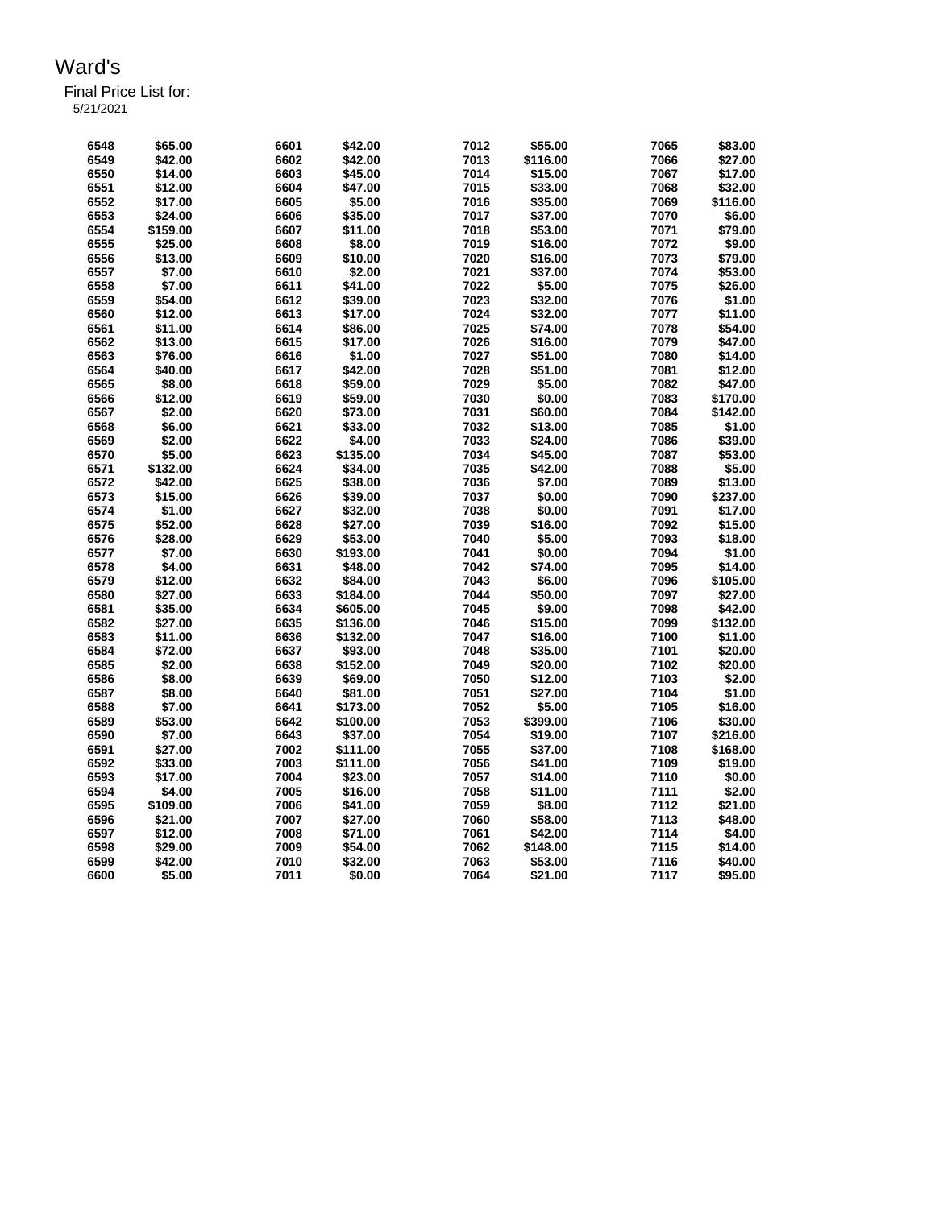Final Price List for: 5/21/2021

> **\$65.00 6601 \$42.00 7012 \$55.00 7065 \$83.00 \$42.00 6602 \$42.00 7013 \$116.00 7066 \$27.00 \$14.00 6603 \$45.00 7014 \$15.00 7067 \$17.00 \$12.00 6604 \$47.00 7015 \$33.00 7068 \$32.00 \$17.00 6605 \$5.00 7016 \$35.00 7069 \$116.00 \$24.00 6606 \$35.00 7017 \$37.00 7070 \$6.00 \$159.00 6607 \$11.00 7018 \$53.00 7071 \$79.00 \$25.00 6608 \$8.00 7019 \$16.00 7072 \$9.00 \$13.00 6609 \$10.00 7020 \$16.00 7073 \$79.00 \$7.00 6610 \$2.00 7021 \$37.00 7074 \$53.00 \$7.00 6611 \$41.00 7022 \$5.00 7075 \$26.00 \$54.00 6612 \$39.00 7023 \$32.00 7076 \$1.00 \$12.00 6613 \$17.00 7024 \$32.00 7077 \$11.00 \$11.00 6614 \$86.00 7025 \$74.00 7078 \$54.00 \$13.00 6615 \$17.00 7026 \$16.00 7079 \$47.00 \$76.00 6616 \$1.00 7027 \$51.00 7080 \$14.00 \$40.00 6617 \$42.00 7028 \$51.00 7081 \$12.00 \$8.00 6618 \$59.00 7029 \$5.00 7082 \$47.00 \$12.00 6619 \$59.00 7030 \$0.00 7083 \$170.00 \$2.00 6620 \$73.00 7031 \$60.00 7084 \$142.00 \$6.00 6621 \$33.00 7032 \$13.00 7085 \$1.00 \$2.00 6622 \$4.00 7033 \$24.00 7086 \$39.00 \$5.00 6623 \$135.00 7034 \$45.00 7087 \$53.00 \$132.00 6624 \$34.00 7035 \$42.00 7088 \$5.00 \$42.00 6625 \$38.00 7036 \$7.00 7089 \$13.00 \$15.00 6626 \$39.00 7037 \$0.00 7090 \$237.00 \$1.00 6627 \$32.00 7038 \$0.00 7091 \$17.00 \$52.00 6628 \$27.00 7039 \$16.00 7092 \$15.00 \$28.00 6629 \$53.00 7040 \$5.00 7093 \$18.00 \$7.00 6630 \$193.00 7041 \$0.00 7094 \$1.00 \$4.00 6631 \$48.00 7042 \$74.00 7095 \$14.00 \$12.00 6632 \$84.00 7043 \$6.00 7096 \$105.00 \$27.00 6633 \$184.00 7044 \$50.00 7097 \$27.00 \$35.00 6634 \$605.00 7045 \$9.00 7098 \$42.00 \$27.00 6635 \$136.00 7046 \$15.00 7099 \$132.00 \$11.00 6636 \$132.00 7047 \$16.00 7100 \$11.00 \$72.00 6637 \$93.00 7048 \$35.00 7101 \$20.00 \$2.00 6638 \$152.00 7049 \$20.00 7102 \$20.00 \$8.00 6639 \$69.00 7050 \$12.00 7103 \$2.00**

> **\$8.00 6640 \$81.00 7051 \$27.00 7104 \$1.00 \$7.00 6641 \$173.00 7052 \$5.00 7105 \$16.00 \$53.00 6642 \$100.00 7053 \$399.00 7106 \$30.00 \$7.00 6643 \$37.00 7054 \$19.00 7107 \$216.00 \$27.00 7002 \$111.00 7055 \$37.00 7108 \$168.00 \$33.00 7003 \$111.00 7056 \$41.00 7109 \$19.00 \$17.00 7004 \$23.00 7057 \$14.00 7110 \$0.00 \$4.00 7005 \$16.00 7058 \$11.00 7111 \$2.00 \$109.00 7006 \$41.00 7059 \$8.00 7112 \$21.00 \$21.00 7007 \$27.00 7060 \$58.00 7113 \$48.00 \$12.00 7008 \$71.00 7061 \$42.00 7114 \$4.00 \$29.00 7009 \$54.00 7062 \$148.00 7115 \$14.00 \$42.00 7010 \$32.00 7063 \$53.00 7116 \$40.00 \$5.00 7011 \$0.00 7064 \$21.00 7117 \$95.00**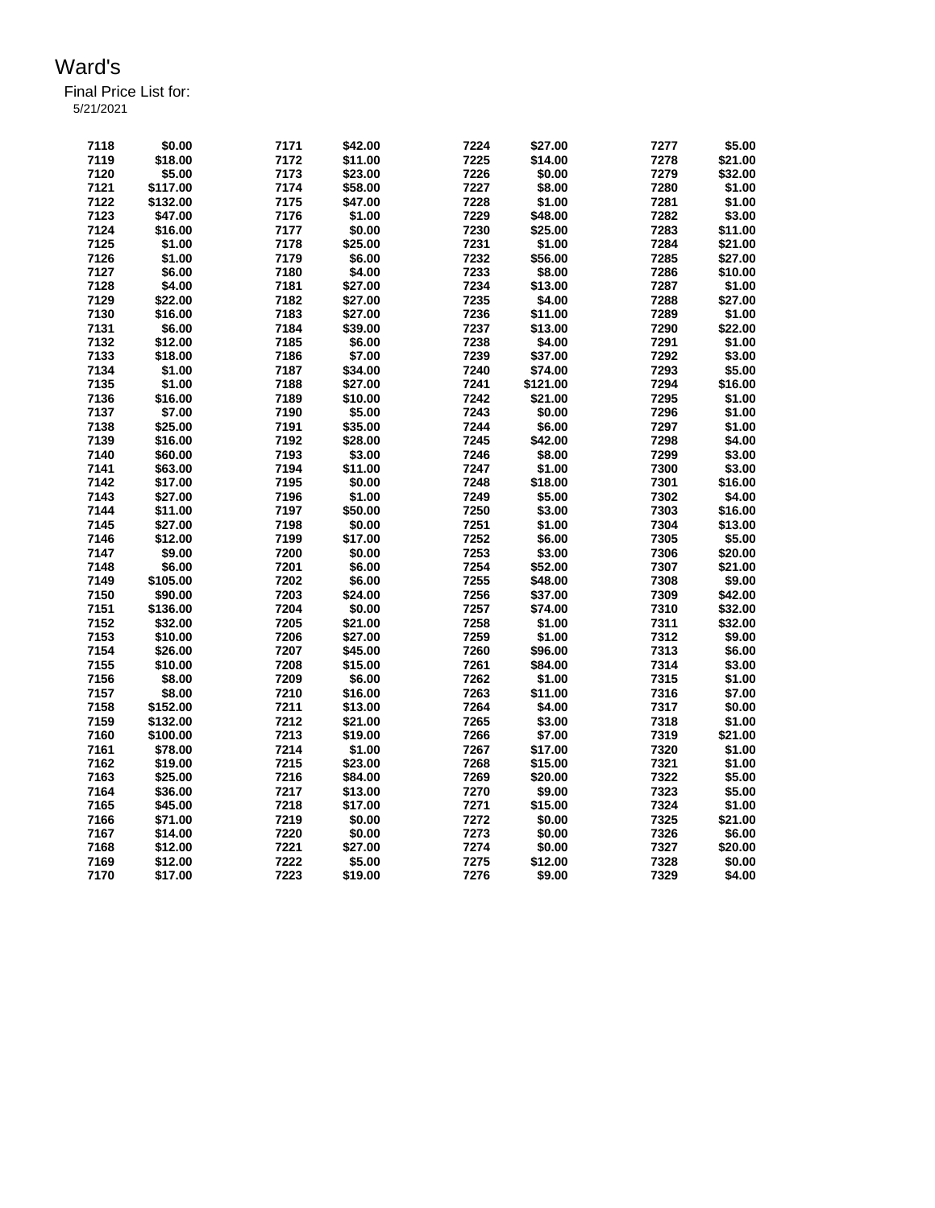Final Price List for: 5/21/2021

> **\$0.00 7171 \$42.00 7224 \$27.00 7277 \$5.00 \$18.00 7172 \$11.00 7225 \$14.00 7278 \$21.00 \$5.00 7173 \$23.00 7226 \$0.00 7279 \$32.00 \$117.00 7174 \$58.00 7227 \$8.00 7280 \$1.00 \$132.00 7175 \$47.00 7228 \$1.00 7281 \$1.00 \$47.00 7176 \$1.00 7229 \$48.00 7282 \$3.00 \$16.00 7177 \$0.00 7230 \$25.00 7283 \$11.00 \$1.00 7178 \$25.00 7231 \$1.00 7284 \$21.00 \$1.00 7179 \$6.00 7232 \$56.00 7285 \$27.00 \$6.00 7180 \$4.00 7233 \$8.00 7286 \$10.00 \$4.00 7181 \$27.00 7234 \$13.00 7287 \$1.00 \$22.00 7182 \$27.00 7235 \$4.00 7288 \$27.00 \$16.00 7183 \$27.00 7236 \$11.00 7289 \$1.00 \$6.00 7184 \$39.00 7237 \$13.00 7290 \$22.00 \$12.00 7185 \$6.00 7238 \$4.00 7291 \$1.00 \$18.00 7186 \$7.00 7239 \$37.00 7292 \$3.00 \$1.00 7187 \$34.00 7240 \$74.00 7293 \$5.00 \$1.00 7188 \$27.00 7241 \$121.00 7294 \$16.00 \$16.00 7189 \$10.00 7242 \$21.00 7295 \$1.00 \$7.00 7190 \$5.00 7243 \$0.00 7296 \$1.00 \$25.00 7191 \$35.00 7244 \$6.00 7297 \$1.00 \$16.00 7192 \$28.00 7245 \$42.00 7298 \$4.00 \$60.00 7193 \$3.00 7246 \$8.00 7299 \$3.00 \$63.00 7194 \$11.00 7247 \$1.00 7300 \$3.00 \$17.00 7195 \$0.00 7248 \$18.00 7301 \$16.00 \$27.00 7196 \$1.00 7249 \$5.00 7302 \$4.00 \$11.00 7197 \$50.00 7250 \$3.00 7303 \$16.00 \$27.00 7198 \$0.00 7251 \$1.00 7304 \$13.00 \$12.00 7199 \$17.00 7252 \$6.00 7305 \$5.00 \$9.00 7200 \$0.00 7253 \$3.00 7306 \$20.00 \$6.00 7201 \$6.00 7254 \$52.00 7307 \$21.00 \$105.00 7202 \$6.00 7255 \$48.00 7308 \$9.00 \$90.00 7203 \$24.00 7256 \$37.00 7309 \$42.00 \$136.00 7204 \$0.00 7257 \$74.00 7310 \$32.00 \$32.00 7205 \$21.00 7258 \$1.00 7311 \$32.00 \$10.00 7206 \$27.00 7259 \$1.00 7312 \$9.00 \$26.00 7207 \$45.00 7260 \$96.00 7313 \$6.00 \$10.00 7208 \$15.00 7261 \$84.00 7314 \$3.00 \$8.00 7209 \$6.00 7262 \$1.00 7315 \$1.00 \$8.00 7210 \$16.00 7263 \$11.00 7316 \$7.00 \$152.00 7211 \$13.00 7264 \$4.00 7317 \$0.00 \$132.00 7212 \$21.00 7265 \$3.00 7318 \$1.00 \$100.00 7213 \$19.00 7266 \$7.00 7319 \$21.00 \$78.00 7214 \$1.00 7267 \$17.00 7320 \$1.00 \$19.00 7215 \$23.00 7268 \$15.00 7321 \$1.00 \$25.00 7216 \$84.00 7269 \$20.00 7322 \$5.00 \$36.00 7217 \$13.00 7270 \$9.00 7323 \$5.00 \$45.00 7218 \$17.00 7271 \$15.00 7324 \$1.00 \$71.00 7219 \$0.00 7272 \$0.00 7325 \$21.00 \$14.00 7220 \$0.00 7273 \$0.00 7326 \$6.00 \$12.00 7221 \$27.00 7274 \$0.00 7327 \$20.00 \$12.00 7222 \$5.00 7275 \$12.00 7328 \$0.00 \$17.00 7223 \$19.00 7276 \$9.00 7329 \$4.00**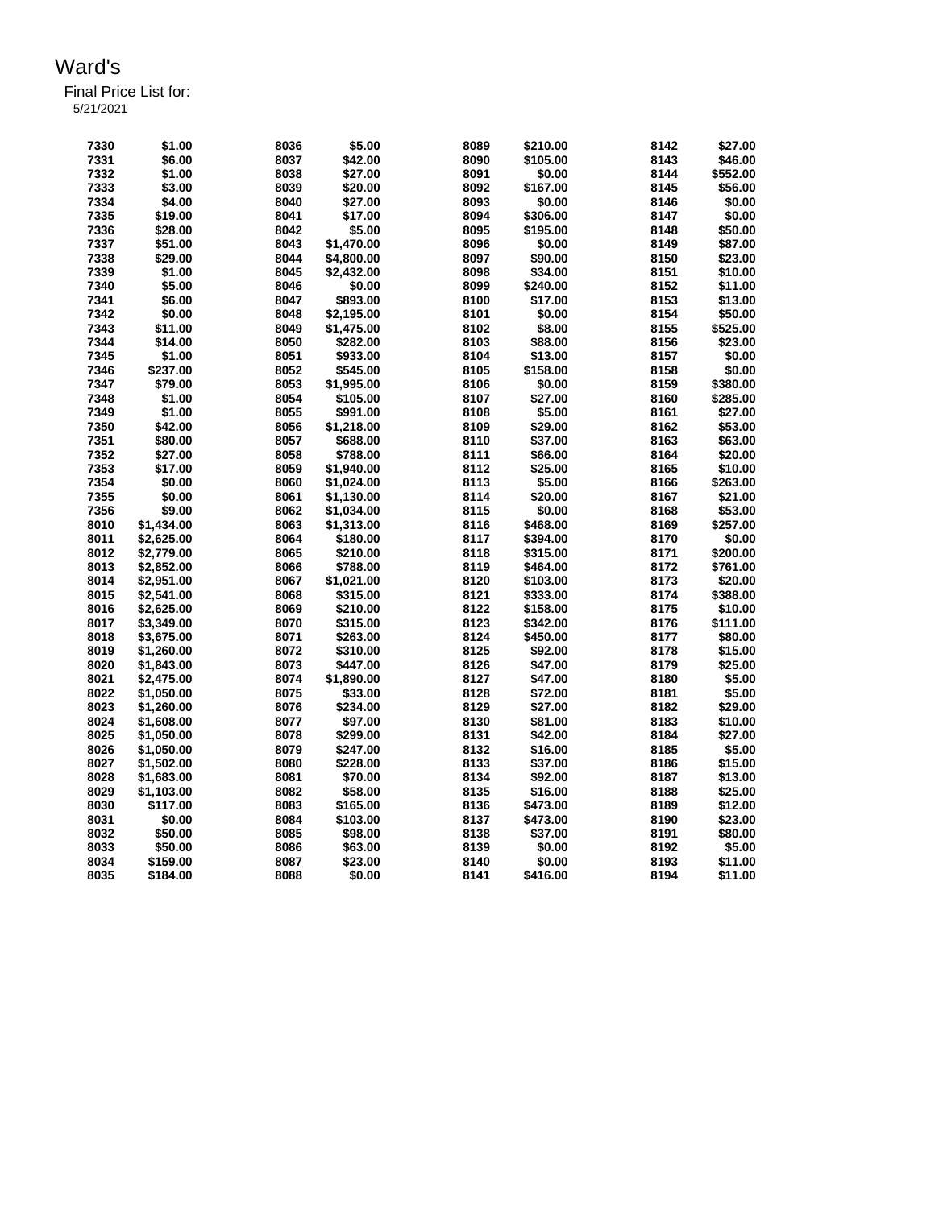Final Price List for: 5/21/2021

> **\$1.00 8036 \$5.00 8089 \$210.00 8142 \$27.00 \$6.00 8037 \$42.00 8090 \$105.00 8143 \$46.00 \$1.00 8038 \$27.00 8091 \$0.00 8144 \$552.00 \$3.00 8039 \$20.00 8092 \$167.00 8145 \$56.00 \$4.00 8040 \$27.00 8093 \$0.00 8146 \$0.00 \$19.00 8041 \$17.00 8094 \$306.00 8147 \$0.00 \$28.00 8042 \$5.00 8095 \$195.00 8148 \$50.00 \$51.00 8043 \$1,470.00 8096 \$0.00 8149 \$87.00 \$29.00 8044 \$4,800.00 8097 \$90.00 8150 \$23.00 \$1.00 8045 \$2,432.00 8098 \$34.00 8151 \$10.00 \$5.00 8046 \$0.00 8099 \$240.00 8152 \$11.00 \$6.00 8047 \$893.00 8100 \$17.00 8153 \$13.00 \$0.00 8048 \$2,195.00 8101 \$0.00 8154 \$50.00 \$11.00 8049 \$1,475.00 8102 \$8.00 8155 \$525.00 \$14.00 8050 \$282.00 8103 \$88.00 8156 \$23.00 \$1.00 8051 \$933.00 8104 \$13.00 8157 \$0.00 \$237.00 8052 \$545.00 8105 \$158.00 8158 \$0.00 \$79.00 8053 \$1,995.00 8106 \$0.00 8159 \$380.00 \$1.00 8054 \$105.00 8107 \$27.00 8160 \$285.00 \$1.00 8055 \$991.00 8108 \$5.00 8161 \$27.00 \$42.00 8056 \$1,218.00 8109 \$29.00 8162 \$53.00 \$80.00 8057 \$688.00 8110 \$37.00 8163 \$63.00 \$27.00 8058 \$788.00 8111 \$66.00 8164 \$20.00 \$17.00 8059 \$1,940.00 8112 \$25.00 8165 \$10.00 \$0.00 8060 \$1,024.00 8113 \$5.00 8166 \$263.00 \$0.00 8061 \$1,130.00 8114 \$20.00 8167 \$21.00 \$9.00 8062 \$1,034.00 8115 \$0.00 8168 \$53.00 \$1,434.00 8063 \$1,313.00 8116 \$468.00 8169 \$257.00 \$2,625.00 8064 \$180.00 8117 \$394.00 8170 \$0.00 \$2,779.00 8065 \$210.00 8118 \$315.00 8171 \$200.00 \$2,852.00 8066 \$788.00 8119 \$464.00 8172 \$761.00 \$2,951.00 8067 \$1,021.00 8120 \$103.00 8173 \$20.00 \$2,541.00 8068 \$315.00 8121 \$333.00 8174 \$388.00 \$2,625.00 8069 \$210.00 8122 \$158.00 8175 \$10.00 \$3,349.00 8070 \$315.00 8123 \$342.00 8176 \$111.00 \$3,675.00 8071 \$263.00 8124 \$450.00 8177 \$80.00 \$1,260.00 8072 \$310.00 8125 \$92.00 8178 \$15.00 \$1,843.00 8073 \$447.00 8126 \$47.00 8179 \$25.00 \$2,475.00 8074 \$1,890.00 8127 \$47.00 8180 \$5.00 \$1,050.00 8075 \$33.00 8128 \$72.00 8181 \$5.00 \$1,260.00 8076 \$234.00 8129 \$27.00 8182 \$29.00 \$1,608.00 8077 \$97.00 8130 \$81.00 8183 \$10.00 \$1,050.00 8078 \$299.00 8131 \$42.00 8184 \$27.00 \$1,050.00 8079 \$247.00 8132 \$16.00 8185 \$5.00 \$1,502.00 8080 \$228.00 8133 \$37.00 8186 \$15.00 \$1,683.00 8081 \$70.00 8134 \$92.00 8187 \$13.00 \$1,103.00 8082 \$58.00 8135 \$16.00 8188 \$25.00 \$117.00 8083 \$165.00 8136 \$473.00 8189 \$12.00 \$0.00 8084 \$103.00 8137 \$473.00 8190 \$23.00 \$50.00 8085 \$98.00 8138 \$37.00 8191 \$80.00 \$50.00 8086 \$63.00 8139 \$0.00 8192 \$5.00 \$159.00 8087 \$23.00 8140 \$0.00 8193 \$11.00 \$184.00 8088 \$0.00 8141 \$416.00 8194 \$11.00**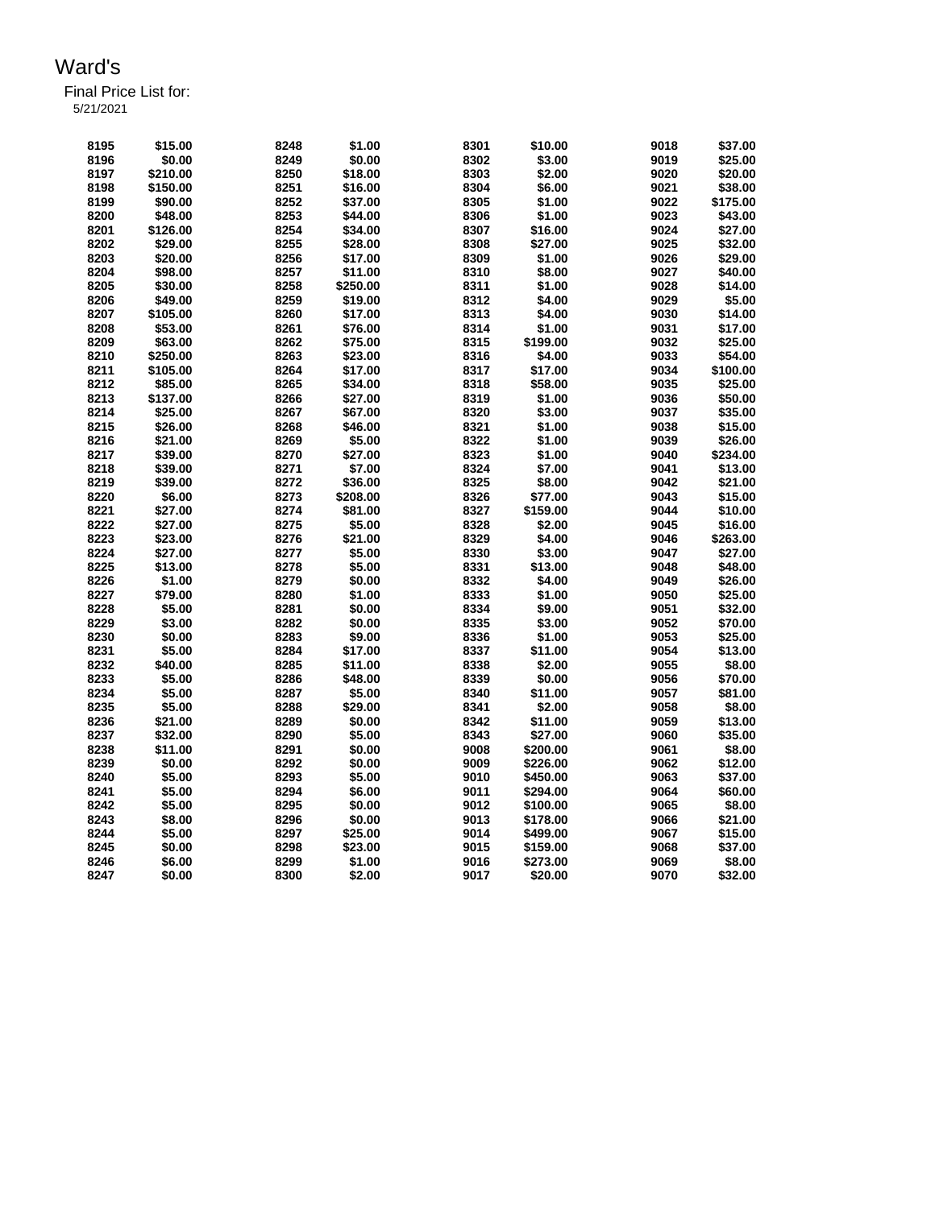Final Price List for: 5/21/2021

> **\$15.00 8248 \$1.00 8301 \$10.00 9018 \$37.00 \$0.00 8249 \$0.00 8302 \$3.00 9019 \$25.00 \$210.00 8250 \$18.00 8303 \$2.00 9020 \$20.00 \$150.00 8251 \$16.00 8304 \$6.00 9021 \$38.00 \$90.00 8252 \$37.00 8305 \$1.00 9022 \$175.00 \$48.00 8253 \$44.00 8306 \$1.00 9023 \$43.00 \$126.00 8254 \$34.00 8307 \$16.00 9024 \$27.00 \$29.00 8255 \$28.00 8308 \$27.00 9025 \$32.00 \$20.00 8256 \$17.00 8309 \$1.00 9026 \$29.00 \$98.00 8257 \$11.00 8310 \$8.00 9027 \$40.00 \$30.00 8258 \$250.00 8311 \$1.00 9028 \$14.00 \$49.00 8259 \$19.00 8312 \$4.00 9029 \$5.00 \$105.00 8260 \$17.00 8313 \$4.00 9030 \$14.00 \$53.00 8261 \$76.00 8314 \$1.00 9031 \$17.00 \$63.00 8262 \$75.00 8315 \$199.00 9032 \$25.00 \$250.00 8263 \$23.00 8316 \$4.00 9033 \$54.00 \$105.00 8264 \$17.00 8317 \$17.00 9034 \$100.00 \$85.00 8265 \$34.00 8318 \$58.00 9035 \$25.00 \$137.00 8266 \$27.00 8319 \$1.00 9036 \$50.00 \$25.00 8267 \$67.00 8320 \$3.00 9037 \$35.00 \$26.00 8268 \$46.00 8321 \$1.00 9038 \$15.00 \$21.00 8269 \$5.00 8322 \$1.00 9039 \$26.00 \$39.00 8270 \$27.00 8323 \$1.00 9040 \$234.00 \$39.00 8271 \$7.00 8324 \$7.00 9041 \$13.00 \$39.00 8272 \$36.00 8325 \$8.00 9042 \$21.00 \$6.00 8273 \$208.00 8326 \$77.00 9043 \$15.00 \$27.00 8274 \$81.00 8327 \$159.00 9044 \$10.00 \$27.00 8275 \$5.00 8328 \$2.00 9045 \$16.00 \$23.00 8276 \$21.00 8329 \$4.00 9046 \$263.00 \$27.00 8277 \$5.00 8330 \$3.00 9047 \$27.00 \$13.00 8278 \$5.00 8331 \$13.00 9048 \$48.00 \$1.00 8279 \$0.00 8332 \$4.00 9049 \$26.00 \$79.00 8280 \$1.00 8333 \$1.00 9050 \$25.00 \$5.00 8281 \$0.00 8334 \$9.00 9051 \$32.00 \$3.00 8282 \$0.00 8335 \$3.00 9052 \$70.00 \$0.00 8283 \$9.00 8336 \$1.00 9053 \$25.00 \$5.00 8284 \$17.00 8337 \$11.00 9054 \$13.00 \$40.00 8285 \$11.00 8338 \$2.00 9055 \$8.00 \$5.00 8286 \$48.00 8339 \$0.00 9056 \$70.00 \$5.00 8287 \$5.00 8340 \$11.00 9057 \$81.00 \$5.00 8288 \$29.00 8341 \$2.00 9058 \$8.00 \$21.00 8289 \$0.00 8342 \$11.00 9059 \$13.00 \$32.00 8290 \$5.00 8343 \$27.00 9060 \$35.00 \$11.00 8291 \$0.00 9008 \$200.00 9061 \$8.00 \$0.00 8292 \$0.00 9009 \$226.00 9062 \$12.00 \$5.00 8293 \$5.00 9010 \$450.00 9063 \$37.00 \$5.00 8294 \$6.00 9011 \$294.00 9064 \$60.00 \$5.00 8295 \$0.00 9012 \$100.00 9065 \$8.00 \$8.00 8296 \$0.00 9013 \$178.00 9066 \$21.00 \$5.00 8297 \$25.00 9014 \$499.00 9067 \$15.00 \$0.00 8298 \$23.00 9015 \$159.00 9068 \$37.00 \$6.00 8299 \$1.00 9016 \$273.00 9069 \$8.00 \$0.00 8300 \$2.00 9017 \$20.00 9070 \$32.00**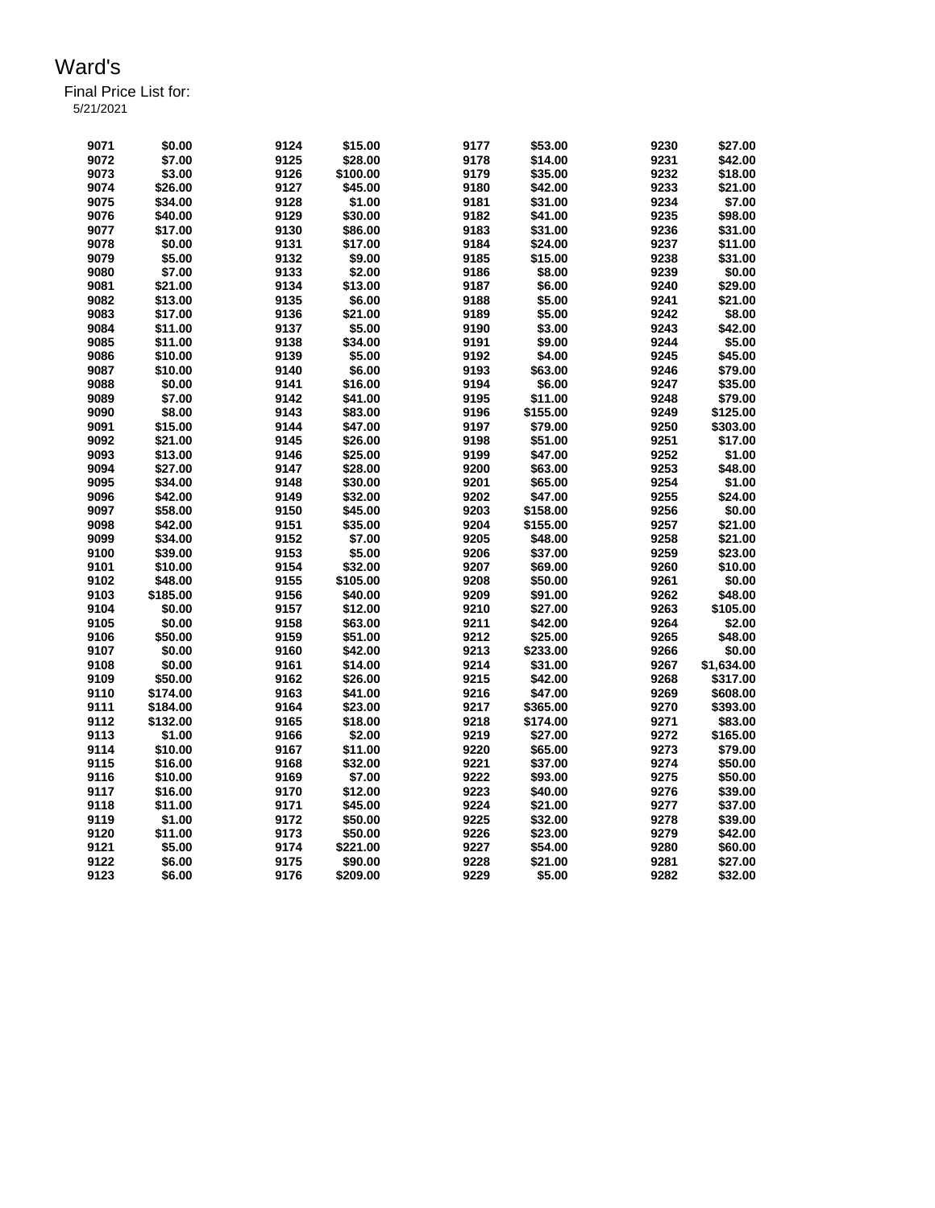Final Price List for:

5/21/2021

| 9071 | \$0.00   | 9124 | \$15.00             | 9177 | \$53.00  | 9230 | \$27.00    |
|------|----------|------|---------------------|------|----------|------|------------|
| 9072 | \$7.00   | 9125 | \$28.00             | 9178 | \$14.00  | 9231 | \$42.00    |
| 9073 | \$3.00   | 9126 | \$100.00            | 9179 | \$35.00  | 9232 |            |
|      |          |      |                     |      |          |      | \$18.00    |
| 9074 | \$26.00  | 9127 | \$45.00             | 9180 | \$42.00  | 9233 | \$21.00    |
| 9075 | \$34.00  | 9128 | \$1.00              | 9181 | \$31.00  | 9234 | \$7.00     |
| 9076 | \$40.00  | 9129 | \$30.00             | 9182 | \$41.00  | 9235 | \$98.00    |
| 9077 | \$17.00  | 9130 | \$86.00             | 9183 | \$31.00  | 9236 | \$31.00    |
| 9078 | \$0.00   | 9131 | \$17.00             | 9184 | \$24.00  | 9237 | \$11.00    |
| 9079 | \$5.00   | 9132 | \$9.00              | 9185 | \$15.00  | 9238 | \$31.00    |
| 9080 | \$7.00   | 9133 | \$2.00              | 9186 | \$8.00   | 9239 | \$0.00     |
| 9081 | \$21.00  | 9134 | \$13.00             | 9187 | \$6.00   | 9240 | \$29.00    |
| 9082 | \$13.00  | 9135 | \$6.00              | 9188 | \$5.00   | 9241 | \$21.00    |
| 9083 | \$17.00  | 9136 | \$21.00             | 9189 | \$5.00   | 9242 | \$8.00     |
| 9084 | \$11.00  | 9137 | \$5.00              | 9190 | \$3.00   | 9243 | \$42.00    |
| 9085 | \$11.00  | 9138 | \$34.00             | 9191 | \$9.00   | 9244 | \$5.00     |
| 9086 | \$10.00  | 9139 | \$5.00              | 9192 | \$4.00   | 9245 | \$45.00    |
| 9087 | \$10.00  | 9140 | \$6.00              | 9193 | \$63.00  | 9246 | \$79.00    |
| 9088 | \$0.00   | 9141 | \$16.00             | 9194 | \$6.00   | 9247 | \$35.00    |
| 9089 | \$7.00   | 9142 | \$41.00             | 9195 | \$11.00  | 9248 | \$79.00    |
| 9090 | \$8.00   | 9143 | \$83.00             | 9196 | \$155.00 | 9249 | \$125.00   |
| 9091 | \$15.00  | 9144 | \$47.00             | 9197 | \$79.00  | 9250 | \$303.00   |
| 9092 | \$21.00  | 9145 | \$26.00             | 9198 | \$51.00  | 9251 | \$17.00    |
| 9093 | \$13.00  | 9146 | \$25.00             | 9199 | \$47.00  | 9252 | \$1.00     |
| 9094 |          | 9147 |                     | 9200 |          |      |            |
|      | \$27.00  |      | \$28.00             |      | \$63.00  | 9253 | \$48.00    |
| 9095 | \$34.00  | 9148 | \$30.00             | 9201 | \$65.00  | 9254 | \$1.00     |
| 9096 | \$42.00  | 9149 | \$32.00             | 9202 | \$47.00  | 9255 | \$24.00    |
| 9097 | \$58.00  | 9150 | \$45.00             | 9203 | \$158.00 | 9256 | \$0.00     |
| 9098 | \$42.00  | 9151 | \$35.00             | 9204 | \$155.00 | 9257 | \$21.00    |
| 9099 | \$34.00  | 9152 | \$7.00              | 9205 | \$48.00  | 9258 | \$21.00    |
| 9100 | \$39.00  | 9153 | \$5.00              | 9206 | \$37.00  | 9259 | \$23.00    |
| 9101 | \$10.00  | 9154 | \$32.00             | 9207 | \$69.00  | 9260 | \$10.00    |
| 9102 | \$48.00  | 9155 | \$105.00            | 9208 | \$50.00  | 9261 | \$0.00     |
| 9103 | \$185.00 | 9156 | \$40.00             | 9209 | \$91.00  | 9262 | \$48.00    |
| 9104 | \$0.00   | 9157 | \$12.00             | 9210 | \$27.00  | 9263 | \$105.00   |
| 9105 | \$0.00   | 9158 | \$63.00             | 9211 | \$42.00  | 9264 | \$2.00     |
| 9106 | \$50.00  | 9159 | \$51.00             | 9212 | \$25.00  | 9265 | \$48.00    |
| 9107 | \$0.00   | 9160 | \$42.00             | 9213 | \$233.00 | 9266 | \$0.00     |
| 9108 | \$0.00   | 9161 | \$14.00             | 9214 | \$31.00  | 9267 | \$1,634.00 |
| 9109 | \$50.00  | 9162 | \$26.00             | 9215 | \$42.00  | 9268 | \$317.00   |
| 9110 | \$174.00 | 9163 | \$41.00             | 9216 | \$47.00  | 9269 | \$608.00   |
| 9111 | \$184.00 | 9164 | \$23.00             | 9217 | \$365.00 | 9270 | \$393.00   |
| 9112 | \$132.00 | 9165 | \$18.00             | 9218 | \$174.00 | 9271 | \$83.00    |
| 9113 | \$1.00   | 9166 | \$2.00              | 9219 | \$27.00  | 9272 | \$165.00   |
| 9114 | \$10.00  | 9167 | \$11.00             | 9220 | \$65.00  | 9273 | \$79.00    |
| 9115 | \$16.00  | 9168 | \$32.00             | 9221 | \$37.00  | 9274 | \$50.00    |
| 9116 | \$10.00  | 9169 | \$7.00              | 9222 | \$93.00  | 9275 | \$50.00    |
| 9117 | \$16.00  | 9170 | \$12.00             | 9223 | \$40.00  | 9276 | \$39.00    |
| 9118 | \$11.00  | 9171 | \$45.00             | 9224 | \$21.00  | 9277 | \$37.00    |
| 9119 | \$1.00   | 9172 | \$50.00             | 9225 | \$32.00  | 9278 | \$39.00    |
| 9120 | \$11.00  | 9173 | \$50.00             | 9226 | \$23.00  | 9279 | \$42.00    |
| 9121 | \$5.00   | 9174 |                     | 9227 | \$54.00  | 9280 | \$60.00    |
|      | \$6.00   | 9175 | \$221.00<br>\$90.00 | 9228 | \$21.00  | 9281 | \$27.00    |
| 9122 |          |      |                     |      |          |      |            |
| 9123 | \$6.00   | 9176 | \$209.00            | 9229 | \$5.00   | 9282 | \$32.00    |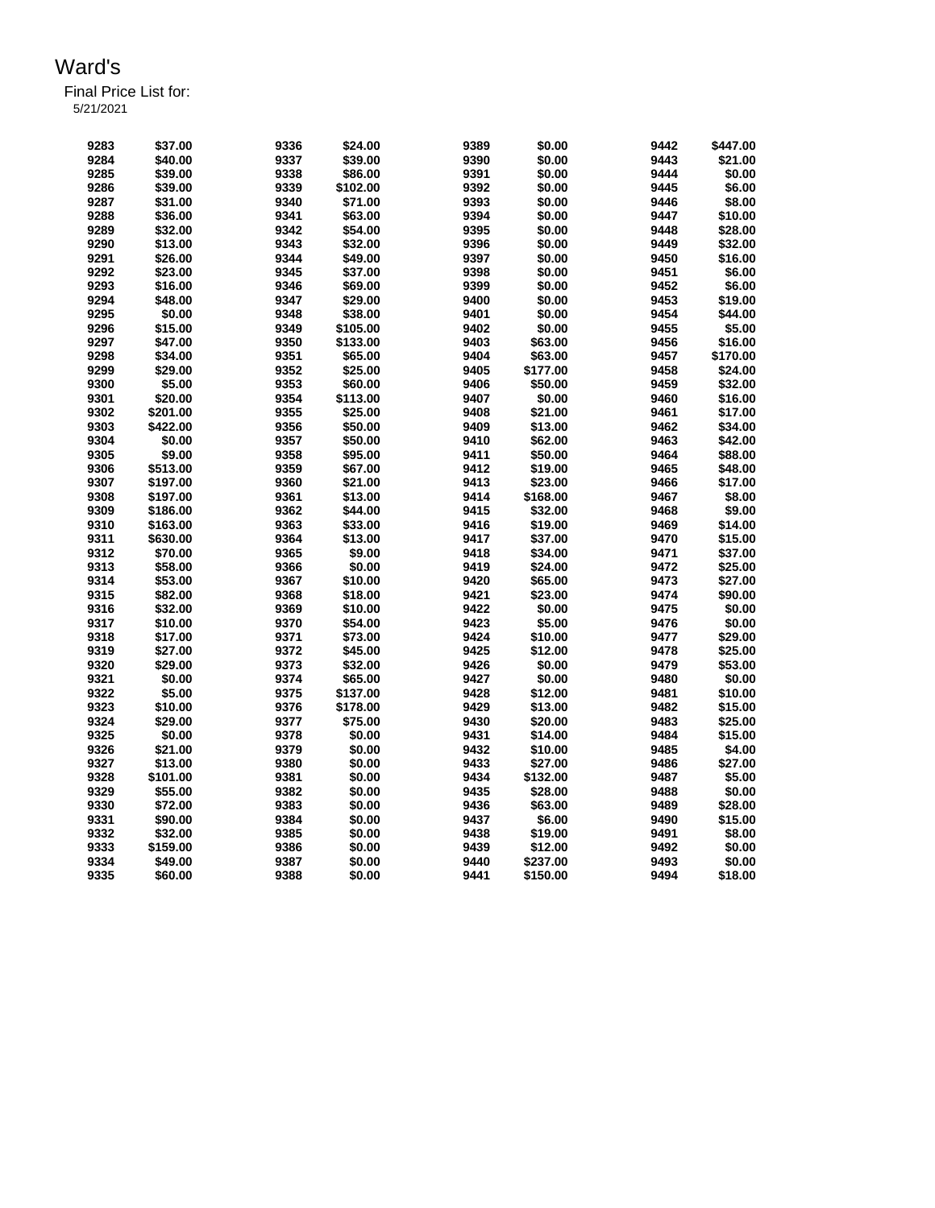Final Price List for: 5/21/2021

> **\$37.00 9336 \$24.00 9389 \$0.00 9442 \$447.00 \$40.00 9337 \$39.00 9390 \$0.00 9443 \$21.00 \$39.00 9338 \$86.00 9391 \$0.00 9444 \$0.00 \$39.00 9339 \$102.00 9392 \$0.00 9445 \$6.00 \$31.00 9340 \$71.00 9393 \$0.00 9446 \$8.00 \$36.00 9341 \$63.00 9394 \$0.00 9447 \$10.00 \$32.00 9342 \$54.00 9395 \$0.00 9448 \$28.00 \$13.00 9343 \$32.00 9396 \$0.00 9449 \$32.00 \$26.00 9344 \$49.00 9397 \$0.00 9450 \$16.00 \$23.00 9345 \$37.00 9398 \$0.00 9451 \$6.00 \$16.00 9346 \$69.00 9399 \$0.00 9452 \$6.00 \$48.00 9347 \$29.00 9400 \$0.00 9453 \$19.00 \$0.00 9348 \$38.00 9401 \$0.00 9454 \$44.00 \$15.00 9349 \$105.00 9402 \$0.00 9455 \$5.00 \$47.00 9350 \$133.00 9403 \$63.00 9456 \$16.00 \$34.00 9351 \$65.00 9404 \$63.00 9457 \$170.00 \$29.00 9352 \$25.00 9405 \$177.00 9458 \$24.00 \$5.00 9353 \$60.00 9406 \$50.00 9459 \$32.00 \$20.00 9354 \$113.00 9407 \$0.00 9460 \$16.00 \$201.00 9355 \$25.00 9408 \$21.00 9461 \$17.00 \$422.00 9356 \$50.00 9409 \$13.00 9462 \$34.00 \$0.00 9357 \$50.00 9410 \$62.00 9463 \$42.00 \$9.00 9358 \$95.00 9411 \$50.00 9464 \$88.00 \$513.00 9359 \$67.00 9412 \$19.00 9465 \$48.00 \$197.00 9360 \$21.00 9413 \$23.00 9466 \$17.00 \$197.00 9361 \$13.00 9414 \$168.00 9467 \$8.00 \$186.00 9362 \$44.00 9415 \$32.00 9468 \$9.00 \$163.00 9363 \$33.00 9416 \$19.00 9469 \$14.00 \$630.00 9364 \$13.00 9417 \$37.00 9470 \$15.00 \$70.00 9365 \$9.00 9418 \$34.00 9471 \$37.00 \$58.00 9366 \$0.00 9419 \$24.00 9472 \$25.00 \$53.00 9367 \$10.00 9420 \$65.00 9473 \$27.00 \$82.00 9368 \$18.00 9421 \$23.00 9474 \$90.00 \$32.00 9369 \$10.00 9422 \$0.00 9475 \$0.00 \$10.00 9370 \$54.00 9423 \$5.00 9476 \$0.00 \$17.00 9371 \$73.00 9424 \$10.00 9477 \$29.00 \$27.00 9372 \$45.00 9425 \$12.00 9478 \$25.00 \$29.00 9373 \$32.00 9426 \$0.00 9479 \$53.00 \$0.00 9374 \$65.00 9427 \$0.00 9480 \$0.00 \$5.00 9375 \$137.00 9428 \$12.00 9481 \$10.00 \$10.00 9376 \$178.00 9429 \$13.00 9482 \$15.00 \$29.00 9377 \$75.00 9430 \$20.00 9483 \$25.00 \$0.00 9378 \$0.00 9431 \$14.00 9484 \$15.00 \$21.00 9379 \$0.00 9432 \$10.00 9485 \$4.00 \$13.00 9380 \$0.00 9433 \$27.00 9486 \$27.00 \$101.00 9381 \$0.00 9434 \$132.00 9487 \$5.00 \$55.00 9382 \$0.00 9435 \$28.00 9488 \$0.00 \$72.00 9383 \$0.00 9436 \$63.00 9489 \$28.00 \$90.00 9384 \$0.00 9437 \$6.00 9490 \$15.00 \$32.00 9385 \$0.00 9438 \$19.00 9491 \$8.00 \$159.00 9386 \$0.00 9439 \$12.00 9492 \$0.00 \$49.00 9387 \$0.00 9440 \$237.00 9493 \$0.00**

> **\$60.00 9388 \$0.00 9441 \$150.00 9494 \$18.00**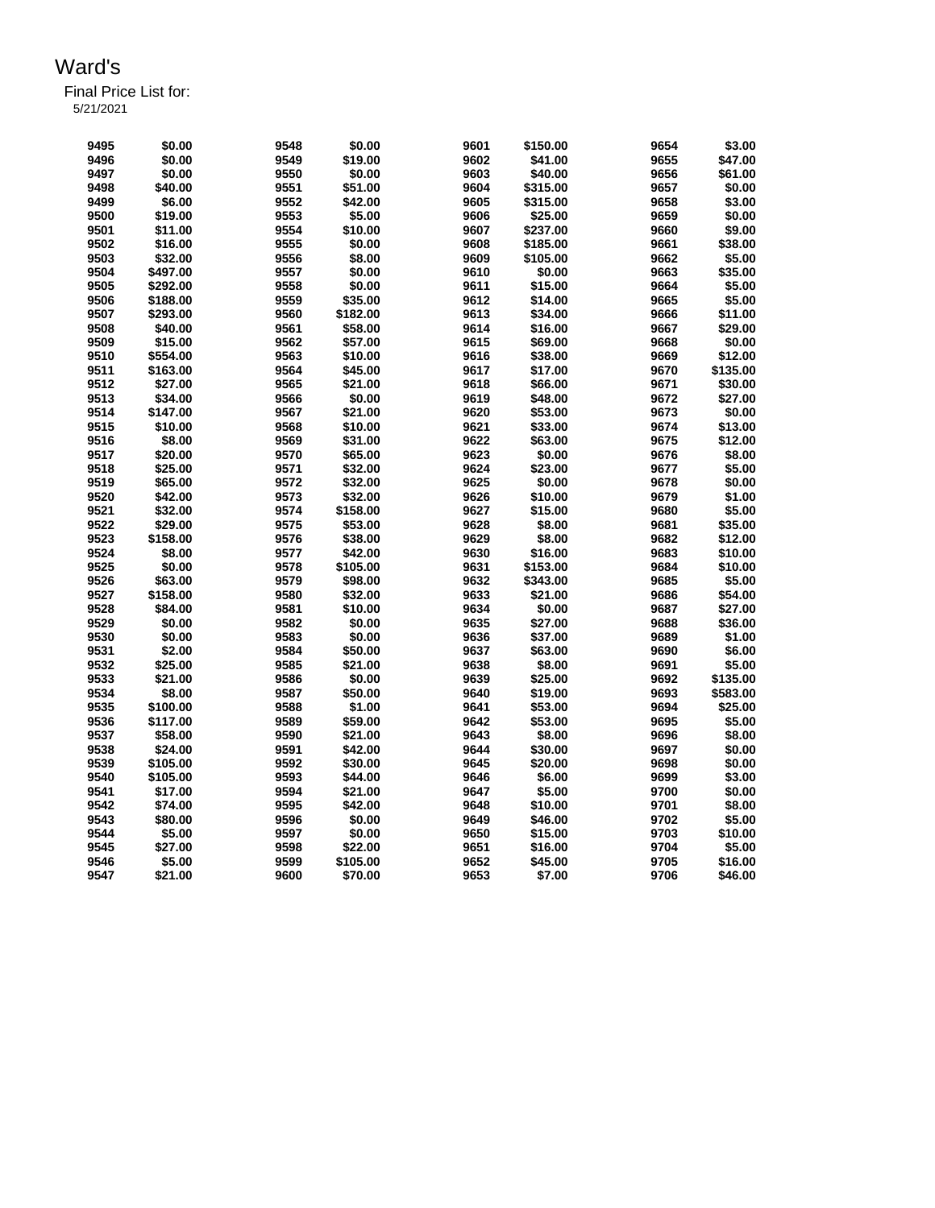Final Price List for:

5/21/2021

| 9495 | \$0.00   | 9548 | \$0.00   | 9601 | \$150.00 | 9654 | \$3.00   |
|------|----------|------|----------|------|----------|------|----------|
| 9496 | \$0.00   | 9549 | \$19.00  | 9602 | \$41.00  | 9655 | \$47.00  |
| 9497 | \$0.00   | 9550 | \$0.00   | 9603 | \$40.00  | 9656 | \$61.00  |
| 9498 | \$40.00  | 9551 | \$51.00  | 9604 | \$315.00 | 9657 | \$0.00   |
| 9499 | \$6.00   | 9552 | \$42.00  | 9605 | \$315.00 | 9658 | \$3.00   |
| 9500 | \$19.00  | 9553 | \$5.00   | 9606 | \$25.00  | 9659 | \$0.00   |
| 9501 | \$11.00  | 9554 | \$10.00  | 9607 | \$237.00 | 9660 | \$9.00   |
| 9502 | \$16.00  | 9555 | \$0.00   | 9608 | \$185.00 | 9661 | \$38.00  |
| 9503 | \$32.00  | 9556 | \$8.00   | 9609 | \$105.00 | 9662 | \$5.00   |
|      |          |      |          |      |          | 9663 |          |
| 9504 | \$497.00 | 9557 | \$0.00   | 9610 | \$0.00   |      | \$35.00  |
| 9505 | \$292.00 | 9558 | \$0.00   | 9611 | \$15.00  | 9664 | \$5.00   |
| 9506 | \$188.00 | 9559 | \$35.00  | 9612 | \$14.00  | 9665 | \$5.00   |
| 9507 | \$293.00 | 9560 | \$182.00 | 9613 | \$34.00  | 9666 | \$11.00  |
| 9508 | \$40.00  | 9561 | \$58.00  | 9614 | \$16.00  | 9667 | \$29.00  |
| 9509 | \$15.00  | 9562 | \$57.00  | 9615 | \$69.00  | 9668 | \$0.00   |
| 9510 | \$554.00 | 9563 | \$10.00  | 9616 | \$38.00  | 9669 | \$12.00  |
| 9511 | \$163.00 | 9564 | \$45.00  | 9617 | \$17.00  | 9670 | \$135.00 |
| 9512 | \$27.00  | 9565 | \$21.00  | 9618 | \$66.00  | 9671 | \$30.00  |
| 9513 | \$34.00  | 9566 | \$0.00   | 9619 | \$48.00  | 9672 | \$27.00  |
| 9514 |          | 9567 |          | 9620 |          |      |          |
|      | \$147.00 |      | \$21.00  |      | \$53.00  | 9673 | \$0.00   |
| 9515 | \$10.00  | 9568 | \$10.00  | 9621 | \$33.00  | 9674 | \$13.00  |
| 9516 | \$8.00   | 9569 | \$31.00  | 9622 | \$63.00  | 9675 | \$12.00  |
| 9517 | \$20.00  | 9570 | \$65.00  | 9623 | \$0.00   | 9676 | \$8.00   |
| 9518 | \$25.00  | 9571 | \$32.00  | 9624 | \$23.00  | 9677 | \$5.00   |
| 9519 | \$65.00  | 9572 | \$32.00  | 9625 | \$0.00   | 9678 | \$0.00   |
| 9520 | \$42.00  | 9573 | \$32.00  | 9626 | \$10.00  | 9679 | \$1.00   |
| 9521 | \$32.00  | 9574 | \$158.00 | 9627 | \$15.00  | 9680 | \$5.00   |
| 9522 | \$29.00  | 9575 | \$53.00  | 9628 | \$8.00   | 9681 | \$35.00  |
| 9523 | \$158.00 | 9576 | \$38.00  | 9629 | \$8.00   | 9682 | \$12.00  |
| 9524 | \$8.00   | 9577 | \$42.00  | 9630 | \$16.00  | 9683 | \$10.00  |
|      | \$0.00   | 9578 | \$105.00 | 9631 | \$153.00 | 9684 | \$10.00  |
| 9525 |          |      |          |      |          |      |          |
| 9526 | \$63.00  | 9579 | \$98.00  | 9632 | \$343.00 | 9685 | \$5.00   |
| 9527 | \$158.00 | 9580 | \$32.00  | 9633 | \$21.00  | 9686 | \$54.00  |
| 9528 | \$84.00  | 9581 | \$10.00  | 9634 | \$0.00   | 9687 | \$27.00  |
| 9529 | \$0.00   | 9582 | \$0.00   | 9635 | \$27.00  | 9688 | \$36.00  |
| 9530 | \$0.00   | 9583 | \$0.00   | 9636 | \$37.00  | 9689 | \$1.00   |
| 9531 | \$2.00   | 9584 | \$50.00  | 9637 | \$63.00  | 9690 | \$6.00   |
| 9532 | \$25.00  | 9585 | \$21.00  | 9638 | \$8.00   | 9691 | \$5.00   |
| 9533 | \$21.00  | 9586 | \$0.00   | 9639 | \$25.00  | 9692 | \$135.00 |
| 9534 | \$8.00   | 9587 | \$50.00  | 9640 | \$19.00  | 9693 | \$583.00 |
| 9535 | \$100.00 | 9588 | \$1.00   | 9641 | \$53.00  | 9694 | \$25.00  |
| 9536 | \$117.00 | 9589 | \$59.00  | 9642 | \$53.00  | 9695 | \$5.00   |
| 9537 |          |      |          | 9643 | \$8.00   | 9696 |          |
|      | \$58.00  | 9590 | \$21.00  |      |          |      | \$8.00   |
| 9538 | \$24.00  | 9591 | \$42.00  | 9644 | \$30.00  | 9697 | \$0.00   |
| 9539 | \$105.00 | 9592 | \$30.00  | 9645 | \$20.00  | 9698 | \$0.00   |
| 9540 | \$105.00 | 9593 | \$44.00  | 9646 | \$6.00   | 9699 | \$3.00   |
| 9541 | \$17.00  | 9594 | \$21.00  | 9647 | \$5.00   | 9700 | \$0.00   |
| 9542 | \$74.00  | 9595 | \$42.00  | 9648 | \$10.00  | 9701 | \$8.00   |
| 9543 | \$80.00  | 9596 | \$0.00   | 9649 | \$46.00  | 9702 | \$5.00   |
| 9544 | \$5.00   | 9597 | \$0.00   | 9650 | \$15.00  | 9703 | \$10.00  |
| 9545 | \$27.00  | 9598 | \$22.00  | 9651 | \$16.00  | 9704 | \$5.00   |
| 9546 | \$5.00   | 9599 | \$105.00 | 9652 | \$45.00  | 9705 | \$16.00  |
| 9547 | \$21.00  | 9600 | \$70.00  | 9653 | \$7.00   | 9706 | \$46.00  |
|      |          |      |          |      |          |      |          |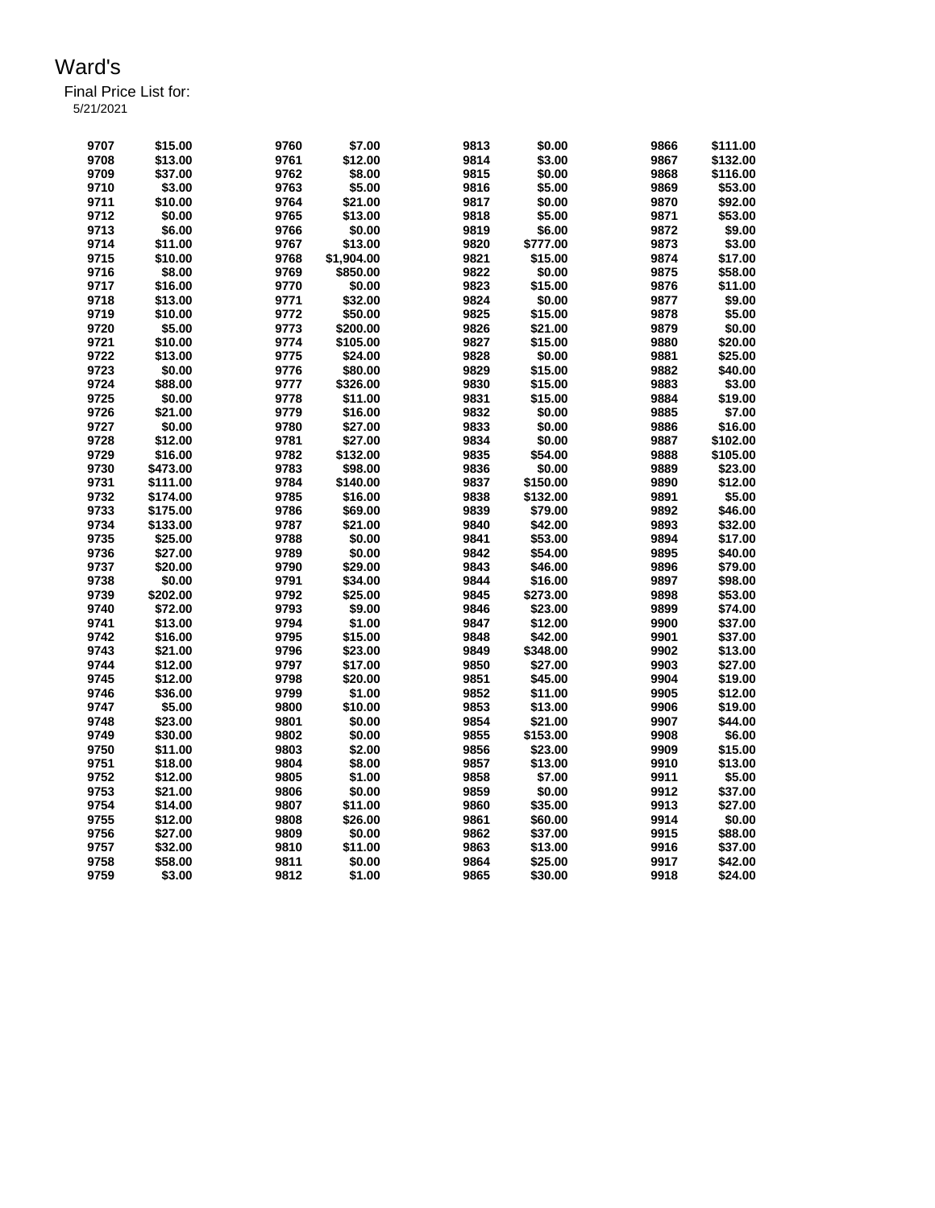| 9707 | \$15.00  | 9760 | \$7.00     | 9813 | \$0.00   | 9866 | \$111.00 |
|------|----------|------|------------|------|----------|------|----------|
| 9708 | \$13.00  | 9761 | \$12.00    | 9814 | \$3.00   | 9867 | \$132.00 |
|      |          |      |            |      |          |      |          |
| 9709 | \$37.00  | 9762 | \$8.00     | 9815 | \$0.00   | 9868 | \$116.00 |
| 9710 | \$3.00   | 9763 | \$5.00     | 9816 | \$5.00   | 9869 | \$53.00  |
| 9711 | \$10.00  | 9764 | \$21.00    | 9817 | \$0.00   | 9870 | \$92.00  |
| 9712 | \$0.00   | 9765 | \$13.00    | 9818 | \$5.00   | 9871 | \$53.00  |
| 9713 | \$6.00   | 9766 | \$0.00     | 9819 | \$6.00   | 9872 | \$9.00   |
| 9714 | \$11.00  | 9767 | \$13.00    | 9820 | \$777.00 | 9873 | \$3.00   |
| 9715 | \$10.00  | 9768 | \$1,904.00 | 9821 | \$15.00  | 9874 | \$17.00  |
| 9716 | \$8.00   | 9769 | \$850.00   | 9822 | \$0.00   | 9875 | \$58.00  |
| 9717 | \$16.00  | 9770 | \$0.00     | 9823 | \$15.00  | 9876 | \$11.00  |
| 9718 | \$13.00  | 9771 | \$32.00    | 9824 | \$0.00   | 9877 | \$9.00   |
| 9719 | \$10.00  | 9772 | \$50.00    | 9825 | \$15.00  | 9878 | \$5.00   |
| 9720 | \$5.00   | 9773 | \$200.00   | 9826 | \$21.00  | 9879 | \$0.00   |
| 9721 | \$10.00  | 9774 | \$105.00   | 9827 | \$15.00  | 9880 | \$20.00  |
| 9722 | \$13.00  | 9775 | \$24.00    | 9828 | \$0.00   | 9881 | \$25.00  |
| 9723 | \$0.00   | 9776 | \$80.00    | 9829 | \$15.00  | 9882 | \$40.00  |
|      |          |      |            | 9830 |          |      |          |
| 9724 | \$88.00  | 9777 | \$326.00   |      | \$15.00  | 9883 | \$3.00   |
| 9725 | \$0.00   | 9778 | \$11.00    | 9831 | \$15.00  | 9884 | \$19.00  |
| 9726 | \$21.00  | 9779 | \$16.00    | 9832 | \$0.00   | 9885 | \$7.00   |
| 9727 | \$0.00   | 9780 | \$27.00    | 9833 | \$0.00   | 9886 | \$16.00  |
| 9728 | \$12.00  | 9781 | \$27.00    | 9834 | \$0.00   | 9887 | \$102.00 |
| 9729 | \$16.00  | 9782 | \$132.00   | 9835 | \$54.00  | 9888 | \$105.00 |
| 9730 | \$473.00 | 9783 | \$98.00    | 9836 | \$0.00   | 9889 | \$23.00  |
| 9731 | \$111.00 | 9784 | \$140.00   | 9837 | \$150.00 | 9890 | \$12.00  |
| 9732 | \$174.00 | 9785 | \$16.00    | 9838 | \$132.00 | 9891 | \$5.00   |
| 9733 | \$175.00 | 9786 | \$69.00    | 9839 | \$79.00  | 9892 | \$46.00  |
| 9734 | \$133.00 | 9787 | \$21.00    | 9840 | \$42.00  | 9893 | \$32.00  |
| 9735 | \$25.00  | 9788 | \$0.00     | 9841 | \$53.00  | 9894 | \$17.00  |
| 9736 | \$27.00  | 9789 | \$0.00     | 9842 | \$54.00  | 9895 | \$40.00  |
| 9737 | \$20.00  | 9790 | \$29.00    | 9843 | \$46.00  | 9896 | \$79.00  |
| 9738 | \$0.00   | 9791 | \$34.00    | 9844 | \$16.00  | 9897 | \$98.00  |
| 9739 | \$202.00 | 9792 | \$25.00    | 9845 | \$273.00 | 9898 | \$53.00  |
| 9740 | \$72.00  | 9793 | \$9.00     | 9846 | \$23.00  | 9899 | \$74.00  |
| 9741 | \$13.00  | 9794 | \$1.00     | 9847 | \$12.00  | 9900 | \$37.00  |
| 9742 | \$16.00  | 9795 | \$15.00    | 9848 | \$42.00  | 9901 | \$37.00  |
|      |          |      |            |      |          |      |          |
| 9743 | \$21.00  | 9796 | \$23.00    | 9849 | \$348.00 | 9902 | \$13.00  |
| 9744 | \$12.00  | 9797 | \$17.00    | 9850 | \$27.00  | 9903 | \$27.00  |
| 9745 | \$12.00  | 9798 | \$20.00    | 9851 | \$45.00  | 9904 | \$19.00  |
| 9746 | \$36.00  | 9799 | \$1.00     | 9852 | \$11.00  | 9905 | \$12.00  |
| 9747 | \$5.00   | 9800 | \$10.00    | 9853 | \$13.00  | 9906 | \$19.00  |
| 9748 | \$23.00  | 9801 | \$0.00     | 9854 | \$21.00  | 9907 | \$44.00  |
| 9749 | \$30.00  | 9802 | \$0.00     | 9855 | \$153.00 | 9908 | \$6.00   |
| 9750 | \$11.00  | 9803 | \$2.00     | 9856 | \$23.00  | 9909 | \$15.00  |
| 9751 | \$18.00  | 9804 | \$8.00     | 9857 | \$13.00  | 9910 | \$13.00  |
| 9752 | \$12.00  | 9805 | \$1.00     | 9858 | \$7.00   | 9911 | \$5.00   |
| 9753 | \$21.00  | 9806 | \$0.00     | 9859 | \$0.00   | 9912 | \$37.00  |
| 9754 | \$14.00  | 9807 | \$11.00    | 9860 | \$35.00  | 9913 | \$27.00  |
| 9755 | \$12.00  | 9808 | \$26.00    | 9861 | \$60.00  | 9914 | \$0.00   |
| 9756 | \$27.00  | 9809 | \$0.00     | 9862 | \$37.00  | 9915 | \$88.00  |
| 9757 | \$32.00  | 9810 | \$11.00    | 9863 | \$13.00  | 9916 | \$37.00  |
| 9758 | \$58.00  | 9811 | \$0.00     | 9864 | \$25.00  | 9917 | \$42.00  |
| 9759 | \$3.00   | 9812 | \$1.00     | 9865 | \$30.00  | 9918 | \$24.00  |
|      |          |      |            |      |          |      |          |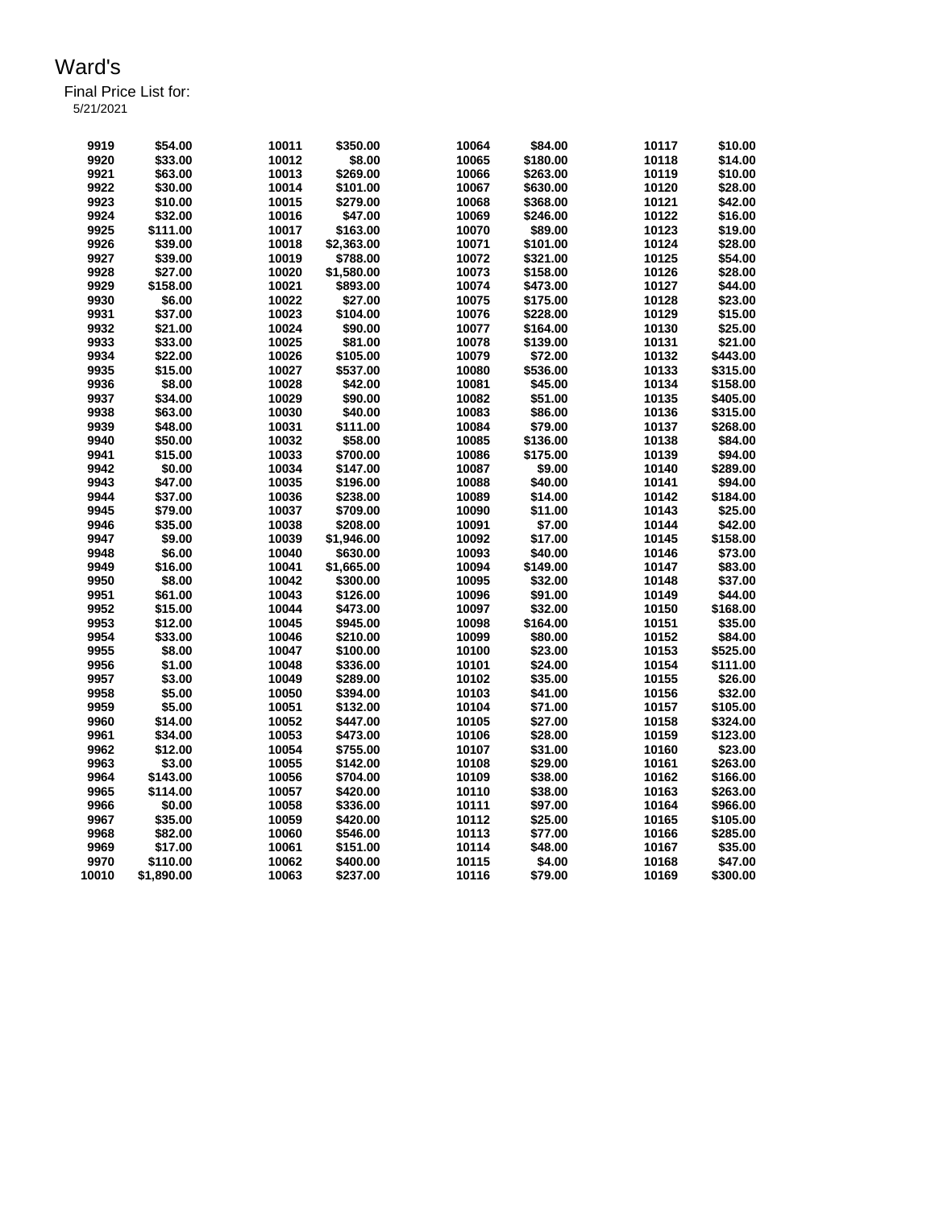| 9919  | \$54.00    | 10011 | \$350.00   | 10064 | \$84.00  | 10117 | \$10.00  |
|-------|------------|-------|------------|-------|----------|-------|----------|
| 9920  | \$33.00    | 10012 | \$8.00     | 10065 | \$180.00 | 10118 | \$14.00  |
| 9921  | \$63.00    | 10013 | \$269.00   | 10066 | \$263.00 | 10119 | \$10.00  |
| 9922  | \$30.00    | 10014 | \$101.00   | 10067 | \$630.00 | 10120 | \$28.00  |
| 9923  | \$10.00    | 10015 | \$279.00   | 10068 | \$368.00 | 10121 | \$42.00  |
| 9924  | \$32.00    | 10016 | \$47.00    | 10069 | \$246.00 | 10122 | \$16.00  |
| 9925  | \$111.00   | 10017 | \$163.00   | 10070 | \$89.00  | 10123 | \$19.00  |
| 9926  | \$39.00    | 10018 | \$2,363.00 | 10071 | \$101.00 | 10124 | \$28.00  |
| 9927  | \$39.00    | 10019 | \$788.00   | 10072 | \$321.00 | 10125 | \$54.00  |
| 9928  | \$27.00    | 10020 | \$1,580.00 | 10073 | \$158.00 | 10126 | \$28.00  |
| 9929  | \$158.00   | 10021 | \$893.00   | 10074 | \$473.00 | 10127 | \$44.00  |
| 9930  | \$6.00     | 10022 | \$27.00    | 10075 | \$175.00 | 10128 | \$23.00  |
| 9931  | \$37.00    | 10023 | \$104.00   | 10076 | \$228.00 | 10129 | \$15.00  |
| 9932  | \$21.00    | 10024 | \$90.00    | 10077 | \$164.00 | 10130 | \$25.00  |
| 9933  | \$33.00    | 10025 | \$81.00    | 10078 | \$139.00 | 10131 | \$21.00  |
| 9934  | \$22.00    | 10026 | \$105.00   | 10079 | \$72.00  | 10132 | \$443.00 |
| 9935  | \$15.00    | 10027 | \$537.00   | 10080 | \$536.00 | 10133 | \$315.00 |
| 9936  | \$8.00     | 10028 | \$42.00    | 10081 | \$45.00  | 10134 | \$158.00 |
| 9937  | \$34.00    | 10029 | \$90.00    | 10082 | \$51.00  | 10135 | \$405.00 |
| 9938  | \$63.00    | 10030 | \$40.00    | 10083 | \$86.00  | 10136 | \$315.00 |
| 9939  | \$48.00    | 10031 | \$111.00   | 10084 | \$79.00  | 10137 | \$268.00 |
| 9940  | \$50.00    | 10032 | \$58.00    | 10085 | \$136.00 | 10138 | \$84.00  |
| 9941  | \$15.00    | 10033 | \$700.00   | 10086 | \$175.00 | 10139 | \$94.00  |
| 9942  | \$0.00     | 10034 | \$147.00   | 10087 | \$9.00   | 10140 | \$289.00 |
| 9943  | \$47.00    | 10035 | \$196.00   | 10088 | \$40.00  | 10141 | \$94.00  |
| 9944  | \$37.00    | 10036 | \$238.00   | 10089 | \$14.00  | 10142 | \$184.00 |
| 9945  | \$79.00    | 10037 | \$709.00   | 10090 | \$11.00  | 10143 | \$25.00  |
| 9946  | \$35.00    | 10038 | \$208.00   | 10091 | \$7.00   | 10144 | \$42.00  |
| 9947  | \$9.00     | 10039 | \$1,946.00 | 10092 | \$17.00  | 10145 | \$158.00 |
| 9948  | \$6.00     | 10040 | \$630.00   | 10093 | \$40.00  | 10146 | \$73.00  |
| 9949  | \$16.00    | 10041 | \$1,665.00 | 10094 | \$149.00 | 10147 | \$83.00  |
| 9950  | \$8.00     | 10042 | \$300.00   | 10095 | \$32.00  | 10148 | \$37.00  |
| 9951  | \$61.00    | 10043 | \$126.00   | 10096 | \$91.00  | 10149 | \$44.00  |
| 9952  | \$15.00    | 10044 | \$473.00   | 10097 | \$32.00  | 10150 | \$168.00 |
| 9953  | \$12.00    | 10045 | \$945.00   | 10098 | \$164.00 | 10151 | \$35.00  |
| 9954  | \$33.00    | 10046 | \$210.00   | 10099 | \$80.00  | 10152 | \$84.00  |
| 9955  | \$8.00     | 10047 | \$100.00   | 10100 | \$23.00  | 10153 | \$525.00 |
| 9956  | \$1.00     | 10048 | \$336.00   | 10101 | \$24.00  | 10154 | \$111.00 |
| 9957  | \$3.00     | 10049 | \$289.00   | 10102 | \$35.00  | 10155 | \$26.00  |
| 9958  | \$5.00     | 10050 | \$394.00   | 10103 | \$41.00  | 10156 | \$32.00  |
| 9959  | \$5.00     | 10051 | \$132.00   | 10104 | \$71.00  | 10157 | \$105.00 |
| 9960  | \$14.00    | 10052 | \$447.00   | 10105 | \$27.00  | 10158 | \$324.00 |
| 9961  | \$34.00    | 10053 | \$473.00   | 10106 | \$28.00  | 10159 | \$123.00 |
| 9962  | \$12.00    | 10054 | \$755.00   | 10107 | \$31.00  | 10160 | \$23.00  |
| 9963  | \$3.00     | 10055 | \$142.00   | 10108 | \$29.00  | 10161 | \$263.00 |
| 9964  | \$143.00   | 10056 | \$704.00   | 10109 | \$38.00  | 10162 | \$166.00 |
| 9965  | \$114.00   | 10057 | \$420.00   | 10110 | \$38.00  | 10163 | \$263.00 |
| 9966  | \$0.00     | 10058 | \$336.00   | 10111 | \$97.00  | 10164 | \$966.00 |
| 9967  | \$35.00    | 10059 | \$420.00   | 10112 | \$25.00  | 10165 | \$105.00 |
| 9968  | \$82.00    | 10060 | \$546.00   | 10113 | \$77.00  | 10166 | \$285.00 |
| 9969  | \$17.00    | 10061 | \$151.00   | 10114 | \$48.00  | 10167 | \$35.00  |
| 9970  | \$110.00   | 10062 | \$400.00   | 10115 | \$4.00   | 10168 | \$47.00  |
| 10010 | \$1,890.00 | 10063 | \$237.00   | 10116 | \$79.00  | 10169 | \$300.00 |
|       |            |       |            |       |          |       |          |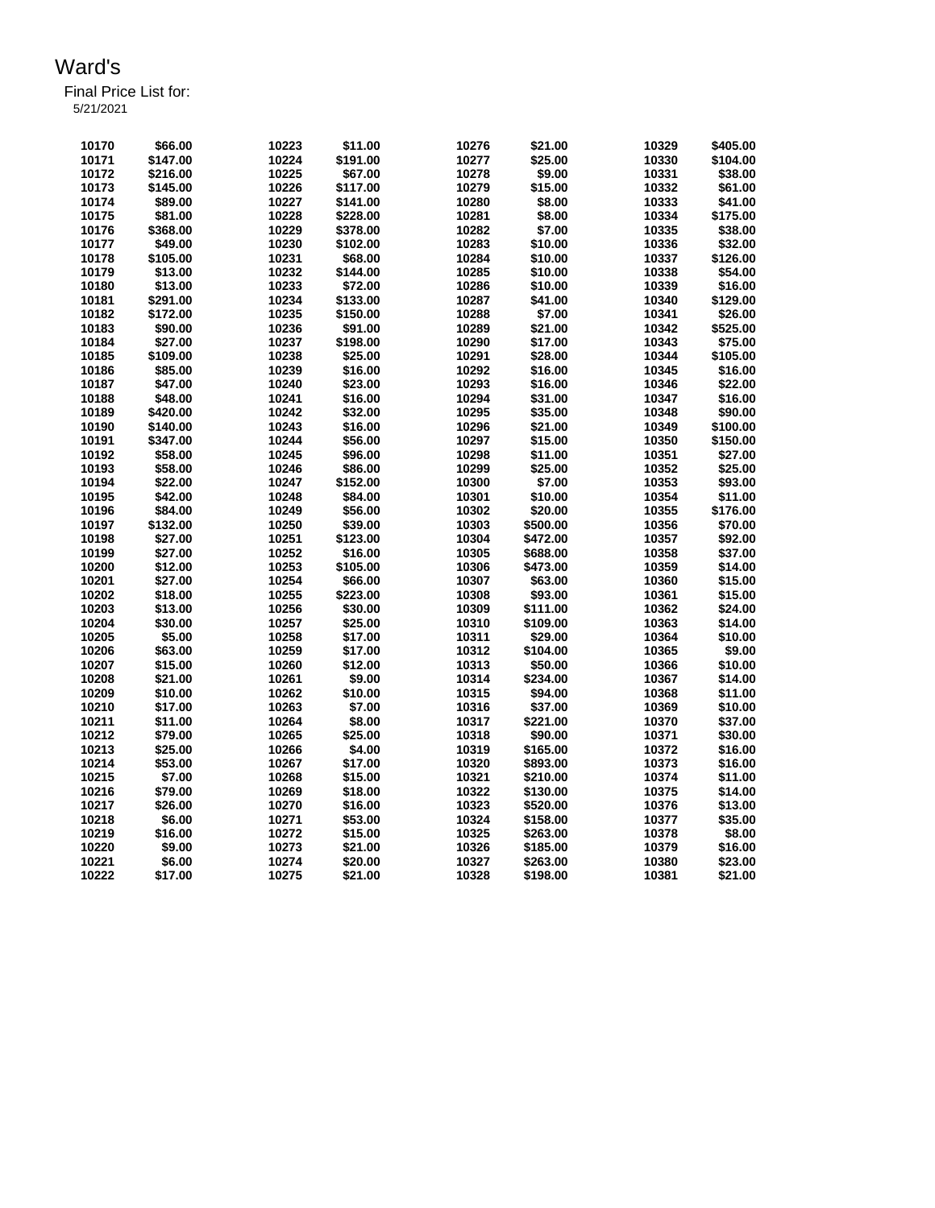| 10170 | \$66.00  | 10223 | \$11.00  | 10276 | \$21.00  | 10329 | \$405.00 |
|-------|----------|-------|----------|-------|----------|-------|----------|
| 10171 | \$147.00 | 10224 | \$191.00 | 10277 | \$25.00  | 10330 | \$104.00 |
| 10172 | \$216.00 | 10225 | \$67.00  | 10278 | \$9.00   | 10331 | \$38.00  |
| 10173 | \$145.00 | 10226 | \$117.00 | 10279 | \$15.00  | 10332 | \$61.00  |
| 10174 | \$89.00  | 10227 | \$141.00 | 10280 | \$8.00   | 10333 | \$41.00  |
| 10175 | \$81.00  | 10228 | \$228.00 | 10281 | \$8.00   | 10334 | \$175.00 |
| 10176 | \$368.00 | 10229 | \$378.00 | 10282 | \$7.00   | 10335 | \$38.00  |
| 10177 | \$49.00  | 10230 | \$102.00 | 10283 | \$10.00  | 10336 | \$32.00  |
| 10178 | \$105.00 | 10231 | \$68.00  | 10284 | \$10.00  | 10337 | \$126.00 |
| 10179 | \$13.00  | 10232 | \$144.00 | 10285 | \$10.00  | 10338 | \$54.00  |
| 10180 | \$13.00  | 10233 | \$72.00  | 10286 | \$10.00  | 10339 | \$16.00  |
| 10181 | \$291.00 | 10234 | \$133.00 | 10287 | \$41.00  | 10340 | \$129.00 |
| 10182 | \$172.00 | 10235 | \$150.00 | 10288 | \$7.00   | 10341 | \$26.00  |
| 10183 | \$90.00  | 10236 | \$91.00  | 10289 | \$21.00  | 10342 | \$525.00 |
| 10184 | \$27.00  | 10237 | \$198.00 | 10290 | \$17.00  | 10343 | \$75.00  |
| 10185 | \$109.00 | 10238 | \$25.00  | 10291 | \$28.00  | 10344 | \$105.00 |
| 10186 | \$85.00  | 10239 | \$16.00  | 10292 | \$16.00  | 10345 | \$16.00  |
| 10187 | \$47.00  | 10240 | \$23.00  | 10293 | \$16.00  | 10346 | \$22.00  |
| 10188 | \$48.00  | 10241 | \$16.00  | 10294 | \$31.00  | 10347 | \$16.00  |
| 10189 | \$420.00 | 10242 | \$32.00  | 10295 | \$35.00  | 10348 | \$90.00  |
| 10190 | \$140.00 | 10243 | \$16.00  | 10296 | \$21.00  | 10349 | \$100.00 |
| 10191 | \$347.00 | 10244 | \$56.00  | 10297 | \$15.00  | 10350 | \$150.00 |
| 10192 | \$58.00  | 10245 | \$96.00  | 10298 | \$11.00  | 10351 | \$27.00  |
| 10193 | \$58.00  | 10246 | \$86.00  | 10299 | \$25.00  | 10352 | \$25.00  |
| 10194 | \$22.00  | 10247 | \$152.00 | 10300 | \$7.00   | 10353 | \$93.00  |
| 10195 | \$42.00  | 10248 | \$84.00  | 10301 | \$10.00  | 10354 | \$11.00  |
| 10196 | \$84.00  | 10249 | \$56.00  | 10302 | \$20.00  | 10355 | \$176.00 |
| 10197 | \$132.00 | 10250 | \$39.00  | 10303 | \$500.00 | 10356 | \$70.00  |
| 10198 | \$27.00  | 10251 | \$123.00 | 10304 | \$472.00 | 10357 | \$92.00  |
| 10199 | \$27.00  | 10252 | \$16.00  | 10305 | \$688.00 | 10358 | \$37.00  |
| 10200 | \$12.00  | 10253 | \$105.00 | 10306 | \$473.00 | 10359 | \$14.00  |
| 10201 | \$27.00  | 10254 | \$66.00  | 10307 | \$63.00  | 10360 | \$15.00  |
| 10202 | \$18.00  | 10255 | \$223.00 | 10308 | \$93.00  | 10361 | \$15.00  |
| 10203 | \$13.00  | 10256 | \$30.00  | 10309 | \$111.00 | 10362 | \$24.00  |
| 10204 | \$30.00  | 10257 | \$25.00  | 10310 | \$109.00 | 10363 | \$14.00  |
| 10205 | \$5.00   | 10258 | \$17.00  | 10311 | \$29.00  | 10364 | \$10.00  |
| 10206 | \$63.00  | 10259 | \$17.00  | 10312 | \$104.00 | 10365 | \$9.00   |
| 10207 | \$15.00  | 10260 | \$12.00  | 10313 | \$50.00  | 10366 | \$10.00  |
| 10208 | \$21.00  | 10261 | \$9.00   | 10314 | \$234.00 | 10367 | \$14.00  |
| 10209 | \$10.00  | 10262 | \$10.00  | 10315 | \$94.00  | 10368 | \$11.00  |
| 10210 | \$17.00  | 10263 | \$7.00   | 10316 | \$37.00  | 10369 | \$10.00  |
| 10211 | \$11.00  | 10264 | \$8.00   | 10317 | \$221.00 | 10370 | \$37.00  |
| 10212 | \$79.00  | 10265 | \$25.00  | 10318 | \$90.00  | 10371 | \$30.00  |
| 10213 | \$25.00  | 10266 | \$4.00   | 10319 | \$165.00 | 10372 | \$16.00  |
| 10214 | \$53.00  | 10267 | \$17.00  | 10320 | \$893.00 | 10373 | \$16.00  |
| 10215 | \$7.00   | 10268 | \$15.00  | 10321 | \$210.00 | 10374 | \$11.00  |
| 10216 | \$79.00  | 10269 | \$18.00  | 10322 | \$130.00 | 10375 | \$14.00  |
| 10217 | \$26.00  | 10270 | \$16.00  | 10323 | \$520.00 | 10376 | \$13.00  |
| 10218 | \$6.00   | 10271 | \$53.00  | 10324 | \$158.00 | 10377 | \$35.00  |
| 10219 | \$16.00  | 10272 | \$15.00  | 10325 | \$263.00 | 10378 | \$8.00   |
| 10220 | \$9.00   | 10273 | \$21.00  | 10326 | \$185.00 | 10379 | \$16.00  |
| 10221 | \$6.00   | 10274 | \$20.00  | 10327 | \$263.00 | 10380 | \$23.00  |
| 10222 | \$17.00  | 10275 | \$21.00  | 10328 | \$198.00 | 10381 | \$21.00  |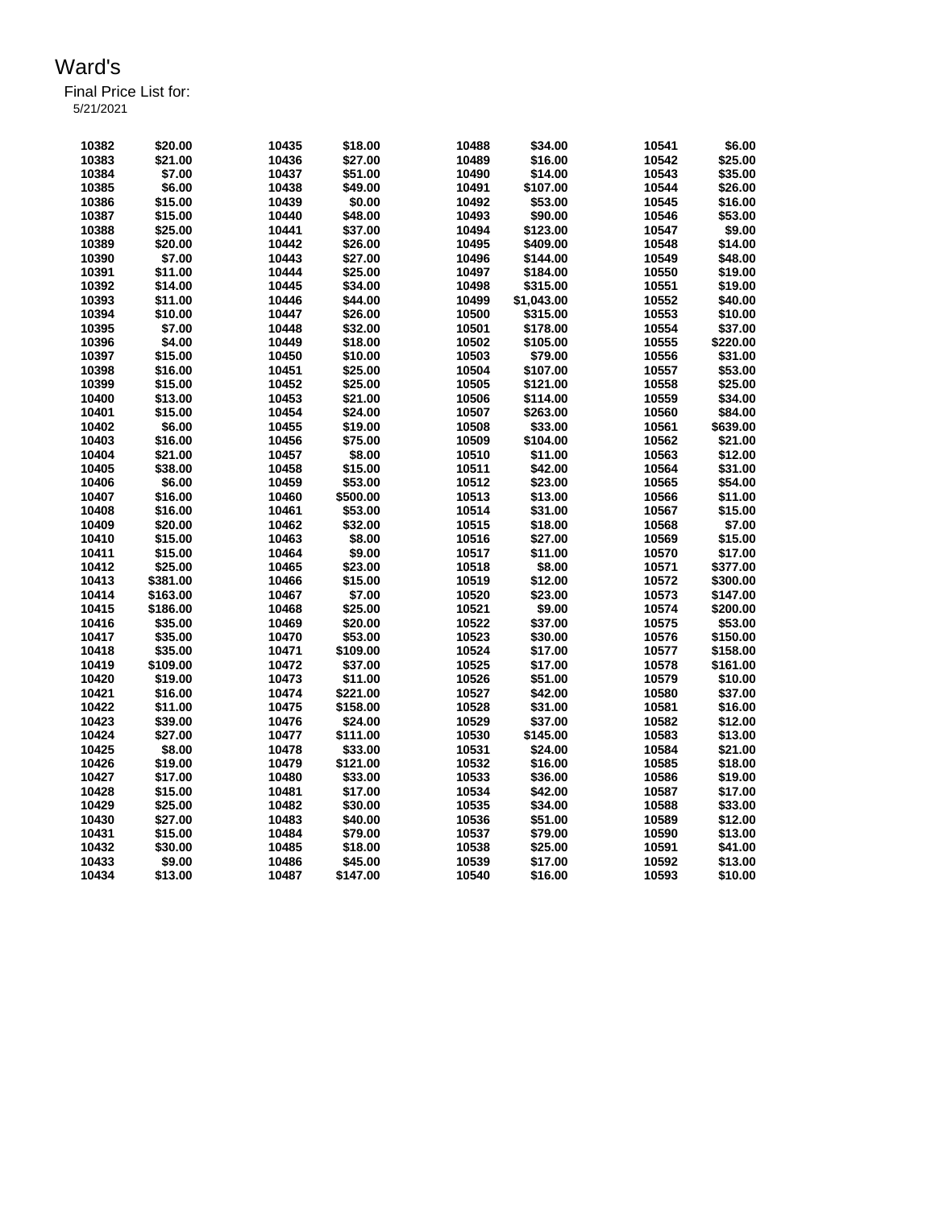| 10382          | \$20.00            | 10435 | \$18.00  | 10488          | \$34.00            | 10541          | \$6.00   |
|----------------|--------------------|-------|----------|----------------|--------------------|----------------|----------|
| 10383          | \$21.00            | 10436 | \$27.00  | 10489          | \$16.00            | 10542          | \$25.00  |
| 10384          | \$7.00             | 10437 | \$51.00  | 10490          | \$14.00            | 10543          | \$35.00  |
| 10385          | \$6.00             | 10438 | \$49.00  | 10491          | \$107.00           | 10544          | \$26.00  |
| 10386          | \$15.00            | 10439 | \$0.00   | 10492          | \$53.00            | 10545          | \$16.00  |
| 10387          | \$15.00            | 10440 | \$48.00  | 10493          | \$90.00            | 10546          | \$53.00  |
| 10388          | \$25.00            | 10441 | \$37.00  | 10494          | \$123.00           | 10547          | \$9.00   |
| 10389          | \$20.00            | 10442 | \$26.00  | 10495          | \$409.00           | 10548          | \$14.00  |
| 10390          | \$7.00             | 10443 | \$27.00  | 10496          | \$144.00           | 10549          | \$48.00  |
| 10391          | \$11.00            | 10444 | \$25.00  | 10497          | \$184.00           | 10550          | \$19.00  |
| 10392          | \$14.00            | 10445 | \$34.00  | 10498          | \$315.00           | 10551          | \$19.00  |
| 10393          | \$11.00            | 10446 | \$44.00  | 10499          | \$1,043.00         | 10552          | \$40.00  |
| 10394          | \$10.00            | 10447 | \$26.00  | 10500          | \$315.00           | 10553          | \$10.00  |
| 10395          | \$7.00             | 10448 | \$32.00  | 10501          | \$178.00           | 10554          | \$37.00  |
| 10396          | \$4.00             | 10449 | \$18.00  | 10502          | \$105.00           | 10555          | \$220.00 |
| 10397          | \$15.00            | 10450 | \$10.00  | 10503          | \$79.00            | 10556          | \$31.00  |
| 10398          | \$16.00            | 10451 | \$25.00  | 10504          | \$107.00           | 10557          | \$53.00  |
| 10399          | \$15.00            | 10452 | \$25.00  | 10505          | \$121.00           | 10558          | \$25.00  |
| 10400          | \$13.00            | 10453 | \$21.00  | 10506          | \$114.00           | 10559          | \$34.00  |
| 10401          | \$15.00            | 10454 | \$24.00  | 10507          | \$263.00           | 10560          | \$84.00  |
| 10402          | \$6.00             | 10455 | \$19.00  | 10508          | \$33.00            | 10561          | \$639.00 |
| 10403          | \$16.00            | 10456 | \$75.00  | 10509          | \$104.00           | 10562          | \$21.00  |
| 10404          | \$21.00            | 10457 | \$8.00   | 10510          | \$11.00            | 10563          | \$12.00  |
| 10405          | \$38.00            | 10458 | \$15.00  | 10511          | \$42.00            | 10564          | \$31.00  |
| 10406          | \$6.00             | 10459 | \$53.00  | 10512          | \$23.00            | 10565          | \$54.00  |
| 10407          | \$16.00            | 10460 | \$500.00 | 10513          | \$13.00            | 10566          | \$11.00  |
| 10408          | \$16.00            | 10461 | \$53.00  | 10514          | \$31.00            | 10567          | \$15.00  |
| 10409          | \$20.00            | 10462 | \$32.00  | 10515          | \$18.00            | 10568          | \$7.00   |
| 10410          | \$15.00            | 10463 | \$8.00   | 10516          | \$27.00            | 10569          | \$15.00  |
| 10411          | \$15.00            | 10464 | \$9.00   | 10517          | \$11.00            | 10570          | \$17.00  |
| 10412          | \$25.00            | 10465 | \$23.00  | 10518          | \$8.00             | 10571          | \$377.00 |
| 10413          | \$381.00           | 10466 | \$15.00  | 10519          | \$12.00            | 10572          | \$300.00 |
| 10414          | \$163.00           | 10467 | \$7.00   | 10520          | \$23.00            | 10573          | \$147.00 |
| 10415          | \$186.00           | 10468 | \$25.00  | 10521          | \$9.00             | 10574          | \$200.00 |
| 10416          | \$35.00            | 10469 | \$20.00  | 10522          | \$37.00            | 10575          | \$53.00  |
| 10417          | \$35.00            | 10470 | \$53.00  | 10523          | \$30.00            | 10576          | \$150.00 |
| 10418          | \$35.00            | 10471 | \$109.00 | 10524          | \$17.00            | 10577          | \$158.00 |
| 10419          | \$109.00           | 10472 | \$37.00  | 10525          | \$17.00            | 10578          | \$161.00 |
| 10420          | \$19.00            | 10473 | \$11.00  | 10526          | \$51.00            | 10579          | \$10.00  |
|                |                    | 10474 | \$221.00 |                |                    |                | \$37.00  |
| 10421<br>10422 | \$16.00<br>\$11.00 | 10475 | \$158.00 | 10527<br>10528 | \$42.00<br>\$31.00 | 10580<br>10581 | \$16.00  |
| 10423          |                    |       |          | 10529          |                    |                | \$12.00  |
|                | \$39.00            | 10476 | \$24.00  |                | \$37.00            | 10582          |          |
| 10424          | \$27.00            | 10477 | \$111.00 | 10530          | \$145.00           | 10583          | \$13.00  |
| 10425          | \$8.00             | 10478 | \$33.00  | 10531          | \$24.00            | 10584          | \$21.00  |
| 10426          | \$19.00            | 10479 | \$121.00 | 10532          | \$16.00            | 10585          | \$18.00  |
| 10427          | \$17.00            | 10480 | \$33.00  | 10533          | \$36.00            | 10586          | \$19.00  |
| 10428          | \$15.00            | 10481 | \$17.00  | 10534          | \$42.00            | 10587          | \$17.00  |
| 10429          | \$25.00            | 10482 | \$30.00  | 10535          | \$34.00            | 10588          | \$33.00  |
| 10430          | \$27.00            | 10483 | \$40.00  | 10536          | \$51.00            | 10589          | \$12.00  |
| 10431          | \$15.00            | 10484 | \$79.00  | 10537          | \$79.00            | 10590          | \$13.00  |
| 10432          | \$30.00            | 10485 | \$18.00  | 10538          | \$25.00            | 10591          | \$41.00  |
| 10433          | \$9.00             | 10486 | \$45.00  | 10539          | \$17.00            | 10592          | \$13.00  |
| 10434          | \$13.00            | 10487 | \$147.00 | 10540          | \$16.00            | 10593          | \$10.00  |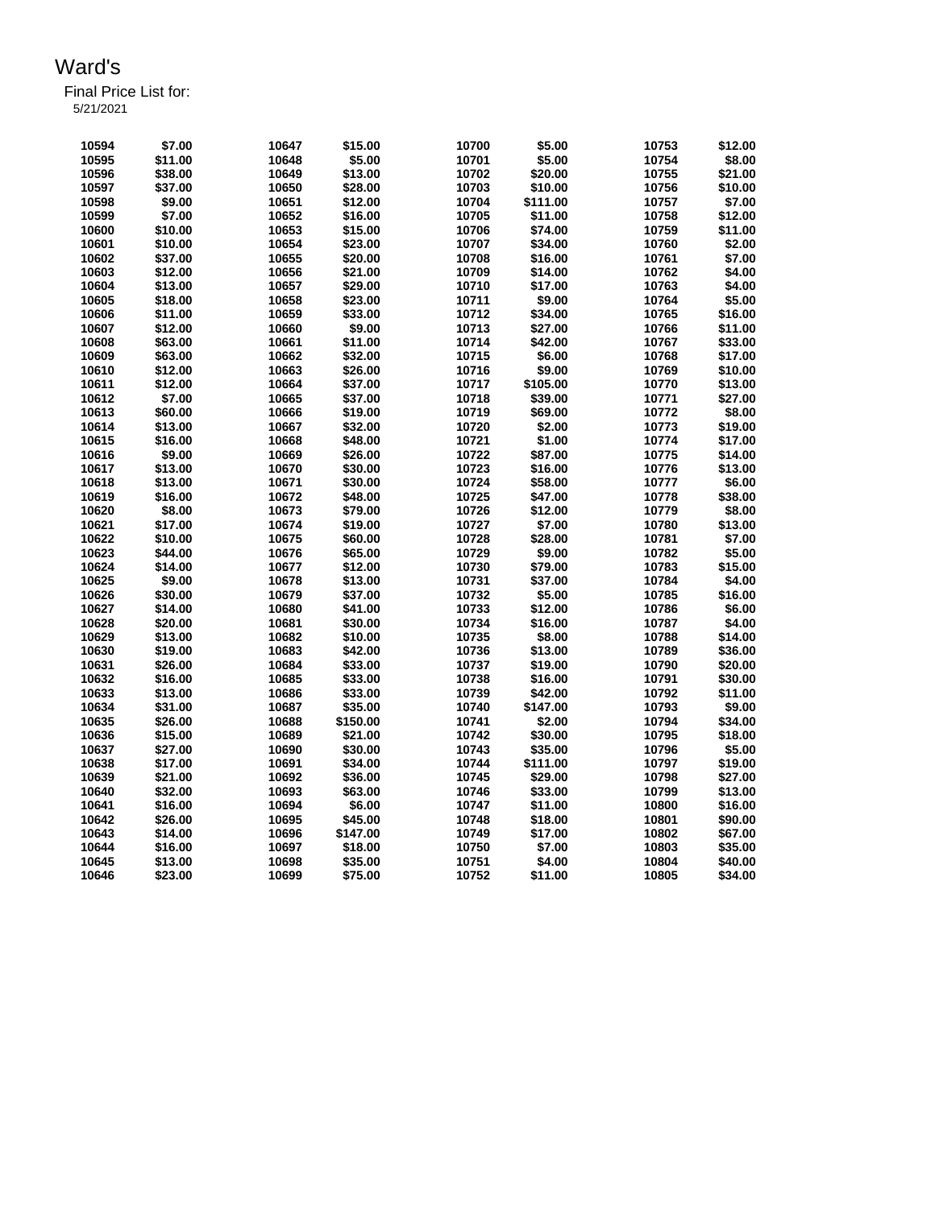Final Price List for:

5/21/2021

| 10594 | \$7.00  | 10647 | \$15.00  | 10700 | \$5.00   | 10753 | \$12.00 |
|-------|---------|-------|----------|-------|----------|-------|---------|
| 10595 | \$11.00 | 10648 | \$5.00   | 10701 | \$5.00   | 10754 | \$8.00  |
| 10596 | \$38.00 | 10649 | \$13.00  | 10702 | \$20.00  | 10755 | \$21.00 |
| 10597 | \$37.00 | 10650 | \$28.00  | 10703 | \$10.00  | 10756 | \$10.00 |
| 10598 | \$9.00  | 10651 | \$12.00  | 10704 | \$111.00 | 10757 | \$7.00  |
| 10599 | \$7.00  | 10652 | \$16.00  | 10705 | \$11.00  | 10758 | \$12.00 |
| 10600 | \$10.00 | 10653 | \$15.00  | 10706 | \$74.00  | 10759 | \$11.00 |
| 10601 | \$10.00 | 10654 | \$23.00  | 10707 | \$34.00  | 10760 | \$2.00  |
| 10602 | \$37.00 | 10655 | \$20.00  | 10708 | \$16.00  | 10761 | \$7.00  |
| 10603 | \$12.00 | 10656 | \$21.00  | 10709 | \$14.00  | 10762 | \$4.00  |
| 10604 | \$13.00 | 10657 | \$29.00  | 10710 | \$17.00  | 10763 | \$4.00  |
| 10605 | \$18.00 | 10658 | \$23.00  | 10711 | \$9.00   | 10764 | \$5.00  |
| 10606 | \$11.00 | 10659 | \$33.00  | 10712 | \$34.00  | 10765 | \$16.00 |
| 10607 | \$12.00 | 10660 | \$9.00   | 10713 | \$27.00  | 10766 | \$11.00 |
| 10608 | \$63.00 | 10661 | \$11.00  | 10714 | \$42.00  | 10767 | \$33.00 |
| 10609 | \$63.00 | 10662 | \$32.00  | 10715 | \$6.00   | 10768 | \$17.00 |
| 10610 | \$12.00 | 10663 | \$26.00  | 10716 | \$9.00   | 10769 | \$10.00 |
| 10611 | \$12.00 |       | \$37.00  | 10717 | \$105.00 | 10770 | \$13.00 |
|       |         | 10664 |          |       |          |       |         |
| 10612 | \$7.00  | 10665 | \$37.00  | 10718 | \$39.00  | 10771 | \$27.00 |
| 10613 | \$60.00 | 10666 | \$19.00  | 10719 | \$69.00  | 10772 | \$8.00  |
| 10614 | \$13.00 | 10667 | \$32.00  | 10720 | \$2.00   | 10773 | \$19.00 |
| 10615 | \$16.00 | 10668 | \$48.00  | 10721 | \$1.00   | 10774 | \$17.00 |
| 10616 | \$9.00  | 10669 | \$26.00  | 10722 | \$87.00  | 10775 | \$14.00 |
| 10617 | \$13.00 | 10670 | \$30.00  | 10723 | \$16.00  | 10776 | \$13.00 |
| 10618 | \$13.00 | 10671 | \$30.00  | 10724 | \$58.00  | 10777 | \$6.00  |
| 10619 | \$16.00 | 10672 | \$48.00  | 10725 | \$47.00  | 10778 | \$38.00 |
| 10620 | \$8.00  | 10673 | \$79.00  | 10726 | \$12.00  | 10779 | \$8.00  |
| 10621 | \$17.00 | 10674 | \$19.00  | 10727 | \$7.00   | 10780 | \$13.00 |
| 10622 | \$10.00 | 10675 | \$60.00  | 10728 | \$28.00  | 10781 | \$7.00  |
| 10623 | \$44.00 | 10676 | \$65.00  | 10729 | \$9.00   | 10782 | \$5.00  |
| 10624 | \$14.00 | 10677 | \$12.00  | 10730 | \$79.00  | 10783 | \$15.00 |
| 10625 | \$9.00  | 10678 | \$13.00  | 10731 | \$37.00  | 10784 | \$4.00  |
| 10626 | \$30.00 | 10679 | \$37.00  | 10732 | \$5.00   | 10785 | \$16.00 |
| 10627 | \$14.00 | 10680 | \$41.00  | 10733 | \$12.00  | 10786 | \$6.00  |
| 10628 | \$20.00 | 10681 | \$30.00  | 10734 | \$16.00  | 10787 | \$4.00  |
| 10629 | \$13.00 | 10682 | \$10.00  | 10735 | \$8.00   | 10788 | \$14.00 |
| 10630 | \$19.00 | 10683 | \$42.00  | 10736 | \$13.00  | 10789 | \$36.00 |
| 10631 | \$26.00 | 10684 | \$33.00  | 10737 | \$19.00  | 10790 | \$20.00 |
| 10632 | \$16.00 | 10685 | \$33.00  | 10738 | \$16.00  | 10791 | \$30.00 |
| 10633 | \$13.00 | 10686 | \$33.00  | 10739 | \$42.00  | 10792 | \$11.00 |
| 10634 | \$31.00 | 10687 | \$35.00  | 10740 | \$147.00 | 10793 | \$9.00  |
| 10635 | \$26.00 | 10688 | \$150.00 | 10741 | \$2.00   | 10794 | \$34.00 |
| 10636 | \$15.00 | 10689 | \$21.00  | 10742 | \$30.00  | 10795 | \$18.00 |
| 10637 | \$27.00 | 10690 | \$30.00  | 10743 | \$35.00  | 10796 | \$5.00  |
| 10638 | \$17.00 | 10691 | \$34.00  | 10744 | \$111.00 | 10797 | \$19.00 |
| 10639 | \$21.00 | 10692 | \$36.00  | 10745 | \$29.00  | 10798 | \$27.00 |
| 10640 | \$32.00 | 10693 | \$63.00  | 10746 | \$33.00  | 10799 | \$13.00 |
| 10641 | \$16.00 | 10694 | \$6.00   | 10747 | \$11.00  | 10800 | \$16.00 |
| 10642 | \$26.00 | 10695 | \$45.00  | 10748 | \$18.00  | 10801 | \$90.00 |
| 10643 | \$14.00 | 10696 | \$147.00 | 10749 | \$17.00  | 10802 | \$67.00 |
| 10644 | \$16.00 | 10697 | \$18.00  | 10750 | \$7.00   | 10803 | \$35.00 |
| 10645 | \$13.00 | 10698 | \$35.00  | 10751 | \$4.00   | 10804 | \$40.00 |
|       |         |       |          |       |          |       |         |
| 10646 | \$23.00 | 10699 | \$75.00  | 10752 | \$11.00  | 10805 | \$34.00 |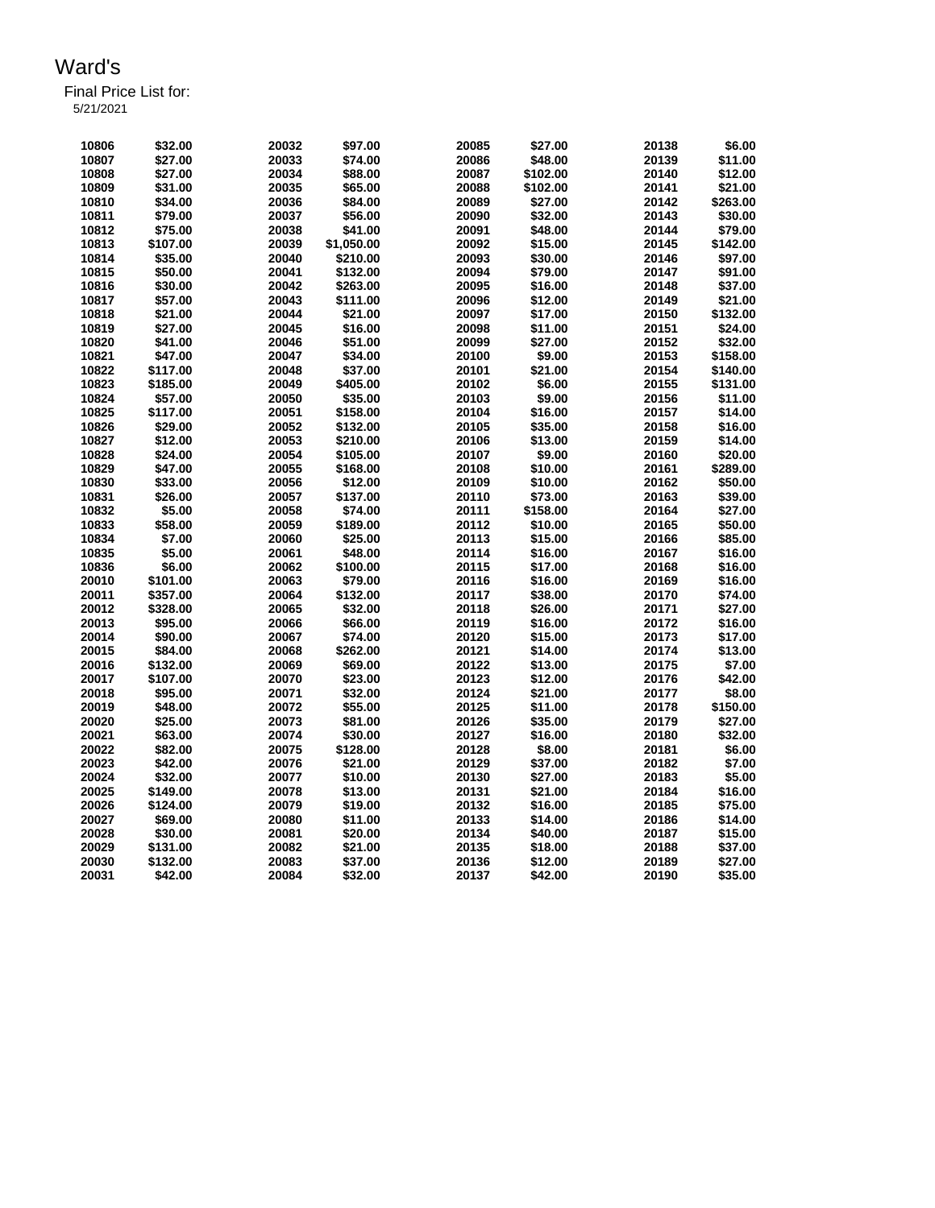| 10806 | \$32.00  | 20032 | \$97.00    | 20085 | \$27.00  | 20138 | \$6.00   |
|-------|----------|-------|------------|-------|----------|-------|----------|
| 10807 | \$27.00  | 20033 | \$74.00    | 20086 | \$48.00  | 20139 | \$11.00  |
| 10808 | \$27.00  | 20034 | \$88.00    | 20087 | \$102.00 | 20140 | \$12.00  |
| 10809 | \$31.00  | 20035 | \$65.00    | 20088 | \$102.00 | 20141 | \$21.00  |
| 10810 | \$34.00  | 20036 | \$84.00    | 20089 | \$27.00  | 20142 | \$263.00 |
| 10811 | \$79.00  | 20037 | \$56.00    | 20090 | \$32.00  | 20143 | \$30.00  |
| 10812 | \$75.00  | 20038 | \$41.00    | 20091 | \$48.00  | 20144 | \$79.00  |
| 10813 | \$107.00 | 20039 | \$1,050.00 | 20092 | \$15.00  | 20145 | \$142.00 |
| 10814 | \$35.00  | 20040 | \$210.00   | 20093 | \$30.00  | 20146 | \$97.00  |
| 10815 | \$50.00  | 20041 | \$132.00   | 20094 | \$79.00  | 20147 | \$91.00  |
| 10816 | \$30.00  | 20042 | \$263.00   | 20095 | \$16.00  | 20148 | \$37.00  |
| 10817 | \$57.00  | 20043 | \$111.00   | 20096 | \$12.00  | 20149 | \$21.00  |
| 10818 | \$21.00  | 20044 | \$21.00    | 20097 | \$17.00  | 20150 | \$132.00 |
| 10819 | \$27.00  | 20045 | \$16.00    | 20098 | \$11.00  | 20151 | \$24.00  |
| 10820 |          | 20046 | \$51.00    | 20099 | \$27.00  | 20152 | \$32.00  |
|       | \$41.00  |       |            |       |          |       |          |
| 10821 | \$47.00  | 20047 | \$34.00    | 20100 | \$9.00   | 20153 | \$158.00 |
| 10822 | \$117.00 | 20048 | \$37.00    | 20101 | \$21.00  | 20154 | \$140.00 |
| 10823 | \$185.00 | 20049 | \$405.00   | 20102 | \$6.00   | 20155 | \$131.00 |
| 10824 | \$57.00  | 20050 | \$35.00    | 20103 | \$9.00   | 20156 | \$11.00  |
| 10825 | \$117.00 | 20051 | \$158.00   | 20104 | \$16.00  | 20157 | \$14.00  |
| 10826 | \$29.00  | 20052 | \$132.00   | 20105 | \$35.00  | 20158 | \$16.00  |
| 10827 | \$12.00  | 20053 | \$210.00   | 20106 | \$13.00  | 20159 | \$14.00  |
| 10828 | \$24.00  | 20054 | \$105.00   | 20107 | \$9.00   | 20160 | \$20.00  |
| 10829 | \$47.00  | 20055 | \$168.00   | 20108 | \$10.00  | 20161 | \$289.00 |
| 10830 | \$33.00  | 20056 | \$12.00    | 20109 | \$10.00  | 20162 | \$50.00  |
| 10831 | \$26.00  | 20057 | \$137.00   | 20110 | \$73.00  | 20163 | \$39.00  |
| 10832 | \$5.00   | 20058 | \$74.00    | 20111 | \$158.00 | 20164 | \$27.00  |
| 10833 | \$58.00  | 20059 | \$189.00   | 20112 | \$10.00  | 20165 | \$50.00  |
| 10834 | \$7.00   | 20060 | \$25.00    | 20113 | \$15.00  | 20166 | \$85.00  |
| 10835 | \$5.00   | 20061 | \$48.00    | 20114 | \$16.00  | 20167 | \$16.00  |
| 10836 | \$6.00   | 20062 | \$100.00   | 20115 | \$17.00  | 20168 | \$16.00  |
| 20010 | \$101.00 | 20063 | \$79.00    | 20116 | \$16.00  | 20169 | \$16.00  |
| 20011 | \$357.00 | 20064 | \$132.00   | 20117 | \$38.00  | 20170 | \$74.00  |
| 20012 | \$328.00 | 20065 | \$32.00    | 20118 | \$26.00  | 20171 | \$27.00  |
| 20013 | \$95.00  | 20066 | \$66.00    | 20119 | \$16.00  | 20172 | \$16.00  |
| 20014 | \$90.00  | 20067 | \$74.00    | 20120 | \$15.00  | 20173 | \$17.00  |
|       |          |       |            |       |          |       |          |
| 20015 | \$84.00  | 20068 | \$262.00   | 20121 | \$14.00  | 20174 | \$13.00  |
| 20016 | \$132.00 | 20069 | \$69.00    | 20122 | \$13.00  | 20175 | \$7.00   |
| 20017 | \$107.00 | 20070 | \$23.00    | 20123 | \$12.00  | 20176 | \$42.00  |
| 20018 | \$95.00  | 20071 | \$32.00    | 20124 | \$21.00  | 20177 | \$8.00   |
| 20019 | \$48.00  | 20072 | \$55.00    | 20125 | \$11.00  | 20178 | \$150.00 |
| 20020 | \$25.00  | 20073 | \$81.00    | 20126 | \$35.00  | 20179 | \$27.00  |
| 20021 | \$63.00  | 20074 | \$30.00    | 20127 | \$16.00  | 20180 | \$32.00  |
| 20022 | \$82.00  | 20075 | \$128.00   | 20128 | \$8.00   | 20181 | \$6.00   |
| 20023 | \$42.00  | 20076 | \$21.00    | 20129 | \$37.00  | 20182 | \$7.00   |
| 20024 | \$32.00  | 20077 | \$10.00    | 20130 | \$27.00  | 20183 | \$5.00   |
| 20025 | \$149.00 | 20078 | \$13.00    | 20131 | \$21.00  | 20184 | \$16.00  |
| 20026 | \$124.00 | 20079 | \$19.00    | 20132 | \$16.00  | 20185 | \$75.00  |
| 20027 | \$69.00  | 20080 | \$11.00    | 20133 | \$14.00  | 20186 | \$14.00  |
| 20028 | \$30.00  | 20081 | \$20.00    | 20134 | \$40.00  | 20187 | \$15.00  |
| 20029 | \$131.00 | 20082 | \$21.00    | 20135 | \$18.00  | 20188 | \$37.00  |
| 20030 | \$132.00 | 20083 | \$37.00    | 20136 | \$12.00  | 20189 | \$27.00  |
| 20031 | \$42.00  | 20084 | \$32.00    | 20137 | \$42.00  | 20190 | \$35.00  |
|       |          |       |            |       |          |       |          |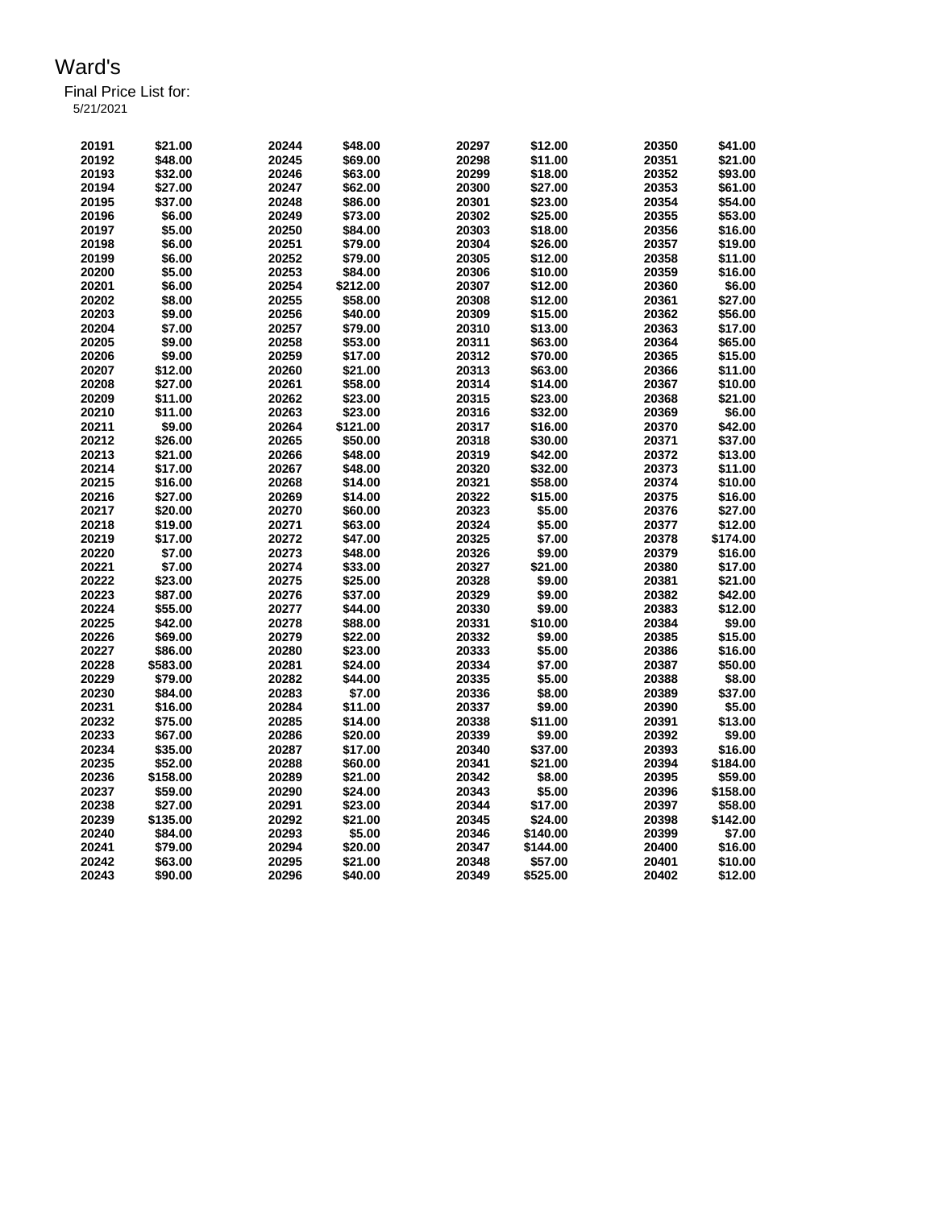| 20191 | \$21.00      | 20244        | \$48.00      | 20297        | \$12.00       | 20350        | \$41.00 |
|-------|--------------|--------------|--------------|--------------|---------------|--------------|---------|
| 20192 | \$48.00      | 20245        | \$69.00      | 20298        | \$11.00       | 20351        | \$21.00 |
| 20193 | \$32.00      | 20246        | \$63.00      | 20299        | \$18.00       | 20352        | \$93.00 |
| 20194 | \$27.00      | 20247        | \$62.00      | 20300        | \$27.00       | 20353        | \$61.00 |
| 20195 | \$37.00      | 20248        | \$86.00      | 20301        | \$23.00       | 20354        | \$54.00 |
| 20196 | \$6.00       | 20249        | \$73.00      | 20302        | \$25.00       | 20355        | \$53.00 |
| 20407 | <b>CE OO</b> | <b>OOOEO</b> | <b>COLON</b> | <b>nnono</b> | <b>CAO 00</b> | <b>OODEC</b> | eac nn  |

| 20194 | \$27.00  | 20247 | \$62.00  | 20300 | \$27.00  | 20353 | \$61.00  |
|-------|----------|-------|----------|-------|----------|-------|----------|
| 20195 | \$37.00  | 20248 | \$86.00  | 20301 | \$23.00  | 20354 | \$54.00  |
| 20196 | \$6.00   | 20249 | \$73.00  | 20302 | \$25.00  | 20355 | \$53.00  |
| 20197 | \$5.00   | 20250 | \$84.00  | 20303 | \$18.00  | 20356 | \$16.00  |
| 20198 | \$6.00   | 20251 | \$79.00  | 20304 | \$26.00  | 20357 | \$19.00  |
| 20199 | \$6.00   | 20252 | \$79.00  | 20305 | \$12.00  | 20358 | \$11.00  |
| 20200 | \$5.00   | 20253 | \$84.00  | 20306 | \$10.00  | 20359 | \$16.00  |
| 20201 | \$6.00   | 20254 | \$212.00 | 20307 | \$12.00  | 20360 | \$6.00   |
| 20202 | \$8.00   | 20255 | \$58.00  | 20308 | \$12.00  | 20361 | \$27.00  |
| 20203 | \$9.00   | 20256 | \$40.00  | 20309 | \$15.00  | 20362 | \$56.00  |
| 20204 | \$7.00   | 20257 | \$79.00  | 20310 | \$13.00  | 20363 | \$17.00  |
| 20205 | \$9.00   | 20258 | \$53.00  | 20311 | \$63.00  | 20364 | \$65.00  |
| 20206 | \$9.00   | 20259 | \$17.00  | 20312 | \$70.00  | 20365 | \$15.00  |
| 20207 | \$12.00  | 20260 | \$21.00  | 20313 | \$63.00  | 20366 | \$11.00  |
| 20208 | \$27.00  | 20261 | \$58.00  | 20314 | \$14.00  | 20367 | \$10.00  |
| 20209 | \$11.00  | 20262 |          | 20315 | \$23.00  | 20368 | \$21.00  |
|       |          |       | \$23.00  |       |          |       |          |
| 20210 | \$11.00  | 20263 | \$23.00  | 20316 | \$32.00  | 20369 | \$6.00   |
| 20211 | \$9.00   | 20264 | \$121.00 | 20317 | \$16.00  | 20370 | \$42.00  |
| 20212 | \$26.00  | 20265 | \$50.00  | 20318 | \$30.00  | 20371 | \$37.00  |
| 20213 | \$21.00  | 20266 | \$48.00  | 20319 | \$42.00  | 20372 | \$13.00  |
| 20214 | \$17.00  | 20267 | \$48.00  | 20320 | \$32.00  | 20373 | \$11.00  |
| 20215 | \$16.00  | 20268 | \$14.00  | 20321 | \$58.00  | 20374 | \$10.00  |
| 20216 | \$27.00  | 20269 | \$14.00  | 20322 | \$15.00  | 20375 | \$16.00  |
| 20217 | \$20.00  | 20270 | \$60.00  | 20323 | \$5.00   | 20376 | \$27.00  |
| 20218 | \$19.00  | 20271 | \$63.00  | 20324 | \$5.00   | 20377 | \$12.00  |
| 20219 | \$17.00  | 20272 | \$47.00  | 20325 | \$7.00   | 20378 | \$174.00 |
| 20220 | \$7.00   | 20273 | \$48.00  | 20326 | \$9.00   | 20379 | \$16.00  |
| 20221 | \$7.00   | 20274 | \$33.00  | 20327 | \$21.00  | 20380 | \$17.00  |
| 20222 | \$23.00  | 20275 | \$25.00  | 20328 | \$9.00   | 20381 | \$21.00  |
| 20223 | \$87.00  | 20276 | \$37.00  | 20329 | \$9.00   | 20382 | \$42.00  |
| 20224 | \$55.00  | 20277 | \$44.00  | 20330 | \$9.00   | 20383 | \$12.00  |
| 20225 | \$42.00  | 20278 | \$88.00  | 20331 | \$10.00  | 20384 | \$9.00   |
| 20226 | \$69.00  | 20279 | \$22.00  | 20332 | \$9.00   | 20385 | \$15.00  |
| 20227 | \$86.00  | 20280 | \$23.00  | 20333 | \$5.00   | 20386 | \$16.00  |
| 20228 | \$583.00 | 20281 | \$24.00  | 20334 | \$7.00   | 20387 | \$50.00  |
| 20229 | \$79.00  | 20282 | \$44.00  | 20335 | \$5.00   | 20388 | \$8.00   |
| 20230 | \$84.00  | 20283 | \$7.00   | 20336 | \$8.00   | 20389 | \$37.00  |
| 20231 | \$16.00  | 20284 | \$11.00  | 20337 | \$9.00   | 20390 | \$5.00   |
| 20232 | \$75.00  | 20285 | \$14.00  | 20338 | \$11.00  | 20391 | \$13.00  |
| 20233 | \$67.00  | 20286 | \$20.00  | 20339 | \$9.00   | 20392 | \$9.00   |
| 20234 | \$35.00  | 20287 | \$17.00  | 20340 | \$37.00  | 20393 | \$16.00  |
| 20235 | \$52.00  | 20288 | \$60.00  | 20341 | \$21.00  | 20394 | \$184.00 |
| 20236 | \$158.00 | 20289 | \$21.00  | 20342 | \$8.00   | 20395 | \$59.00  |
| 20237 | \$59.00  | 20290 | \$24.00  | 20343 | \$5.00   | 20396 | \$158.00 |
| 20238 | \$27.00  | 20291 | \$23.00  | 20344 | \$17.00  | 20397 | \$58.00  |
| 20239 | \$135.00 | 20292 | \$21.00  | 20345 | \$24.00  | 20398 | \$142.00 |
| 20240 | \$84.00  | 20293 | \$5.00   | 20346 | \$140.00 | 20399 | \$7.00   |
| 20241 | \$79.00  | 20294 | \$20.00  | 20347 | \$144.00 | 20400 | \$16.00  |
| 20242 | \$63.00  | 20295 | \$21.00  | 20348 | \$57.00  | 20401 | \$10.00  |
| 20243 | \$90.00  | 20296 | \$40.00  | 20349 | \$525.00 | 20402 | \$12.00  |
|       |          |       |          |       |          |       |          |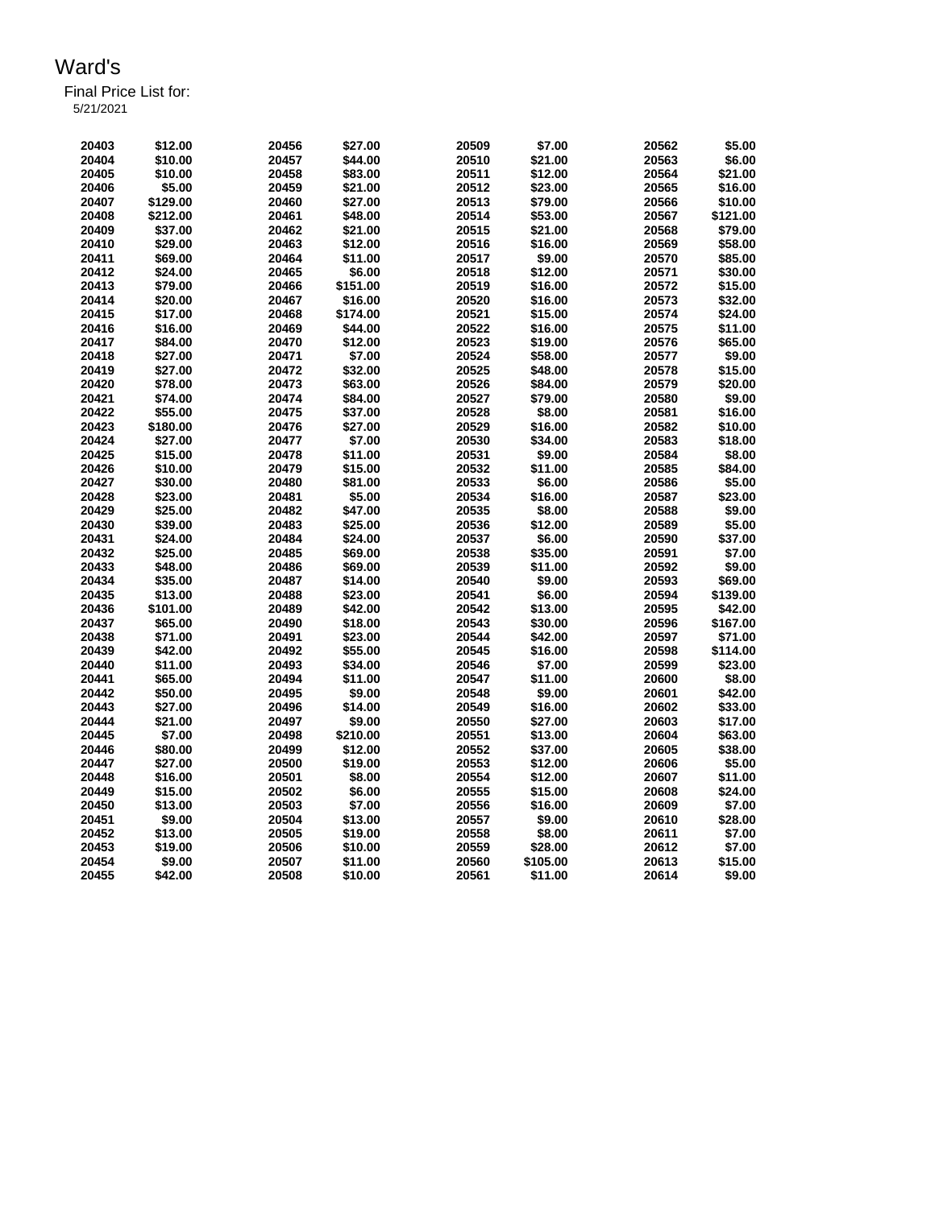| 20403 | \$12.00  | 20456 | \$27.00  | 20509 | \$7.00   | 20562 | \$5.00   |
|-------|----------|-------|----------|-------|----------|-------|----------|
| 20404 | \$10.00  | 20457 | \$44.00  | 20510 | \$21.00  | 20563 | \$6.00   |
| 20405 | \$10.00  | 20458 | \$83.00  | 20511 | \$12.00  | 20564 | \$21.00  |
| 20406 | \$5.00   | 20459 | \$21.00  | 20512 | \$23.00  | 20565 | \$16.00  |
| 20407 | \$129.00 | 20460 | \$27.00  | 20513 | \$79.00  | 20566 | \$10.00  |
| 20408 | \$212.00 | 20461 | \$48.00  | 20514 | \$53.00  | 20567 | \$121.00 |
| 20409 | \$37.00  | 20462 | \$21.00  | 20515 | \$21.00  | 20568 | \$79.00  |
| 20410 | \$29.00  | 20463 | \$12.00  | 20516 | \$16.00  | 20569 | \$58.00  |
| 20411 | \$69.00  | 20464 | \$11.00  | 20517 | \$9.00   | 20570 | \$85.00  |
| 20412 | \$24.00  | 20465 | \$6.00   | 20518 | \$12.00  | 20571 | \$30.00  |
| 20413 | \$79.00  | 20466 | \$151.00 | 20519 | \$16.00  | 20572 | \$15.00  |
| 20414 | \$20.00  | 20467 | \$16.00  | 20520 | \$16.00  | 20573 | \$32.00  |
| 20415 | \$17.00  | 20468 | \$174.00 | 20521 | \$15.00  | 20574 | \$24.00  |
| 20416 | \$16.00  | 20469 | \$44.00  | 20522 | \$16.00  | 20575 | \$11.00  |
| 20417 | \$84.00  | 20470 | \$12.00  | 20523 | \$19.00  | 20576 | \$65.00  |
| 20418 | \$27.00  | 20471 | \$7.00   | 20524 | \$58.00  | 20577 | \$9.00   |
| 20419 | \$27.00  | 20472 | \$32.00  | 20525 | \$48.00  | 20578 | \$15.00  |
| 20420 | \$78.00  | 20473 | \$63.00  | 20526 | \$84.00  | 20579 | \$20.00  |
| 20421 | \$74.00  | 20474 | \$84.00  | 20527 | \$79.00  | 20580 | \$9.00   |
| 20422 | \$55.00  | 20475 | \$37.00  | 20528 | \$8.00   | 20581 | \$16.00  |
| 20423 | \$180.00 | 20476 | \$27.00  | 20529 | \$16.00  | 20582 | \$10.00  |
| 20424 | \$27.00  | 20477 | \$7.00   | 20530 | \$34.00  | 20583 | \$18.00  |
| 20425 | \$15.00  | 20478 | \$11.00  | 20531 | \$9.00   | 20584 | \$8.00   |
| 20426 | \$10.00  | 20479 | \$15.00  | 20532 | \$11.00  | 20585 | \$84.00  |
| 20427 | \$30.00  | 20480 | \$81.00  | 20533 | \$6.00   | 20586 | \$5.00   |
| 20428 | \$23.00  | 20481 | \$5.00   | 20534 | \$16.00  | 20587 | \$23.00  |
| 20429 | \$25.00  | 20482 | \$47.00  | 20535 | \$8.00   | 20588 | \$9.00   |
| 20430 | \$39.00  | 20483 | \$25.00  | 20536 | \$12.00  | 20589 | \$5.00   |
| 20431 | \$24.00  | 20484 | \$24.00  | 20537 | \$6.00   | 20590 | \$37.00  |
| 20432 | \$25.00  | 20485 | \$69.00  | 20538 | \$35.00  | 20591 | \$7.00   |
| 20433 | \$48.00  | 20486 | \$69.00  | 20539 | \$11.00  | 20592 | \$9.00   |
| 20434 | \$35.00  | 20487 | \$14.00  | 20540 | \$9.00   | 20593 | \$69.00  |
| 20435 | \$13.00  | 20488 | \$23.00  | 20541 | \$6.00   | 20594 | \$139.00 |
| 20436 | \$101.00 | 20489 | \$42.00  | 20542 | \$13.00  | 20595 | \$42.00  |
| 20437 | \$65.00  | 20490 | \$18.00  | 20543 | \$30.00  | 20596 | \$167.00 |
| 20438 | \$71.00  | 20491 | \$23.00  | 20544 | \$42.00  | 20597 | \$71.00  |
| 20439 | \$42.00  | 20492 | \$55.00  | 20545 | \$16.00  | 20598 | \$114.00 |
| 20440 | \$11.00  | 20493 | \$34.00  | 20546 | \$7.00   | 20599 | \$23.00  |
| 20441 | \$65.00  | 20494 | \$11.00  | 20547 | \$11.00  | 20600 | \$8.00   |
| 20442 | \$50.00  | 20495 | \$9.00   | 20548 | \$9.00   | 20601 | \$42.00  |
| 20443 | \$27.00  | 20496 | \$14.00  | 20549 | \$16.00  | 20602 | \$33.00  |
| 20444 | \$21.00  | 20497 | \$9.00   | 20550 | \$27.00  | 20603 | \$17.00  |
| 20445 | \$7.00   | 20498 | \$210.00 | 20551 | \$13.00  | 20604 | \$63.00  |
| 20446 | \$80.00  | 20499 | \$12.00  | 20552 | \$37.00  | 20605 | \$38.00  |
| 20447 | \$27.00  | 20500 | \$19.00  | 20553 | \$12.00  | 20606 | \$5.00   |
| 20448 | \$16.00  | 20501 | \$8.00   | 20554 | \$12.00  | 20607 | \$11.00  |
| 20449 | \$15.00  | 20502 | \$6.00   | 20555 | \$15.00  | 20608 | \$24.00  |
| 20450 | \$13.00  | 20503 | \$7.00   | 20556 | \$16.00  | 20609 | \$7.00   |
| 20451 | \$9.00   | 20504 | \$13.00  | 20557 | \$9.00   | 20610 | \$28.00  |
| 20452 | \$13.00  | 20505 | \$19.00  | 20558 | \$8.00   | 20611 | \$7.00   |
| 20453 | \$19.00  | 20506 | \$10.00  | 20559 | \$28.00  | 20612 | \$7.00   |
| 20454 | \$9.00   | 20507 | \$11.00  | 20560 | \$105.00 | 20613 | \$15.00  |
| 20455 | \$42.00  | 20508 | \$10.00  | 20561 | \$11.00  | 20614 | \$9.00   |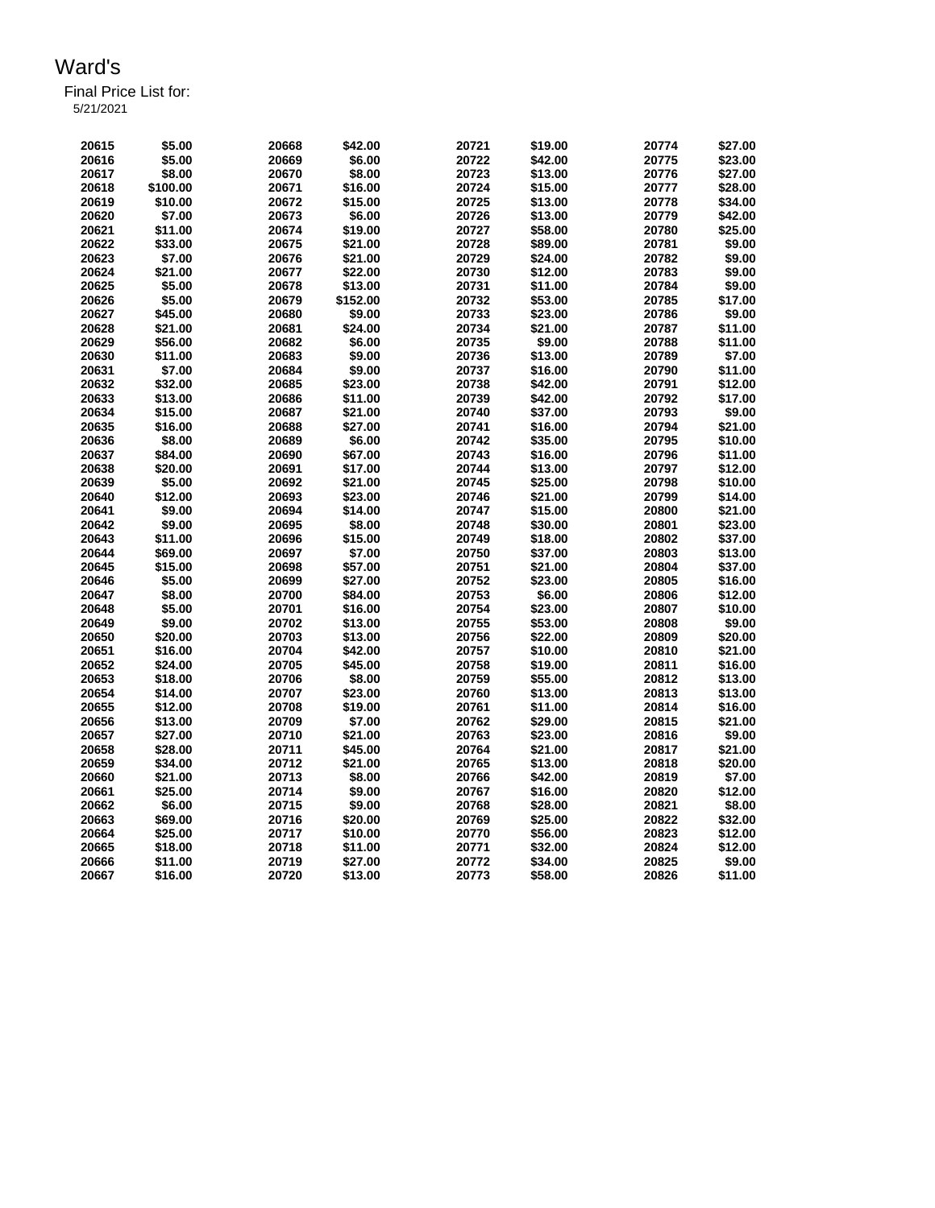Final Price List for:

5/21/2021

| 20615 | \$5.00   | 20668 | \$42.00           | 20721          | \$19.00            | 20774          | \$27.00 |
|-------|----------|-------|-------------------|----------------|--------------------|----------------|---------|
| 20616 | \$5.00   | 20669 | \$6.00            | 20722          | \$42.00            | 20775          | \$23.00 |
| 20617 | \$8.00   | 20670 | \$8.00            | 20723          | \$13.00            | 20776          | \$27.00 |
| 20618 | \$100.00 | 20671 | \$16.00           | 20724          | \$15.00            | 20777          | \$28.00 |
| 20619 | \$10.00  | 20672 | \$15.00           | 20725          | \$13.00            | 20778          | \$34.00 |
| 20620 | \$7.00   | 20673 | \$6.00            | 20726          | \$13.00            | 20779          | \$42.00 |
| 20621 | \$11.00  | 20674 | \$19.00           | 20727          | \$58.00            | 20780          | \$25.00 |
| 20622 | \$33.00  | 20675 | \$21.00           | 20728          | \$89.00            | 20781          | \$9.00  |
| 20623 | \$7.00   | 20676 | \$21.00           | 20729          | \$24.00            | 20782          | \$9.00  |
| 20624 | \$21.00  | 20677 | \$22.00           | 20730          | \$12.00            | 20783          | \$9.00  |
| 20625 | \$5.00   | 20678 | \$13.00           | 20731          | \$11.00            | 20784          | \$9.00  |
| 20626 | \$5.00   | 20679 | \$152.00          | 20732          | \$53.00            | 20785          | \$17.00 |
| 20627 | \$45.00  | 20680 | \$9.00            | 20733          | \$23.00            | 20786          | \$9.00  |
| 20628 | \$21.00  | 20681 | \$24.00           | 20734          | \$21.00            | 20787          | \$11.00 |
| 20629 | \$56.00  | 20682 | \$6.00            | 20735          | \$9.00             | 20788          | \$11.00 |
| 20630 | \$11.00  | 20683 | \$9.00            | 20736          | \$13.00            | 20789          | \$7.00  |
| 20631 | \$7.00   | 20684 | \$9.00            | 20737          | \$16.00            | 20790          | \$11.00 |
| 20632 | \$32.00  | 20685 | \$23.00           | 20738          | \$42.00            | 20791          | \$12.00 |
| 20633 | \$13.00  | 20686 | \$11.00           | 20739          | \$42.00            | 20792          | \$17.00 |
| 20634 | \$15.00  | 20687 | \$21.00           | 20740          | \$37.00            | 20793          | \$9.00  |
| 20635 |          |       |                   |                |                    |                | \$21.00 |
| 20636 | \$16.00  | 20688 | \$27.00<br>\$6.00 | 20741<br>20742 | \$16.00<br>\$35.00 | 20794<br>20795 | \$10.00 |
|       | \$8.00   | 20689 |                   |                |                    |                |         |
| 20637 | \$84.00  | 20690 | \$67.00           | 20743          | \$16.00            | 20796          | \$11.00 |
| 20638 | \$20.00  | 20691 | \$17.00           | 20744          | \$13.00            | 20797          | \$12.00 |
| 20639 | \$5.00   | 20692 | \$21.00           | 20745          | \$25.00            | 20798          | \$10.00 |
| 20640 | \$12.00  | 20693 | \$23.00           | 20746          | \$21.00            | 20799          | \$14.00 |
| 20641 | \$9.00   | 20694 | \$14.00           | 20747          | \$15.00            | 20800          | \$21.00 |
| 20642 | \$9.00   | 20695 | \$8.00            | 20748          | \$30.00            | 20801          | \$23.00 |
| 20643 | \$11.00  | 20696 | \$15.00           | 20749          | \$18.00            | 20802          | \$37.00 |
| 20644 | \$69.00  | 20697 | \$7.00            | 20750          | \$37.00            | 20803          | \$13.00 |
| 20645 | \$15.00  | 20698 | \$57.00           | 20751          | \$21.00            | 20804          | \$37.00 |
| 20646 | \$5.00   | 20699 | \$27.00           | 20752          | \$23.00            | 20805          | \$16.00 |
| 20647 | \$8.00   | 20700 | \$84.00           | 20753          | \$6.00             | 20806          | \$12.00 |
| 20648 | \$5.00   | 20701 | \$16.00           | 20754          | \$23.00            | 20807          | \$10.00 |
| 20649 | \$9.00   | 20702 | \$13.00           | 20755          | \$53.00            | 20808          | \$9.00  |
| 20650 | \$20.00  | 20703 | \$13.00           | 20756          | \$22.00            | 20809          | \$20.00 |
| 20651 | \$16.00  | 20704 | \$42.00           | 20757          | \$10.00            | 20810          | \$21.00 |
| 20652 | \$24.00  | 20705 | \$45.00           | 20758          | \$19.00            | 20811          | \$16.00 |
| 20653 | \$18.00  | 20706 | \$8.00            | 20759          | \$55.00            | 20812          | \$13.00 |
| 20654 | \$14.00  | 20707 | \$23.00           | 20760          | \$13.00            | 20813          | \$13.00 |
| 20655 | \$12.00  | 20708 | \$19.00           | 20761          | \$11.00            | 20814          | \$16.00 |
| 20656 | \$13.00  | 20709 | \$7.00            | 20762          | \$29.00            | 20815          | \$21.00 |
| 20657 | \$27.00  | 20710 | \$21.00           | 20763          | \$23.00            | 20816          | \$9.00  |
| 20658 | \$28.00  | 20711 | \$45.00           | 20764          | \$21.00            | 20817          | \$21.00 |
| 20659 | \$34.00  | 20712 | \$21.00           | 20765          | \$13.00            | 20818          | \$20.00 |
| 20660 | \$21.00  | 20713 | \$8.00            | 20766          | \$42.00            | 20819          | \$7.00  |
| 20661 | \$25.00  | 20714 | \$9.00            | 20767          | \$16.00            | 20820          | \$12.00 |
| 20662 | \$6.00   | 20715 | \$9.00            | 20768          | \$28.00            | 20821          | \$8.00  |
| 20663 | \$69.00  | 20716 | \$20.00           | 20769          | \$25.00            | 20822          | \$32.00 |
| 20664 | \$25.00  | 20717 | \$10.00           | 20770          | \$56.00            | 20823          | \$12.00 |
| 20665 | \$18.00  | 20718 | \$11.00           | 20771          | \$32.00            | 20824          | \$12.00 |
| 20666 | \$11.00  | 20719 | \$27.00           | 20772          | \$34.00            | 20825          | \$9.00  |
| 20667 | \$16.00  | 20720 | \$13.00           | 20773          | \$58.00            | 20826          | \$11.00 |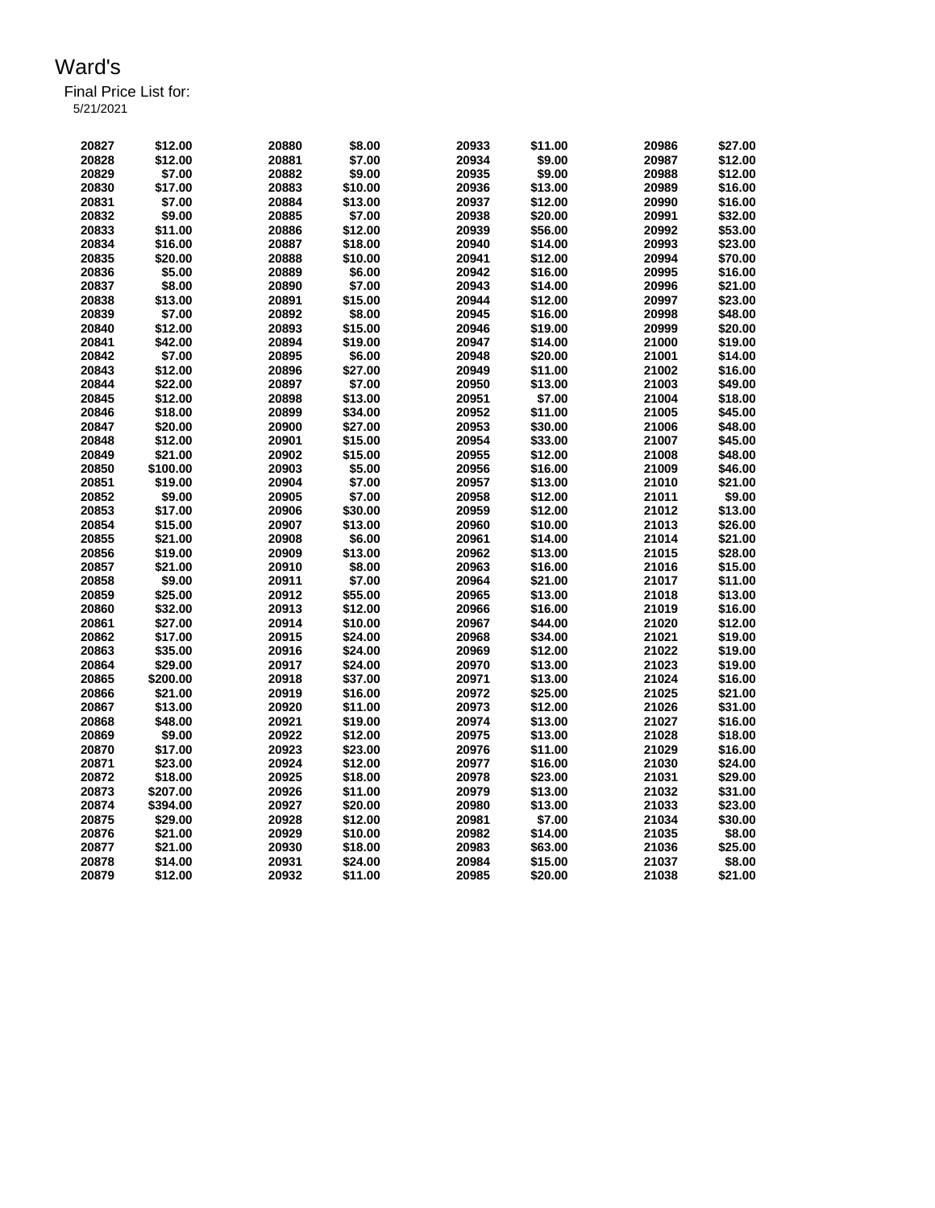| 20827 | \$12.00  | 20880 | \$8.00  | 20933 | \$11.00 | 20986 | \$27.00 |
|-------|----------|-------|---------|-------|---------|-------|---------|
| 20828 | \$12.00  | 20881 | \$7.00  | 20934 | \$9.00  | 20987 | \$12.00 |
| 20829 | \$7.00   | 20882 | \$9.00  | 20935 | \$9.00  | 20988 | \$12.00 |
| 20830 | \$17.00  | 20883 | \$10.00 | 20936 | \$13.00 | 20989 | \$16.00 |
| 20831 | \$7.00   | 20884 | \$13.00 | 20937 | \$12.00 | 20990 | \$16.00 |
| 20832 | \$9.00   | 20885 | \$7.00  | 20938 | \$20.00 | 20991 | \$32.00 |
| 20833 | \$11.00  | 20886 | \$12.00 | 20939 | \$56.00 | 20992 | \$53.00 |
| 20834 | \$16.00  | 20887 | \$18.00 | 20940 | \$14.00 | 20993 | \$23.00 |
| 20835 | \$20.00  | 20888 | \$10.00 | 20941 | \$12.00 | 20994 | \$70.00 |
| 20836 | \$5.00   | 20889 | \$6.00  | 20942 | \$16.00 | 20995 | \$16.00 |
| 20837 | \$8.00   | 20890 | \$7.00  | 20943 | \$14.00 | 20996 | \$21.00 |
| 20838 | \$13.00  | 20891 | \$15.00 | 20944 | \$12.00 | 20997 | \$23.00 |
| 20839 | \$7.00   | 20892 | \$8.00  | 20945 | \$16.00 | 20998 | \$48.00 |
|       |          |       |         |       |         |       |         |
| 20840 | \$12.00  | 20893 | \$15.00 | 20946 | \$19.00 | 20999 | \$20.00 |
| 20841 | \$42.00  | 20894 | \$19.00 | 20947 | \$14.00 | 21000 | \$19.00 |
| 20842 | \$7.00   | 20895 | \$6.00  | 20948 | \$20.00 | 21001 | \$14.00 |
| 20843 | \$12.00  | 20896 | \$27.00 | 20949 | \$11.00 | 21002 | \$16.00 |
| 20844 | \$22.00  | 20897 | \$7.00  | 20950 | \$13.00 | 21003 | \$49.00 |
| 20845 | \$12.00  | 20898 | \$13.00 | 20951 | \$7.00  | 21004 | \$18.00 |
| 20846 | \$18.00  | 20899 | \$34.00 | 20952 | \$11.00 | 21005 | \$45.00 |
| 20847 | \$20.00  | 20900 | \$27.00 | 20953 | \$30.00 | 21006 | \$48.00 |
| 20848 | \$12.00  | 20901 | \$15.00 | 20954 | \$33.00 | 21007 | \$45.00 |
| 20849 | \$21.00  | 20902 | \$15.00 | 20955 | \$12.00 | 21008 | \$48.00 |
| 20850 | \$100.00 | 20903 | \$5.00  | 20956 | \$16.00 | 21009 | \$46.00 |
| 20851 | \$19.00  | 20904 | \$7.00  | 20957 | \$13.00 | 21010 | \$21.00 |
| 20852 | \$9.00   | 20905 | \$7.00  | 20958 | \$12.00 | 21011 | \$9.00  |
| 20853 | \$17.00  | 20906 | \$30.00 | 20959 | \$12.00 | 21012 | \$13.00 |
| 20854 | \$15.00  | 20907 | \$13.00 | 20960 | \$10.00 | 21013 | \$26.00 |
| 20855 | \$21.00  | 20908 | \$6.00  | 20961 | \$14.00 | 21014 | \$21.00 |
| 20856 | \$19.00  | 20909 | \$13.00 | 20962 | \$13.00 | 21015 | \$28.00 |
| 20857 | \$21.00  | 20910 | \$8.00  | 20963 | \$16.00 | 21016 | \$15.00 |
| 20858 | \$9.00   | 20911 | \$7.00  | 20964 | \$21.00 | 21017 | \$11.00 |
| 20859 | \$25.00  | 20912 | \$55.00 | 20965 | \$13.00 | 21018 | \$13.00 |
| 20860 | \$32.00  | 20913 | \$12.00 | 20966 | \$16.00 | 21019 | \$16.00 |
| 20861 | \$27.00  | 20914 | \$10.00 | 20967 | \$44.00 | 21020 | \$12.00 |
| 20862 | \$17.00  | 20915 | \$24.00 | 20968 | \$34.00 | 21021 | \$19.00 |
| 20863 |          |       |         | 20969 | \$12.00 | 21022 | \$19.00 |
|       | \$35.00  | 20916 | \$24.00 |       |         |       |         |
| 20864 | \$29.00  | 20917 | \$24.00 | 20970 | \$13.00 | 21023 | \$19.00 |
| 20865 | \$200.00 | 20918 | \$37.00 | 20971 | \$13.00 | 21024 | \$16.00 |
| 20866 | \$21.00  | 20919 | \$16.00 | 20972 | \$25.00 | 21025 | \$21.00 |
| 20867 | \$13.00  | 20920 | \$11.00 | 20973 | \$12.00 | 21026 | \$31.00 |
| 20868 | \$48.00  | 20921 | \$19.00 | 20974 | \$13.00 | 21027 | \$16.00 |
| 20869 | \$9.00   | 20922 | \$12.00 | 20975 | \$13.00 | 21028 | \$18.00 |
| 20870 | \$17.00  | 20923 | \$23.00 | 20976 | \$11.00 | 21029 | \$16.00 |
| 20871 | \$23.00  | 20924 | \$12.00 | 20977 | \$16.00 | 21030 | \$24.00 |
| 20872 | \$18.00  | 20925 | \$18.00 | 20978 | \$23.00 | 21031 | \$29.00 |
| 20873 | \$207.00 | 20926 | \$11.00 | 20979 | \$13.00 | 21032 | \$31.00 |
| 20874 | \$394.00 | 20927 | \$20.00 | 20980 | \$13.00 | 21033 | \$23.00 |
| 20875 | \$29.00  | 20928 | \$12.00 | 20981 | \$7.00  | 21034 | \$30.00 |
| 20876 | \$21.00  | 20929 | \$10.00 | 20982 | \$14.00 | 21035 | \$8.00  |
| 20877 | \$21.00  | 20930 | \$18.00 | 20983 | \$63.00 | 21036 | \$25.00 |
| 20878 | \$14.00  | 20931 | \$24.00 | 20984 | \$15.00 | 21037 | \$8.00  |
| 20879 | \$12.00  | 20932 | \$11.00 | 20985 | \$20.00 | 21038 | \$21.00 |
|       |          |       |         |       |         |       |         |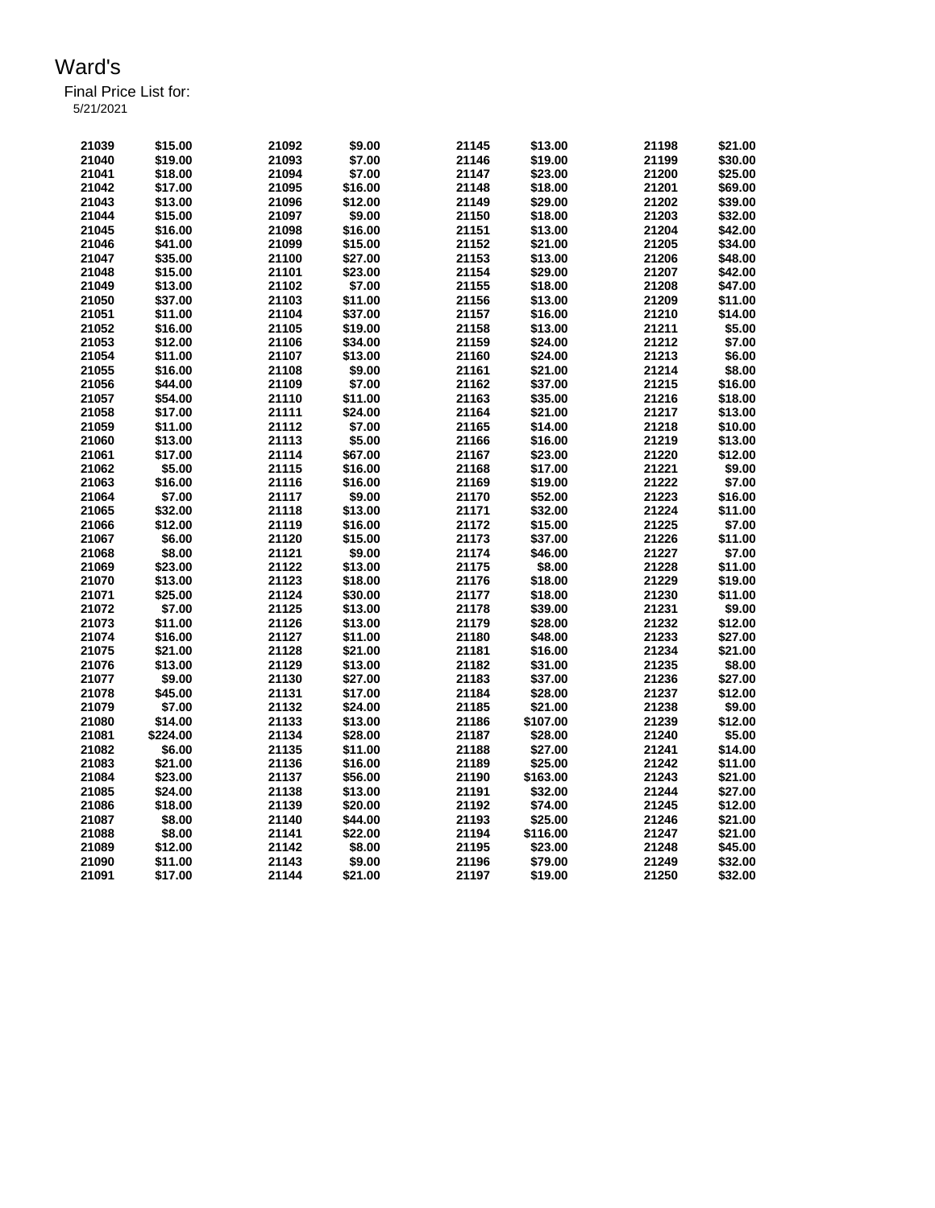| .         |  |  |
|-----------|--|--|
| 5/21/2021 |  |  |

| 21039 | \$15.00  | 21092 | \$9.00  | 21145 | \$13.00  | 21198 | \$21.00 |
|-------|----------|-------|---------|-------|----------|-------|---------|
| 21040 | \$19.00  | 21093 | \$7.00  | 21146 | \$19.00  | 21199 | \$30.00 |
| 21041 | \$18.00  | 21094 | \$7.00  | 21147 | \$23.00  | 21200 | \$25.00 |
| 21042 | \$17.00  | 21095 | \$16.00 | 21148 | \$18.00  | 21201 | \$69.00 |
| 21043 | \$13.00  | 21096 | \$12.00 | 21149 | \$29.00  | 21202 | \$39.00 |
| 21044 | \$15.00  | 21097 | \$9.00  | 21150 | \$18.00  | 21203 | \$32.00 |
| 21045 | \$16.00  | 21098 | \$16.00 | 21151 | \$13.00  | 21204 | \$42.00 |
| 21046 | \$41.00  | 21099 | \$15.00 | 21152 | \$21.00  | 21205 | \$34.00 |
| 21047 | \$35.00  | 21100 | \$27.00 | 21153 | \$13.00  | 21206 | \$48.00 |
| 21048 | \$15.00  | 21101 | \$23.00 | 21154 | \$29.00  | 21207 | \$42.00 |
| 21049 |          | 21102 | \$7.00  | 21155 | \$18.00  | 21208 | \$47.00 |
|       | \$13.00  |       | \$11.00 | 21156 |          |       | \$11.00 |
| 21050 | \$37.00  | 21103 |         |       | \$13.00  | 21209 |         |
| 21051 | \$11.00  | 21104 | \$37.00 | 21157 | \$16.00  | 21210 | \$14.00 |
| 21052 | \$16.00  | 21105 | \$19.00 | 21158 | \$13.00  | 21211 | \$5.00  |
| 21053 | \$12.00  | 21106 | \$34.00 | 21159 | \$24.00  | 21212 | \$7.00  |
| 21054 | \$11.00  | 21107 | \$13.00 | 21160 | \$24.00  | 21213 | \$6.00  |
| 21055 | \$16.00  | 21108 | \$9.00  | 21161 | \$21.00  | 21214 | \$8.00  |
| 21056 | \$44.00  | 21109 | \$7.00  | 21162 | \$37.00  | 21215 | \$16.00 |
| 21057 | \$54.00  | 21110 | \$11.00 | 21163 | \$35.00  | 21216 | \$18.00 |
| 21058 | \$17.00  | 21111 | \$24.00 | 21164 | \$21.00  | 21217 | \$13.00 |
| 21059 | \$11.00  | 21112 | \$7.00  | 21165 | \$14.00  | 21218 | \$10.00 |
| 21060 | \$13.00  | 21113 | \$5.00  | 21166 | \$16.00  | 21219 | \$13.00 |
| 21061 | \$17.00  | 21114 | \$67.00 | 21167 | \$23.00  | 21220 | \$12.00 |
| 21062 | \$5.00   | 21115 | \$16.00 | 21168 | \$17.00  | 21221 | \$9.00  |
| 21063 | \$16.00  | 21116 | \$16.00 | 21169 | \$19.00  | 21222 | \$7.00  |
| 21064 | \$7.00   | 21117 | \$9.00  | 21170 | \$52.00  | 21223 | \$16.00 |
| 21065 | \$32.00  | 21118 | \$13.00 | 21171 | \$32.00  | 21224 | \$11.00 |
| 21066 | \$12.00  | 21119 | \$16.00 | 21172 | \$15.00  | 21225 | \$7.00  |
| 21067 | \$6.00   | 21120 | \$15.00 | 21173 | \$37.00  | 21226 | \$11.00 |
| 21068 | \$8.00   | 21121 | \$9.00  | 21174 | \$46.00  | 21227 | \$7.00  |
| 21069 | \$23.00  | 21122 | \$13.00 | 21175 | \$8.00   | 21228 | \$11.00 |
| 21070 | \$13.00  | 21123 | \$18.00 | 21176 | \$18.00  | 21229 | \$19.00 |
|       |          | 21124 |         | 21177 | \$18.00  | 21230 | \$11.00 |
| 21071 | \$25.00  | 21125 | \$30.00 | 21178 |          |       |         |
| 21072 | \$7.00   |       | \$13.00 |       | \$39.00  | 21231 | \$9.00  |
| 21073 | \$11.00  | 21126 | \$13.00 | 21179 | \$28.00  | 21232 | \$12.00 |
| 21074 | \$16.00  | 21127 | \$11.00 | 21180 | \$48.00  | 21233 | \$27.00 |
| 21075 | \$21.00  | 21128 | \$21.00 | 21181 | \$16.00  | 21234 | \$21.00 |
| 21076 | \$13.00  | 21129 | \$13.00 | 21182 | \$31.00  | 21235 | \$8.00  |
| 21077 | \$9.00   | 21130 | \$27.00 | 21183 | \$37.00  | 21236 | \$27.00 |
| 21078 | \$45.00  | 21131 | \$17.00 | 21184 | \$28.00  | 21237 | \$12.00 |
| 21079 | \$7.00   | 21132 | \$24.00 | 21185 | \$21.00  | 21238 | \$9.00  |
| 21080 | \$14.00  | 21133 | \$13.00 | 21186 | \$107.00 | 21239 | \$12.00 |
| 21081 | \$224.00 | 21134 | \$28.00 | 21187 | \$28.00  | 21240 | \$5.00  |
| 21082 | \$6.00   | 21135 | \$11.00 | 21188 | \$27.00  | 21241 | \$14.00 |
| 21083 | \$21.00  | 21136 | \$16.00 | 21189 | \$25.00  | 21242 | \$11.00 |
| 21084 | \$23.00  | 21137 | \$56.00 | 21190 | \$163.00 | 21243 | \$21.00 |
| 21085 | \$24.00  | 21138 | \$13.00 | 21191 | \$32.00  | 21244 | \$27.00 |
| 21086 | \$18.00  | 21139 | \$20.00 | 21192 | \$74.00  | 21245 | \$12.00 |
| 21087 | \$8.00   | 21140 | \$44.00 | 21193 | \$25.00  | 21246 | \$21.00 |
| 21088 | \$8.00   | 21141 | \$22.00 | 21194 | \$116.00 | 21247 | \$21.00 |
| 21089 | \$12.00  | 21142 | \$8.00  | 21195 | \$23.00  | 21248 | \$45.00 |
| 21090 | \$11.00  | 21143 | \$9.00  | 21196 | \$79.00  | 21249 | \$32.00 |
| 21091 | \$17.00  | 21144 | \$21.00 | 21197 | \$19.00  | 21250 | \$32.00 |
|       |          |       |         |       |          |       |         |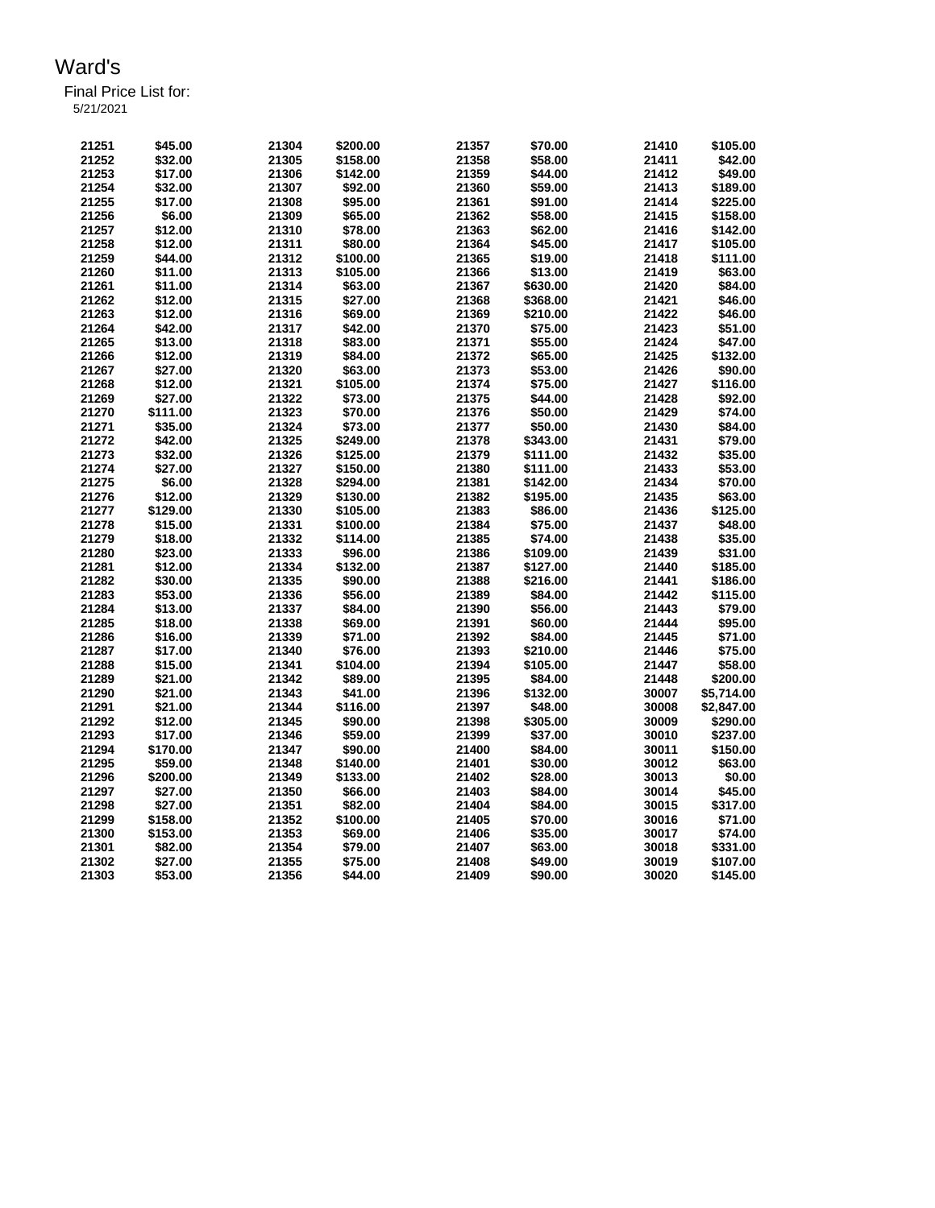| 21251 | \$45.00  | 21304 | \$200.00 | 21357 | \$70.00  | 21410 | \$105.00   |
|-------|----------|-------|----------|-------|----------|-------|------------|
| 21252 | \$32.00  | 21305 | \$158.00 | 21358 | \$58.00  | 21411 | \$42.00    |
| 21253 | \$17.00  | 21306 | \$142.00 | 21359 | \$44.00  | 21412 | \$49.00    |
| 21254 | \$32.00  | 21307 | \$92.00  | 21360 | \$59.00  | 21413 | \$189.00   |
| 21255 | \$17.00  | 21308 | \$95.00  | 21361 | \$91.00  | 21414 | \$225.00   |
| 21256 | \$6.00   | 21309 | \$65.00  | 21362 | \$58.00  | 21415 | \$158.00   |
| 21257 | \$12.00  | 21310 | \$78.00  | 21363 | \$62.00  | 21416 | \$142.00   |
| 21258 | \$12.00  | 21311 | \$80.00  | 21364 | \$45.00  | 21417 | \$105.00   |
| 21259 | \$44.00  | 21312 | \$100.00 | 21365 | \$19.00  | 21418 | \$111.00   |
| 21260 | \$11.00  | 21313 | \$105.00 | 21366 | \$13.00  | 21419 | \$63.00    |
| 21261 | \$11.00  | 21314 | \$63.00  | 21367 | \$630.00 | 21420 | \$84.00    |
| 21262 | \$12.00  | 21315 | \$27.00  | 21368 | \$368.00 | 21421 | \$46.00    |
| 21263 | \$12.00  | 21316 | \$69.00  | 21369 | \$210.00 | 21422 | \$46.00    |
| 21264 | \$42.00  |       |          |       |          | 21423 |            |
|       |          | 21317 | \$42.00  | 21370 | \$75.00  |       | \$51.00    |
| 21265 | \$13.00  | 21318 | \$83.00  | 21371 | \$55.00  | 21424 | \$47.00    |
| 21266 | \$12.00  | 21319 | \$84.00  | 21372 | \$65.00  | 21425 | \$132.00   |
| 21267 | \$27.00  | 21320 | \$63.00  | 21373 | \$53.00  | 21426 | \$90.00    |
| 21268 | \$12.00  | 21321 | \$105.00 | 21374 | \$75.00  | 21427 | \$116.00   |
| 21269 | \$27.00  | 21322 | \$73.00  | 21375 | \$44.00  | 21428 | \$92.00    |
| 21270 | \$111.00 | 21323 | \$70.00  | 21376 | \$50.00  | 21429 | \$74.00    |
| 21271 | \$35.00  | 21324 | \$73.00  | 21377 | \$50.00  | 21430 | \$84.00    |
| 21272 | \$42.00  | 21325 | \$249.00 | 21378 | \$343.00 | 21431 | \$79.00    |
| 21273 | \$32.00  | 21326 | \$125.00 | 21379 | \$111.00 | 21432 | \$35.00    |
| 21274 | \$27.00  | 21327 | \$150.00 | 21380 | \$111.00 | 21433 | \$53.00    |
| 21275 | \$6.00   | 21328 | \$294.00 | 21381 | \$142.00 | 21434 | \$70.00    |
| 21276 | \$12.00  | 21329 | \$130.00 | 21382 | \$195.00 | 21435 | \$63.00    |
| 21277 | \$129.00 | 21330 | \$105.00 | 21383 | \$86.00  | 21436 | \$125.00   |
| 21278 | \$15.00  | 21331 | \$100.00 | 21384 | \$75.00  | 21437 | \$48.00    |
| 21279 | \$18.00  | 21332 | \$114.00 | 21385 | \$74.00  | 21438 | \$35.00    |
| 21280 | \$23.00  | 21333 | \$96.00  | 21386 | \$109.00 | 21439 | \$31.00    |
| 21281 | \$12.00  | 21334 | \$132.00 | 21387 | \$127.00 | 21440 | \$185.00   |
| 21282 | \$30.00  | 21335 | \$90.00  | 21388 | \$216.00 | 21441 | \$186.00   |
| 21283 | \$53.00  | 21336 | \$56.00  | 21389 | \$84.00  | 21442 | \$115.00   |
| 21284 | \$13.00  | 21337 | \$84.00  | 21390 | \$56.00  | 21443 | \$79.00    |
| 21285 | \$18.00  | 21338 | \$69.00  | 21391 | \$60.00  | 21444 | \$95.00    |
| 21286 | \$16.00  | 21339 | \$71.00  | 21392 | \$84.00  | 21445 | \$71.00    |
| 21287 | \$17.00  | 21340 | \$76.00  | 21393 | \$210.00 | 21446 | \$75.00    |
| 21288 | \$15.00  | 21341 | \$104.00 | 21394 | \$105.00 | 21447 | \$58.00    |
| 21289 | \$21.00  | 21342 | \$89.00  | 21395 | \$84.00  | 21448 | \$200.00   |
| 21290 | \$21.00  | 21343 | \$41.00  | 21396 | \$132.00 | 30007 | \$5,714.00 |
| 21291 | \$21.00  | 21344 | \$116.00 | 21397 | \$48.00  | 30008 | \$2,847.00 |
| 21292 | \$12.00  | 21345 | \$90.00  | 21398 | \$305.00 | 30009 | \$290.00   |
| 21293 | \$17.00  | 21346 | \$59.00  | 21399 | \$37.00  | 30010 | \$237.00   |
| 21294 | \$170.00 | 21347 | \$90.00  | 21400 | \$84.00  | 30011 | \$150.00   |
| 21295 | \$59.00  | 21348 | \$140.00 | 21401 | \$30.00  | 30012 | \$63.00    |
| 21296 | \$200.00 | 21349 | \$133.00 | 21402 |          | 30013 | \$0.00     |
|       |          |       |          |       | \$28.00  |       |            |
| 21297 | \$27.00  | 21350 | \$66.00  | 21403 | \$84.00  | 30014 | \$45.00    |
| 21298 | \$27.00  | 21351 | \$82.00  | 21404 | \$84.00  | 30015 | \$317.00   |
| 21299 | \$158.00 | 21352 | \$100.00 | 21405 | \$70.00  | 30016 | \$71.00    |
| 21300 | \$153.00 | 21353 | \$69.00  | 21406 | \$35.00  | 30017 | \$74.00    |
| 21301 | \$82.00  | 21354 | \$79.00  | 21407 | \$63.00  | 30018 | \$331.00   |
| 21302 | \$27.00  | 21355 | \$75.00  | 21408 | \$49.00  | 30019 | \$107.00   |
| 21303 | \$53.00  | 21356 | \$44.00  | 21409 | \$90.00  | 30020 | \$145.00   |
|       |          |       |          |       |          |       |            |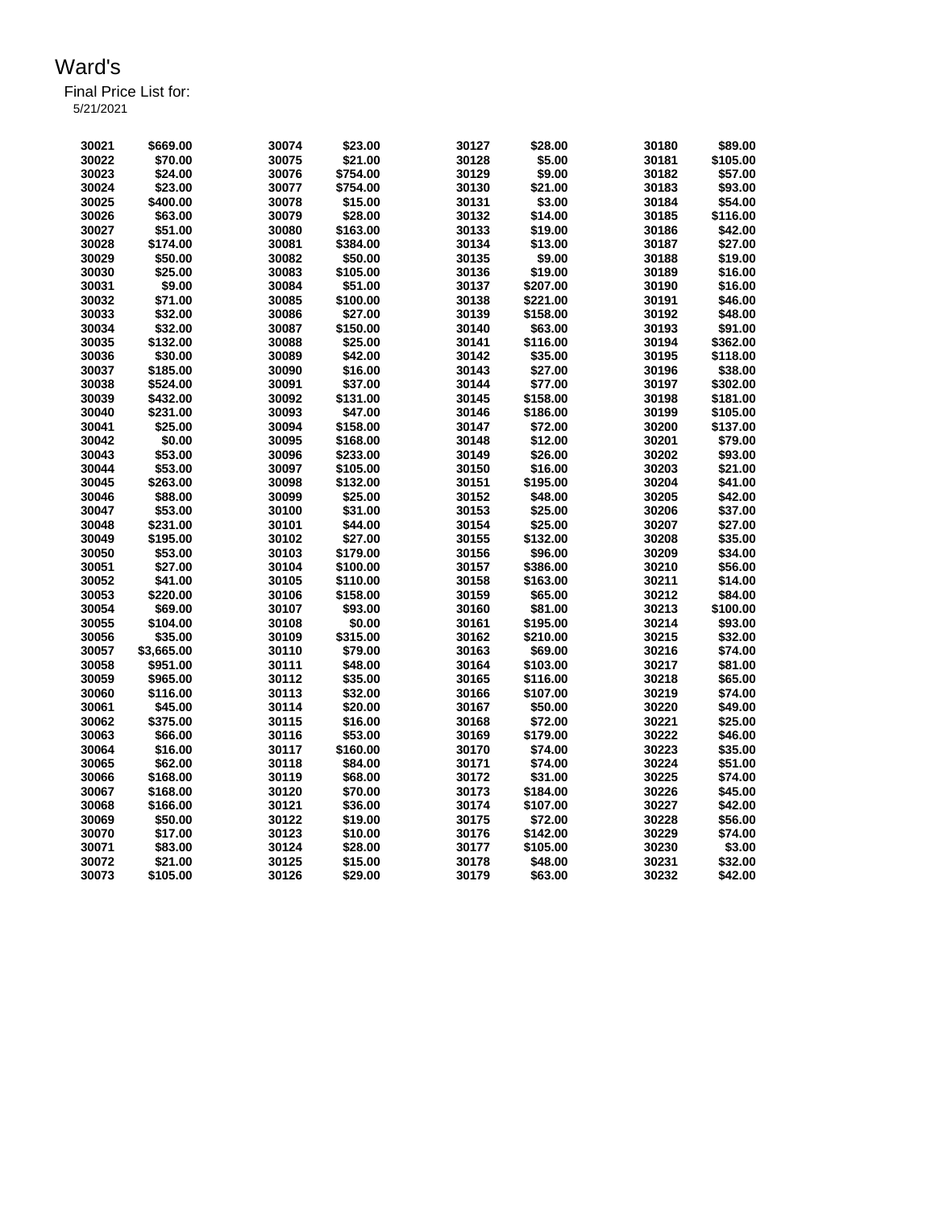| 30021          | \$669.00            | 30074          | \$23.00  | 30127 | \$28.00            | 30180          | \$89.00            |
|----------------|---------------------|----------------|----------|-------|--------------------|----------------|--------------------|
| 30022          | \$70.00             | 30075          | \$21.00  | 30128 | \$5.00             | 30181          | \$105.00           |
| 30023          | \$24.00             | 30076          | \$754.00 | 30129 | \$9.00             | 30182          | \$57.00            |
| 30024          | \$23.00             | 30077          | \$754.00 | 30130 | \$21.00            | 30183          | \$93.00            |
| 30025          | \$400.00            | 30078          | \$15.00  | 30131 | \$3.00             | 30184          | \$54.00            |
| 30026          | \$63.00             | 30079          | \$28.00  | 30132 | \$14.00            | 30185          | \$116.00           |
| 30027          | \$51.00             | 30080          | \$163.00 | 30133 | \$19.00            | 30186          | \$42.00            |
| 30028          | \$174.00            | 30081          | \$384.00 | 30134 | \$13.00            | 30187          | \$27.00            |
| 30029          | \$50.00             | 30082          | \$50.00  | 30135 | \$9.00             | 30188          | \$19.00            |
| 30030          | \$25.00             | 30083          | \$105.00 | 30136 | \$19.00            | 30189          | \$16.00            |
| 30031          | \$9.00              | 30084          | \$51.00  | 30137 | \$207.00           | 30190          | \$16.00            |
| 30032          | \$71.00             | 30085          | \$100.00 | 30138 | \$221.00           | 30191          | \$46.00            |
| 30033          | \$32.00             | 30086          | \$27.00  | 30139 | \$158.00           | 30192          | \$48.00            |
| 30034          | \$32.00             | 30087          | \$150.00 | 30140 | \$63.00            | 30193          | \$91.00            |
| 30035          | \$132.00            | 30088          | \$25.00  | 30141 | \$116.00           | 30194          | \$362.00           |
| 30036          | \$30.00             | 30089          | \$42.00  | 30142 | \$35.00            | 30195          | \$118.00           |
| 30037          | \$185.00            | 30090          | \$16.00  | 30143 | \$27.00            | 30196          | \$38.00            |
| 30038          | \$524.00            | 30091          | \$37.00  | 30144 | \$77.00            | 30197          | \$302.00           |
| 30039          | \$432.00            | 30092          | \$131.00 | 30145 | \$158.00           | 30198          | \$181.00           |
| 30040          | \$231.00            | 30093          | \$47.00  | 30146 | \$186.00           | 30199          | \$105.00           |
| 30041          | \$25.00             | 30094          | \$158.00 | 30147 | \$72.00            | 30200          | \$137.00           |
| 30042          | \$0.00              | 30095          | \$168.00 | 30148 | \$12.00            | 30201          | \$79.00            |
| 30043          | \$53.00             | 30096          | \$233.00 | 30149 | \$26.00            | 30202          | \$93.00            |
| 30044          | \$53.00             | 30097          | \$105.00 | 30150 | \$16.00            | 30203          | \$21.00            |
| 30045          | \$263.00            | 30098          | \$132.00 | 30151 | \$195.00           | 30204          | \$41.00            |
| 30046          | \$88.00             | 30099          | \$25.00  | 30152 | \$48.00            | 30205          | \$42.00            |
|                |                     |                |          |       |                    |                |                    |
| 30047<br>30048 | \$53.00<br>\$231.00 | 30100<br>30101 | \$31.00  | 30153 | \$25.00<br>\$25.00 | 30206          | \$37.00<br>\$27.00 |
|                |                     |                | \$44.00  | 30154 |                    | 30207          |                    |
| 30049          | \$195.00            | 30102          | \$27.00  | 30155 | \$132.00           | 30208          | \$35.00            |
| 30050          | \$53.00             | 30103          | \$179.00 | 30156 | \$96.00            | 30209          | \$34.00            |
| 30051          | \$27.00             | 30104          | \$100.00 | 30157 | \$386.00           | 30210          | \$56.00            |
| 30052          | \$41.00             | 30105          | \$110.00 | 30158 | \$163.00           | 30211          | \$14.00<br>\$84.00 |
| 30053          | \$220.00            | 30106          | \$158.00 | 30159 | \$65.00            | 30212<br>30213 | \$100.00           |
| 30054          | \$69.00             | 30107          | \$93.00  | 30160 | \$81.00            |                |                    |
| 30055          | \$104.00            | 30108          | \$0.00   | 30161 | \$195.00           | 30214          | \$93.00            |
| 30056          | \$35.00             | 30109          | \$315.00 | 30162 | \$210.00           | 30215          | \$32.00            |
| 30057          | \$3,665.00          | 30110          | \$79.00  | 30163 | \$69.00            | 30216          | \$74.00            |
| 30058          | \$951.00            | 30111          | \$48.00  | 30164 | \$103.00           | 30217          | \$81.00            |
| 30059          | \$965.00            | 30112          | \$35.00  | 30165 | \$116.00           | 30218          | \$65.00            |
| 30060          | \$116.00            | 30113          | \$32.00  | 30166 | \$107.00           | 30219          | \$74.00            |
| 30061          | \$45.00             | 30114          | \$20.00  | 30167 | \$50.00            | 30220          | \$49.00            |
| 30062          | \$375.00            | 30115          | \$16.00  | 30168 | \$72.00            | 30221          | \$25.00            |
| 30063          | \$66.00             | 30116          | \$53.00  | 30169 | \$179.00           | 30222          | \$46.00            |
| 30064          | \$16.00             | 30117          | \$160.00 | 30170 | \$74.00            | 30223          | \$35.00            |
| 30065          | \$62.00             | 30118          | \$84.00  | 30171 | \$74.00            | 30224          | \$51.00            |
| 30066          | \$168.00            | 30119          | \$68.00  | 30172 | \$31.00            | 30225          | \$74.00            |
| 30067          | \$168.00            | 30120          | \$70.00  | 30173 | \$184.00           | 30226          | \$45.00            |
| 30068          | \$166.00            | 30121          | \$36.00  | 30174 | \$107.00           | 30227          | \$42.00            |
| 30069          | \$50.00             | 30122          | \$19.00  | 30175 | \$72.00            | 30228          | \$56.00            |
| 30070          | \$17.00             | 30123          | \$10.00  | 30176 | \$142.00           | 30229          | \$74.00            |
| 30071          | \$83.00             | 30124          | \$28.00  | 30177 | \$105.00           | 30230          | \$3.00             |
| 30072          | \$21.00             | 30125          | \$15.00  | 30178 | \$48.00            | 30231          | \$32.00            |
| 30073          | \$105.00            | 30126          | \$29.00  | 30179 | \$63.00            | 30232          | \$42.00            |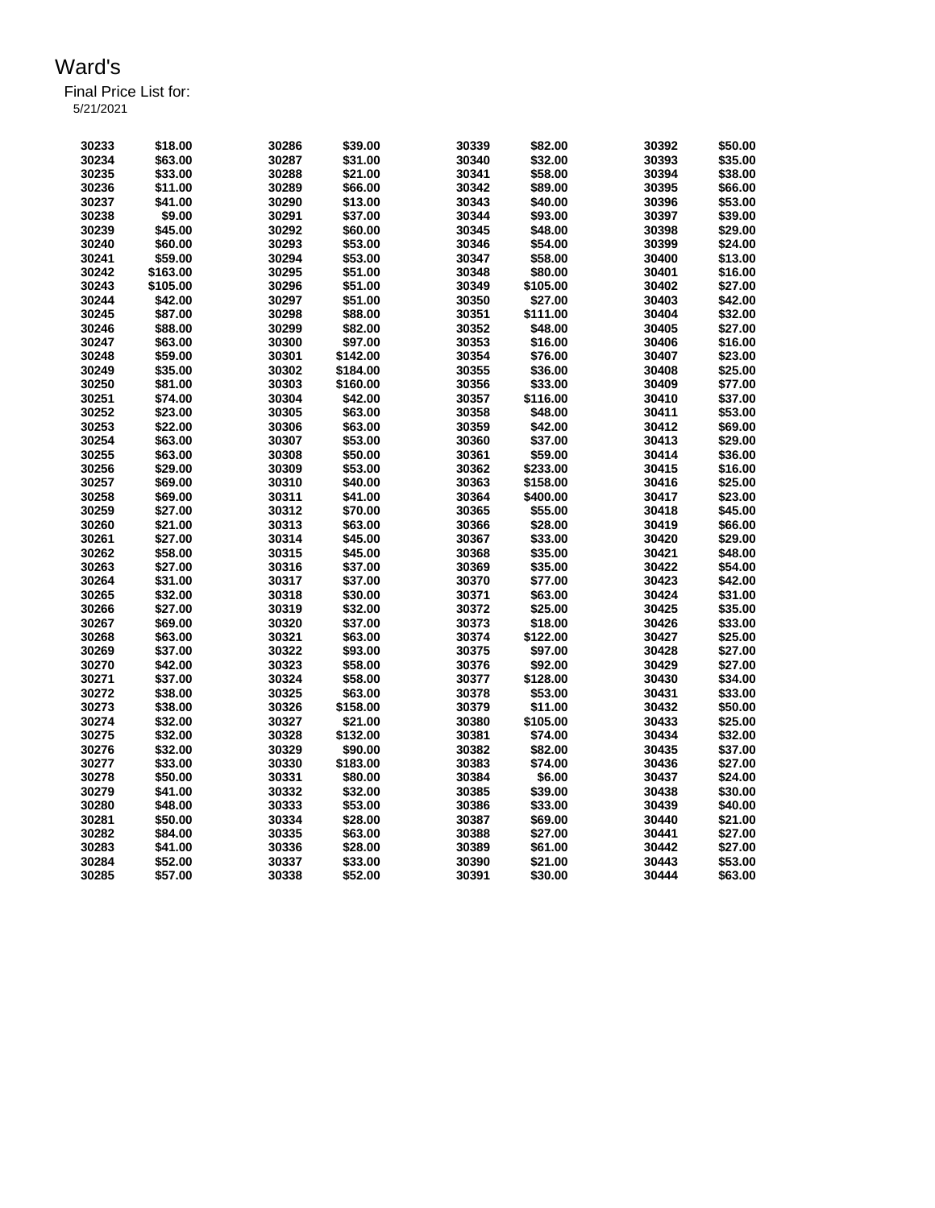| 30233 | \$18.00  | 30286 | \$39.00  | 30339 | \$82.00  | 30392 | \$50.00 |
|-------|----------|-------|----------|-------|----------|-------|---------|
| 30234 | \$63.00  | 30287 | \$31.00  | 30340 | \$32.00  | 30393 | \$35.00 |
| 30235 | \$33.00  | 30288 | \$21.00  | 30341 | \$58.00  | 30394 | \$38.00 |
| 30236 | \$11.00  | 30289 | \$66.00  | 30342 | \$89.00  | 30395 | \$66.00 |
| 30237 | \$41.00  | 30290 | \$13.00  | 30343 | \$40.00  | 30396 | \$53.00 |
| 30238 | \$9.00   | 30291 | \$37.00  | 30344 | \$93.00  | 30397 | \$39.00 |
| 30239 | \$45.00  | 30292 | \$60.00  | 30345 | \$48.00  | 30398 | \$29.00 |
| 30240 | \$60.00  | 30293 | \$53.00  | 30346 | \$54.00  | 30399 | \$24.00 |
| 30241 | \$59.00  | 30294 | \$53.00  | 30347 | \$58.00  | 30400 | \$13.00 |
| 30242 | \$163.00 | 30295 | \$51.00  | 30348 | \$80.00  | 30401 | \$16.00 |
| 30243 | \$105.00 | 30296 | \$51.00  | 30349 | \$105.00 | 30402 | \$27.00 |
| 30244 | \$42.00  | 30297 | \$51.00  | 30350 | \$27.00  | 30403 | \$42.00 |
| 30245 | \$87.00  | 30298 | \$88.00  | 30351 | \$111.00 | 30404 | \$32.00 |
| 30246 | \$88.00  | 30299 | \$82.00  | 30352 | \$48.00  | 30405 | \$27.00 |
| 30247 | \$63.00  | 30300 | \$97.00  | 30353 | \$16.00  | 30406 | \$16.00 |
| 30248 | \$59.00  | 30301 | \$142.00 | 30354 | \$76.00  | 30407 | \$23.00 |
| 30249 | \$35.00  | 30302 | \$184.00 | 30355 | \$36.00  | 30408 | \$25.00 |
| 30250 | \$81.00  | 30303 | \$160.00 | 30356 | \$33.00  | 30409 | \$77.00 |
| 30251 | \$74.00  | 30304 | \$42.00  | 30357 | \$116.00 | 30410 | \$37.00 |
| 30252 | \$23.00  | 30305 | \$63.00  | 30358 | \$48.00  | 30411 | \$53.00 |
| 30253 | \$22.00  | 30306 | \$63.00  | 30359 | \$42.00  | 30412 | \$69.00 |
| 30254 | \$63.00  | 30307 | \$53.00  | 30360 | \$37.00  | 30413 | \$29.00 |
| 30255 | \$63.00  | 30308 | \$50.00  | 30361 | \$59.00  | 30414 | \$36.00 |
| 30256 | \$29.00  | 30309 | \$53.00  | 30362 | \$233.00 | 30415 | \$16.00 |
| 30257 | \$69.00  | 30310 | \$40.00  | 30363 | \$158.00 | 30416 | \$25.00 |
| 30258 | \$69.00  | 30311 | \$41.00  | 30364 | \$400.00 | 30417 | \$23.00 |
| 30259 | \$27.00  | 30312 | \$70.00  | 30365 | \$55.00  | 30418 | \$45.00 |
| 30260 | \$21.00  | 30313 | \$63.00  | 30366 | \$28.00  | 30419 | \$66.00 |
| 30261 | \$27.00  | 30314 | \$45.00  | 30367 | \$33.00  | 30420 | \$29.00 |
| 30262 | \$58.00  | 30315 | \$45.00  | 30368 | \$35.00  | 30421 | \$48.00 |
| 30263 | \$27.00  | 30316 | \$37.00  | 30369 | \$35.00  | 30422 | \$54.00 |
| 30264 | \$31.00  | 30317 | \$37.00  | 30370 | \$77.00  | 30423 | \$42.00 |
| 30265 | \$32.00  | 30318 | \$30.00  | 30371 | \$63.00  | 30424 | \$31.00 |
| 30266 | \$27.00  | 30319 | \$32.00  | 30372 | \$25.00  | 30425 | \$35.00 |
| 30267 | \$69.00  | 30320 | \$37.00  | 30373 | \$18.00  | 30426 | \$33.00 |
| 30268 | \$63.00  | 30321 | \$63.00  | 30374 | \$122.00 | 30427 | \$25.00 |
| 30269 | \$37.00  | 30322 | \$93.00  | 30375 | \$97.00  | 30428 | \$27.00 |
| 30270 | \$42.00  | 30323 | \$58.00  | 30376 | \$92.00  | 30429 | \$27.00 |
| 30271 | \$37.00  | 30324 | \$58.00  | 30377 | \$128.00 | 30430 | \$34.00 |
| 30272 | \$38.00  | 30325 | \$63.00  | 30378 | \$53.00  | 30431 | \$33.00 |
| 30273 | \$38.00  | 30326 | \$158.00 | 30379 | \$11.00  | 30432 | \$50.00 |
| 30274 | \$32.00  | 30327 | \$21.00  | 30380 | \$105.00 | 30433 | \$25.00 |
| 30275 | \$32.00  | 30328 | \$132.00 | 30381 | \$74.00  | 30434 | \$32.00 |
| 30276 | \$32.00  | 30329 | \$90.00  | 30382 | \$82.00  | 30435 | \$37.00 |
| 30277 | \$33.00  | 30330 | \$183.00 | 30383 | \$74.00  | 30436 | \$27.00 |
| 30278 | \$50.00  | 30331 | \$80.00  | 30384 | \$6.00   | 30437 | \$24.00 |
| 30279 | \$41.00  | 30332 | \$32.00  | 30385 | \$39.00  | 30438 | \$30.00 |
| 30280 | \$48.00  | 30333 | \$53.00  | 30386 | \$33.00  | 30439 | \$40.00 |
| 30281 | \$50.00  | 30334 | \$28.00  | 30387 | \$69.00  | 30440 | \$21.00 |
| 30282 | \$84.00  | 30335 | \$63.00  | 30388 | \$27.00  | 30441 | \$27.00 |
| 30283 | \$41.00  | 30336 | \$28.00  | 30389 | \$61.00  | 30442 | \$27.00 |
| 30284 | \$52.00  | 30337 | \$33.00  | 30390 | \$21.00  | 30443 | \$53.00 |
| 30285 | \$57.00  | 30338 | \$52.00  | 30391 | \$30.00  | 30444 | \$63.00 |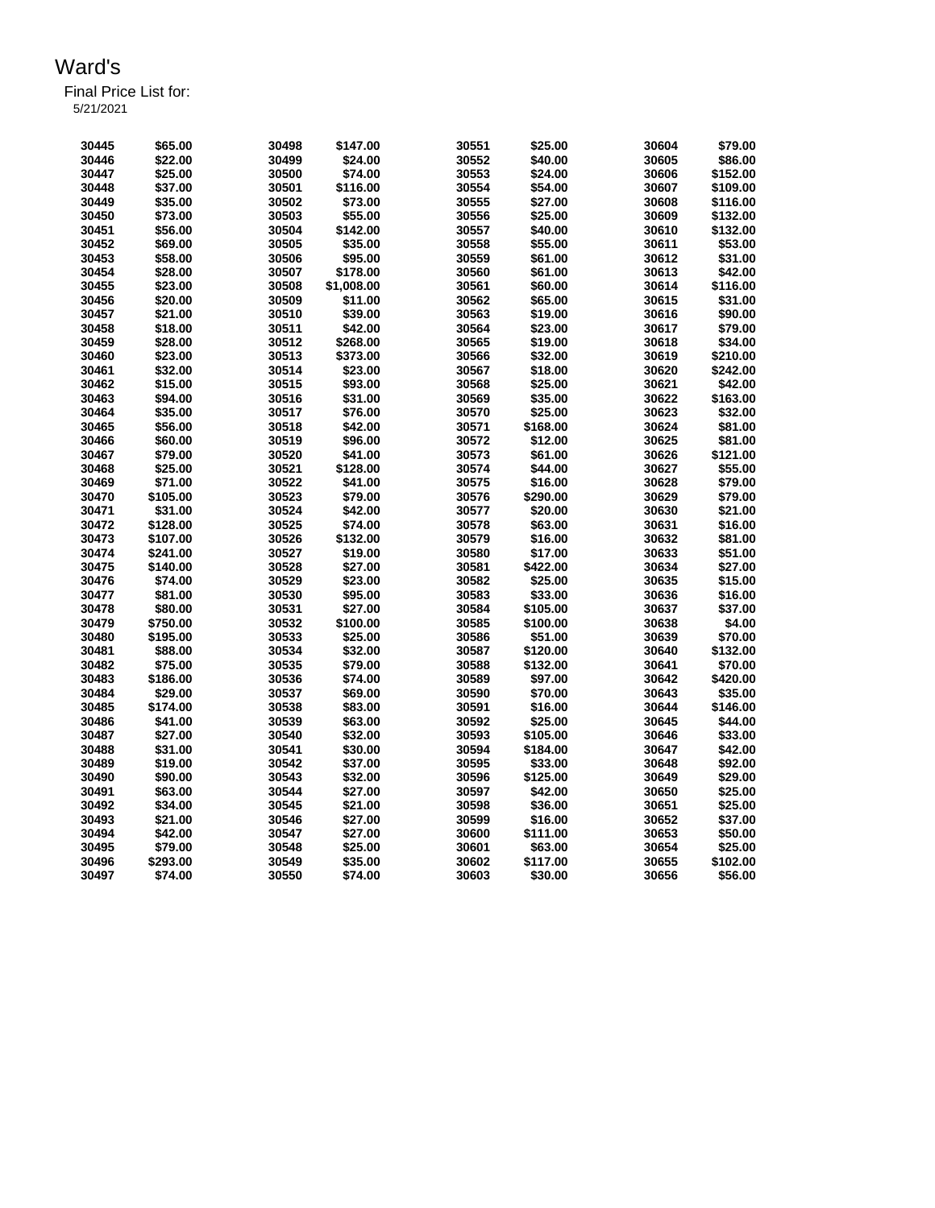| -------   |  |  |  |  |
|-----------|--|--|--|--|
| 5/21/2021 |  |  |  |  |
|           |  |  |  |  |

| 30445 | \$65.00  | 30498 | \$147.00   | 30551 | \$25.00  | 30604 | \$79.00  |
|-------|----------|-------|------------|-------|----------|-------|----------|
| 30446 | \$22.00  | 30499 | \$24.00    | 30552 | \$40.00  | 30605 | \$86.00  |
| 30447 | \$25.00  | 30500 | \$74.00    | 30553 | \$24.00  | 30606 | \$152.00 |
| 30448 | \$37.00  | 30501 | \$116.00   | 30554 | \$54.00  | 30607 | \$109.00 |
| 30449 | \$35.00  | 30502 | \$73.00    | 30555 | \$27.00  | 30608 | \$116.00 |
| 30450 | \$73.00  | 30503 | \$55.00    | 30556 | \$25.00  | 30609 | \$132.00 |
| 30451 | \$56.00  | 30504 | \$142.00   | 30557 | \$40.00  | 30610 | \$132.00 |
| 30452 | \$69.00  | 30505 | \$35.00    | 30558 | \$55.00  | 30611 | \$53.00  |
| 30453 | \$58.00  | 30506 | \$95.00    | 30559 | \$61.00  | 30612 | \$31.00  |
| 30454 | \$28.00  | 30507 | \$178.00   | 30560 | \$61.00  | 30613 | \$42.00  |
| 30455 |          | 30508 |            | 30561 | \$60.00  | 30614 | \$116.00 |
|       | \$23.00  |       | \$1,008.00 |       |          |       | \$31.00  |
| 30456 | \$20.00  | 30509 | \$11.00    | 30562 | \$65.00  | 30615 |          |
| 30457 | \$21.00  | 30510 | \$39.00    | 30563 | \$19.00  | 30616 | \$90.00  |
| 30458 | \$18.00  | 30511 | \$42.00    | 30564 | \$23.00  | 30617 | \$79.00  |
| 30459 | \$28.00  | 30512 | \$268.00   | 30565 | \$19.00  | 30618 | \$34.00  |
| 30460 | \$23.00  | 30513 | \$373.00   | 30566 | \$32.00  | 30619 | \$210.00 |
| 30461 | \$32.00  | 30514 | \$23.00    | 30567 | \$18.00  | 30620 | \$242.00 |
| 30462 | \$15.00  | 30515 | \$93.00    | 30568 | \$25.00  | 30621 | \$42.00  |
| 30463 | \$94.00  | 30516 | \$31.00    | 30569 | \$35.00  | 30622 | \$163.00 |
| 30464 | \$35.00  | 30517 | \$76.00    | 30570 | \$25.00  | 30623 | \$32.00  |
| 30465 | \$56.00  | 30518 | \$42.00    | 30571 | \$168.00 | 30624 | \$81.00  |
| 30466 | \$60.00  | 30519 | \$96.00    | 30572 | \$12.00  | 30625 | \$81.00  |
| 30467 | \$79.00  | 30520 | \$41.00    | 30573 | \$61.00  | 30626 | \$121.00 |
| 30468 | \$25.00  | 30521 | \$128.00   | 30574 | \$44.00  | 30627 | \$55.00  |
|       |          |       |            | 30575 |          |       | \$79.00  |
| 30469 | \$71.00  | 30522 | \$41.00    |       | \$16.00  | 30628 |          |
| 30470 | \$105.00 | 30523 | \$79.00    | 30576 | \$290.00 | 30629 | \$79.00  |
| 30471 | \$31.00  | 30524 | \$42.00    | 30577 | \$20.00  | 30630 | \$21.00  |
| 30472 | \$128.00 | 30525 | \$74.00    | 30578 | \$63.00  | 30631 | \$16.00  |
| 30473 | \$107.00 | 30526 | \$132.00   | 30579 | \$16.00  | 30632 | \$81.00  |
| 30474 | \$241.00 | 30527 | \$19.00    | 30580 | \$17.00  | 30633 | \$51.00  |
| 30475 | \$140.00 | 30528 | \$27.00    | 30581 | \$422.00 | 30634 | \$27.00  |
| 30476 | \$74.00  | 30529 | \$23.00    | 30582 | \$25.00  | 30635 | \$15.00  |
| 30477 | \$81.00  | 30530 | \$95.00    | 30583 | \$33.00  | 30636 | \$16.00  |
| 30478 | \$80.00  | 30531 | \$27.00    | 30584 | \$105.00 | 30637 | \$37.00  |
| 30479 | \$750.00 | 30532 | \$100.00   | 30585 | \$100.00 | 30638 | \$4.00   |
| 30480 | \$195.00 | 30533 | \$25.00    | 30586 | \$51.00  | 30639 | \$70.00  |
| 30481 | \$88.00  | 30534 | \$32.00    | 30587 | \$120.00 | 30640 | \$132.00 |
| 30482 | \$75.00  | 30535 | \$79.00    | 30588 | \$132.00 | 30641 | \$70.00  |
| 30483 | \$186.00 | 30536 | \$74.00    | 30589 | \$97.00  | 30642 | \$420.00 |
| 30484 | \$29.00  | 30537 | \$69.00    | 30590 | \$70.00  | 30643 | \$35.00  |
| 30485 | \$174.00 | 30538 | \$83.00    | 30591 | \$16.00  | 30644 | \$146.00 |
| 30486 | \$41.00  | 30539 | \$63.00    | 30592 | \$25.00  | 30645 | \$44.00  |
|       |          |       |            |       |          |       |          |
| 30487 | \$27.00  | 30540 | \$32.00    | 30593 | \$105.00 | 30646 | \$33.00  |
| 30488 | \$31.00  | 30541 | \$30.00    | 30594 | \$184.00 | 30647 | \$42.00  |
| 30489 | \$19.00  | 30542 | \$37.00    | 30595 | \$33.00  | 30648 | \$92.00  |
| 30490 | \$90.00  | 30543 | \$32.00    | 30596 | \$125.00 | 30649 | \$29.00  |
| 30491 | \$63.00  | 30544 | \$27.00    | 30597 | \$42.00  | 30650 | \$25.00  |
| 30492 | \$34.00  | 30545 | \$21.00    | 30598 | \$36.00  | 30651 | \$25.00  |
| 30493 | \$21.00  | 30546 | \$27.00    | 30599 | \$16.00  | 30652 | \$37.00  |
| 30494 | \$42.00  | 30547 | \$27.00    | 30600 | \$111.00 | 30653 | \$50.00  |
| 30495 | \$79.00  | 30548 | \$25.00    | 30601 | \$63.00  | 30654 | \$25.00  |
| 30496 | \$293.00 | 30549 | \$35.00    | 30602 | \$117.00 | 30655 | \$102.00 |
| 30497 | \$74.00  | 30550 | \$74.00    | 30603 | \$30.00  | 30656 | \$56.00  |
|       |          |       |            |       |          |       |          |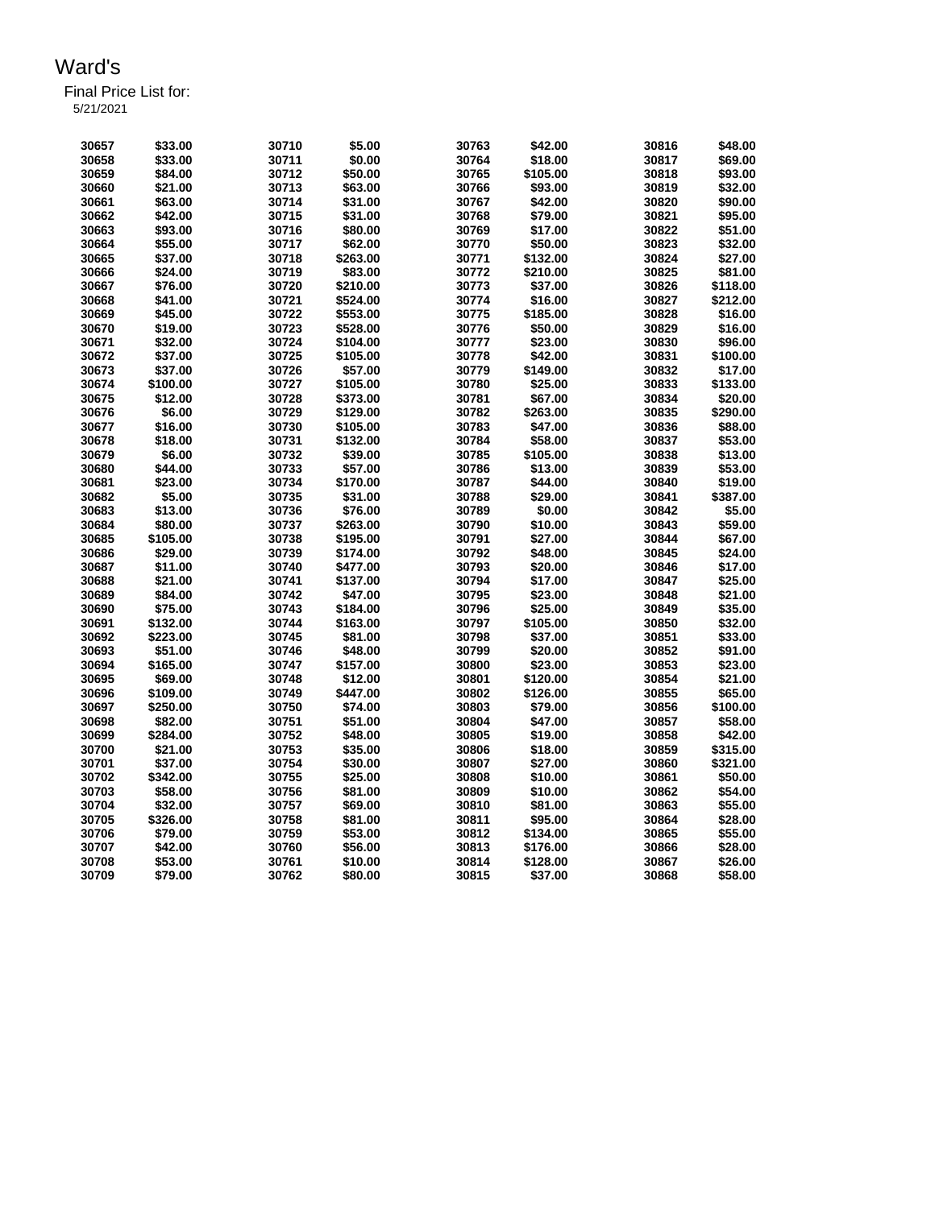| 30657 | \$33.00  | 30710 | \$5.00   | 30763 | \$42.00  | 30816 | \$48.00  |
|-------|----------|-------|----------|-------|----------|-------|----------|
| 30658 | \$33.00  | 30711 | \$0.00   | 30764 | \$18.00  | 30817 | \$69.00  |
| 30659 | \$84.00  | 30712 | \$50.00  | 30765 | \$105.00 | 30818 | \$93.00  |
| 30660 | \$21.00  | 30713 | \$63.00  | 30766 | \$93.00  | 30819 | \$32.00  |
| 30661 | \$63.00  | 30714 | \$31.00  | 30767 | \$42.00  | 30820 | \$90.00  |
| 30662 | \$42.00  | 30715 | \$31.00  | 30768 | \$79.00  | 30821 | \$95.00  |
| 30663 | \$93.00  | 30716 | \$80.00  | 30769 | \$17.00  | 30822 | \$51.00  |
|       |          |       |          |       |          |       |          |
| 30664 | \$55.00  | 30717 | \$62.00  | 30770 | \$50.00  | 30823 | \$32.00  |
| 30665 | \$37.00  | 30718 | \$263.00 | 30771 | \$132.00 | 30824 | \$27.00  |
| 30666 | \$24.00  | 30719 | \$83.00  | 30772 | \$210.00 | 30825 | \$81.00  |
| 30667 | \$76.00  | 30720 | \$210.00 | 30773 | \$37.00  | 30826 | \$118.00 |
| 30668 | \$41.00  | 30721 | \$524.00 | 30774 | \$16.00  | 30827 | \$212.00 |
| 30669 | \$45.00  | 30722 | \$553.00 | 30775 | \$185.00 | 30828 | \$16.00  |
| 30670 | \$19.00  | 30723 | \$528.00 | 30776 | \$50.00  | 30829 | \$16.00  |
| 30671 | \$32.00  | 30724 | \$104.00 | 30777 | \$23.00  | 30830 | \$96.00  |
| 30672 | \$37.00  | 30725 | \$105.00 | 30778 | \$42.00  | 30831 | \$100.00 |
| 30673 | \$37.00  | 30726 | \$57.00  | 30779 | \$149.00 | 30832 | \$17.00  |
| 30674 | \$100.00 | 30727 | \$105.00 | 30780 | \$25.00  | 30833 | \$133.00 |
|       |          | 30728 |          |       |          |       |          |
| 30675 | \$12.00  |       | \$373.00 | 30781 | \$67.00  | 30834 | \$20.00  |
| 30676 | \$6.00   | 30729 | \$129.00 | 30782 | \$263.00 | 30835 | \$290.00 |
| 30677 | \$16.00  | 30730 | \$105.00 | 30783 | \$47.00  | 30836 | \$88.00  |
| 30678 | \$18.00  | 30731 | \$132.00 | 30784 | \$58.00  | 30837 | \$53.00  |
| 30679 | \$6.00   | 30732 | \$39.00  | 30785 | \$105.00 | 30838 | \$13.00  |
| 30680 | \$44.00  | 30733 | \$57.00  | 30786 | \$13.00  | 30839 | \$53.00  |
| 30681 | \$23.00  | 30734 | \$170.00 | 30787 | \$44.00  | 30840 | \$19.00  |
| 30682 | \$5.00   | 30735 | \$31.00  | 30788 | \$29.00  | 30841 | \$387.00 |
| 30683 | \$13.00  | 30736 | \$76.00  | 30789 | \$0.00   | 30842 | \$5.00   |
| 30684 | \$80.00  | 30737 | \$263.00 | 30790 | \$10.00  | 30843 | \$59.00  |
| 30685 | \$105.00 | 30738 | \$195.00 | 30791 | \$27.00  | 30844 | \$67.00  |
| 30686 | \$29.00  | 30739 |          |       |          |       |          |
|       |          |       | \$174.00 | 30792 | \$48.00  | 30845 | \$24.00  |
| 30687 | \$11.00  | 30740 | \$477.00 | 30793 | \$20.00  | 30846 | \$17.00  |
| 30688 | \$21.00  | 30741 | \$137.00 | 30794 | \$17.00  | 30847 | \$25.00  |
| 30689 | \$84.00  | 30742 | \$47.00  | 30795 | \$23.00  | 30848 | \$21.00  |
| 30690 | \$75.00  | 30743 | \$184.00 | 30796 | \$25.00  | 30849 | \$35.00  |
| 30691 | \$132.00 | 30744 | \$163.00 | 30797 | \$105.00 | 30850 | \$32.00  |
| 30692 | \$223.00 | 30745 | \$81.00  | 30798 | \$37.00  | 30851 | \$33.00  |
| 30693 | \$51.00  | 30746 | \$48.00  | 30799 | \$20.00  | 30852 | \$91.00  |
| 30694 | \$165.00 | 30747 | \$157.00 | 30800 | \$23.00  | 30853 | \$23.00  |
| 30695 | \$69.00  | 30748 | \$12.00  | 30801 | \$120.00 | 30854 | \$21.00  |
| 30696 | \$109.00 | 30749 | \$447.00 | 30802 | \$126.00 | 30855 | \$65.00  |
| 30697 | \$250.00 | 30750 | \$74.00  | 30803 | \$79.00  | 30856 | \$100.00 |
| 30698 | \$82.00  | 30751 | \$51.00  | 30804 | \$47.00  | 30857 | \$58.00  |
|       |          |       |          |       |          |       |          |
| 30699 | \$284.00 | 30752 | \$48.00  | 30805 | \$19.00  | 30858 | \$42.00  |
| 30700 | \$21.00  | 30753 | \$35.00  | 30806 | \$18.00  | 30859 | \$315.00 |
| 30701 | \$37.00  | 30754 | \$30.00  | 30807 | \$27.00  | 30860 | \$321.00 |
| 30702 | \$342.00 | 30755 | \$25.00  | 30808 | \$10.00  | 30861 | \$50.00  |
| 30703 | \$58.00  | 30756 | \$81.00  | 30809 | \$10.00  | 30862 | \$54.00  |
| 30704 | \$32.00  | 30757 | \$69.00  | 30810 | \$81.00  | 30863 | \$55.00  |
| 30705 | \$326.00 | 30758 | \$81.00  | 30811 | \$95.00  | 30864 | \$28.00  |
| 30706 | \$79.00  | 30759 | \$53.00  | 30812 | \$134.00 | 30865 | \$55.00  |
| 30707 | \$42.00  | 30760 | \$56.00  | 30813 | \$176.00 | 30866 | \$28.00  |
| 30708 | \$53.00  | 30761 | \$10.00  | 30814 | \$128.00 | 30867 | \$26.00  |
| 30709 | \$79.00  | 30762 | \$80.00  | 30815 | \$37.00  | 30868 | \$58.00  |
|       |          |       |          |       |          |       |          |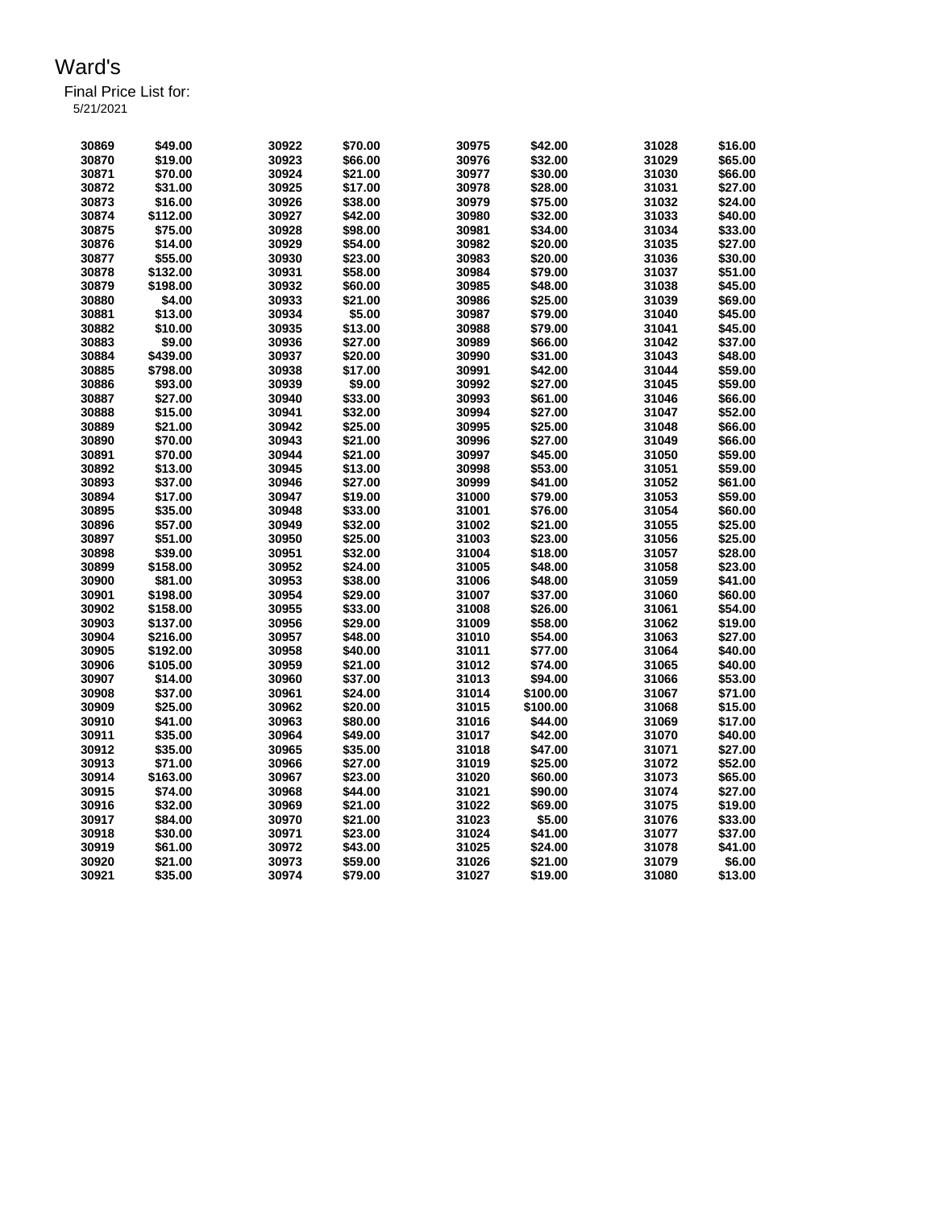| 30869          | \$49.00  | 30922          | \$70.00 | 30975 | \$42.00            | 31028          | \$16.00 |
|----------------|----------|----------------|---------|-------|--------------------|----------------|---------|
| 30870          | \$19.00  | 30923          | \$66.00 | 30976 | \$32.00            | 31029          | \$65.00 |
| 30871          | \$70.00  | 30924          | \$21.00 | 30977 | \$30.00            | 31030          | \$66.00 |
| 30872          | \$31.00  | 30925          | \$17.00 | 30978 | \$28.00            | 31031          | \$27.00 |
| 30873          | \$16.00  | 30926          | \$38.00 | 30979 | \$75.00            | 31032          | \$24.00 |
| 30874          | \$112.00 | 30927          | \$42.00 | 30980 | \$32.00            | 31033          | \$40.00 |
| 30875          | \$75.00  | 30928          | \$98.00 | 30981 | \$34.00            | 31034          | \$33.00 |
| 30876          | \$14.00  | 30929          | \$54.00 | 30982 | \$20.00            | 31035          | \$27.00 |
| 30877          | \$55.00  | 30930          | \$23.00 | 30983 | \$20.00            | 31036          | \$30.00 |
| 30878          | \$132.00 | 30931          | \$58.00 | 30984 | \$79.00            | 31037          | \$51.00 |
| 30879          | \$198.00 | 30932          | \$60.00 | 30985 | \$48.00            | 31038          | \$45.00 |
| 30880          | \$4.00   | 30933          | \$21.00 | 30986 | \$25.00            | 31039          | \$69.00 |
| 30881          | \$13.00  | 30934          | \$5.00  | 30987 | \$79.00            | 31040          | \$45.00 |
| 30882          | \$10.00  | 30935          | \$13.00 | 30988 | \$79.00            | 31041          | \$45.00 |
| 30883          | \$9.00   | 30936          | \$27.00 | 30989 | \$66.00            | 31042          | \$37.00 |
| 30884          | \$439.00 | 30937          | \$20.00 | 30990 | \$31.00            | 31043          | \$48.00 |
| 30885          | \$798.00 | 30938          | \$17.00 | 30991 | \$42.00            | 31044          | \$59.00 |
| 30886          | \$93.00  | 30939          | \$9.00  | 30992 | \$27.00            | 31045          | \$59.00 |
| 30887          | \$27.00  | 30940          | \$33.00 | 30993 | \$61.00            | 31046          | \$66.00 |
| 30888          | \$15.00  | 30941          | \$32.00 | 30994 | \$27.00            | 31047          | \$52.00 |
| 30889          | \$21.00  | 30942          | \$25.00 | 30995 | \$25.00            | 31048          | \$66.00 |
| 30890          | \$70.00  | 30943          | \$21.00 | 30996 | \$27.00            | 31049          | \$66.00 |
| 30891          | \$70.00  | 30944          | \$21.00 | 30997 | \$45.00            | 31050          | \$59.00 |
| 30892          | \$13.00  | 30945          | \$13.00 | 30998 | \$53.00            | 31051          | \$59.00 |
| 30893          | \$37.00  | 30946          | \$27.00 | 30999 | \$41.00            | 31052          | \$61.00 |
| 30894          | \$17.00  | 30947          | \$19.00 | 31000 | \$79.00            | 31053          | \$59.00 |
| 30895          | \$35.00  | 30948          | \$33.00 | 31001 | \$76.00            | 31054          | \$60.00 |
| 30896          | \$57.00  | 30949          | \$32.00 | 31002 | \$21.00            | 31055          | \$25.00 |
| 30897          | \$51.00  | 30950          | \$25.00 | 31003 | \$23.00            | 31056          | \$25.00 |
| 30898          | \$39.00  | 30951          | \$32.00 | 31004 | \$18.00            | 31057          | \$28.00 |
| 30899          | \$158.00 | 30952          | \$24.00 | 31005 | \$48.00            | 31058          | \$23.00 |
| 30900          | \$81.00  | 30953          | \$38.00 | 31006 | \$48.00            | 31059          | \$41.00 |
| 30901          | \$198.00 | 30954          | \$29.00 | 31007 | \$37.00            | 31060          | \$60.00 |
| 30902          | \$158.00 | 30955          | \$33.00 | 31008 | \$26.00            | 31061          | \$54.00 |
| 30903          | \$137.00 | 30956          | \$29.00 | 31009 | \$58.00            | 31062          | \$19.00 |
| 30904          | \$216.00 | 30957          | \$48.00 | 31010 | \$54.00            | 31063          | \$27.00 |
| 30905          | \$192.00 | 30958          | \$40.00 | 31011 | \$77.00            | 31064          | \$40.00 |
| 30906          | \$105.00 | 30959          | \$21.00 | 31012 | \$74.00            | 31065          | \$40.00 |
| 30907          | \$14.00  | 30960          | \$37.00 | 31013 | \$94.00            | 31066          | \$53.00 |
| 30908          | \$37.00  | 30961          | \$24.00 | 31014 | \$100.00           | 31067          | \$71.00 |
| 30909          | \$25.00  | 30962          | \$20.00 | 31015 | \$100.00           | 31068          | \$15.00 |
| 30910          | \$41.00  | 30963          | \$80.00 | 31016 | \$44.00            | 31069          | \$17.00 |
| 30911          | \$35.00  | 30964          | \$49.00 | 31017 | \$42.00            | 31070          | \$40.00 |
|                | \$35.00  |                |         | 31018 |                    |                | \$27.00 |
| 30912<br>30913 | \$71.00  | 30965<br>30966 | \$35.00 |       | \$47.00<br>\$25.00 | 31071<br>31072 | \$52.00 |
|                |          |                | \$27.00 | 31019 |                    |                |         |
| 30914          | \$163.00 | 30967          | \$23.00 | 31020 | \$60.00            | 31073          | \$65.00 |
| 30915          | \$74.00  | 30968          | \$44.00 | 31021 | \$90.00            | 31074          | \$27.00 |
| 30916          | \$32.00  | 30969          | \$21.00 | 31022 | \$69.00            | 31075          | \$19.00 |
| 30917          | \$84.00  | 30970          | \$21.00 | 31023 | \$5.00             | 31076          | \$33.00 |
| 30918          | \$30.00  | 30971          | \$23.00 | 31024 | \$41.00            | 31077          | \$37.00 |
| 30919          | \$61.00  | 30972          | \$43.00 | 31025 | \$24.00            | 31078          | \$41.00 |
| 30920          | \$21.00  | 30973          | \$59.00 | 31026 | \$21.00            | 31079          | \$6.00  |
| 30921          | \$35.00  | 30974          | \$79.00 | 31027 | \$19.00            | 31080          | \$13.00 |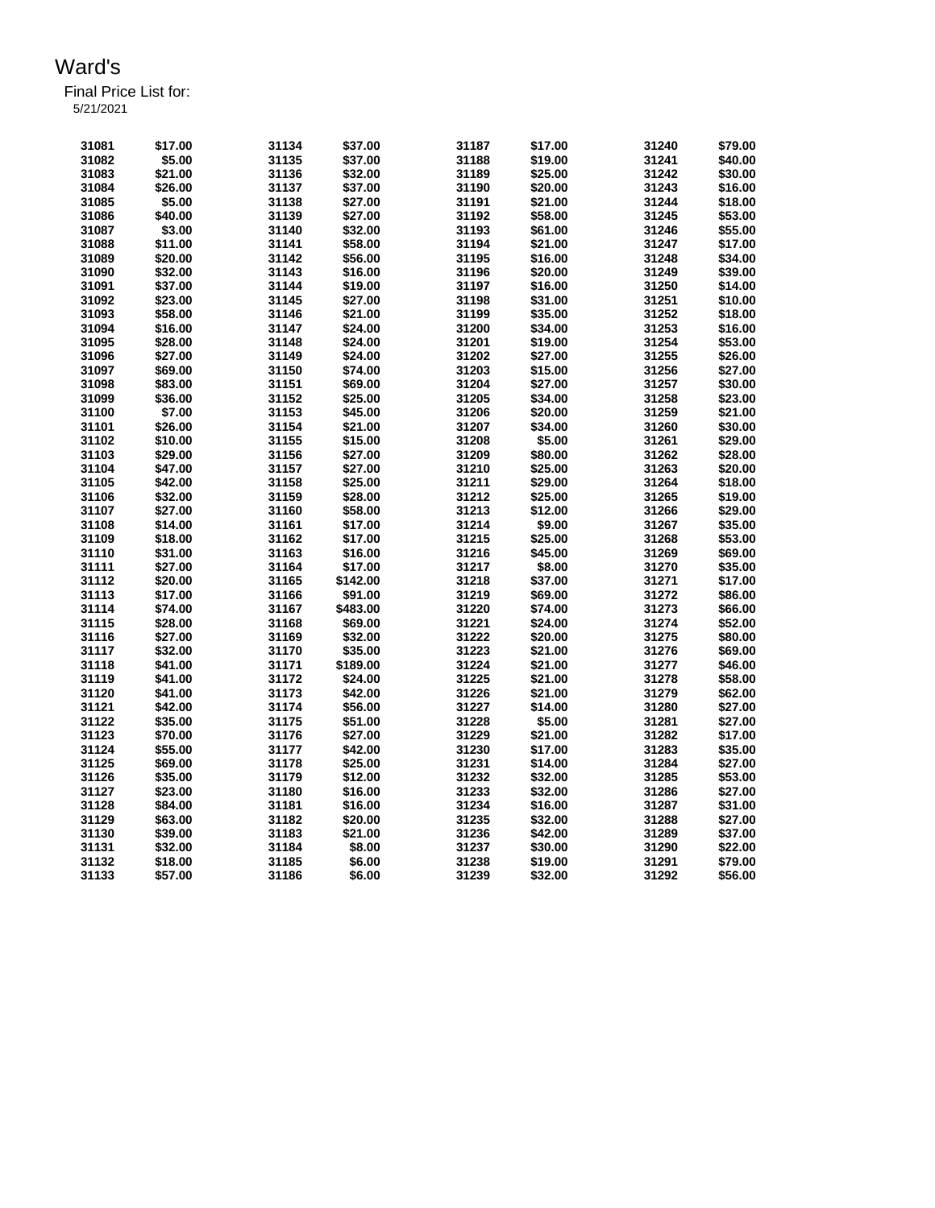| 31081 | \$17.00 | 31134 | \$37.00  | 31187 | \$17.00 | 31240 | \$79.00 |
|-------|---------|-------|----------|-------|---------|-------|---------|
| 31082 | \$5.00  | 31135 | \$37.00  | 31188 | \$19.00 | 31241 | \$40.00 |
| 31083 | \$21.00 | 31136 | \$32.00  | 31189 | \$25.00 | 31242 | \$30.00 |
| 31084 | \$26.00 | 31137 | \$37.00  | 31190 | \$20.00 | 31243 | \$16.00 |
| 31085 | \$5.00  | 31138 | \$27.00  | 31191 | \$21.00 | 31244 | \$18.00 |
| 31086 | \$40.00 | 31139 | \$27.00  | 31192 | \$58.00 | 31245 | \$53.00 |
| 31087 | \$3.00  | 31140 | \$32.00  | 31193 | \$61.00 | 31246 | \$55.00 |
| 31088 | \$11.00 | 31141 | \$58.00  | 31194 | \$21.00 | 31247 | \$17.00 |
|       |         |       |          | 31195 |         |       | \$34.00 |
| 31089 | \$20.00 | 31142 | \$56.00  |       | \$16.00 | 31248 |         |
| 31090 | \$32.00 | 31143 | \$16.00  | 31196 | \$20.00 | 31249 | \$39.00 |
| 31091 | \$37.00 | 31144 | \$19.00  | 31197 | \$16.00 | 31250 | \$14.00 |
| 31092 | \$23.00 | 31145 | \$27.00  | 31198 | \$31.00 | 31251 | \$10.00 |
| 31093 | \$58.00 | 31146 | \$21.00  | 31199 | \$35.00 | 31252 | \$18.00 |
| 31094 | \$16.00 | 31147 | \$24.00  | 31200 | \$34.00 | 31253 | \$16.00 |
| 31095 | \$28.00 | 31148 | \$24.00  | 31201 | \$19.00 | 31254 | \$53.00 |
| 31096 | \$27.00 | 31149 | \$24.00  | 31202 | \$27.00 | 31255 | \$26.00 |
| 31097 | \$69.00 | 31150 | \$74.00  | 31203 | \$15.00 | 31256 | \$27.00 |
| 31098 | \$83.00 | 31151 | \$69.00  | 31204 | \$27.00 | 31257 | \$30.00 |
| 31099 | \$36.00 | 31152 | \$25.00  | 31205 | \$34.00 | 31258 | \$23.00 |
|       |         |       |          |       |         |       |         |
| 31100 | \$7.00  | 31153 | \$45.00  | 31206 | \$20.00 | 31259 | \$21.00 |
| 31101 | \$26.00 | 31154 | \$21.00  | 31207 | \$34.00 | 31260 | \$30.00 |
| 31102 | \$10.00 | 31155 | \$15.00  | 31208 | \$5.00  | 31261 | \$29.00 |
| 31103 | \$29.00 | 31156 | \$27.00  | 31209 | \$80.00 | 31262 | \$28.00 |
| 31104 | \$47.00 | 31157 | \$27.00  | 31210 | \$25.00 | 31263 | \$20.00 |
| 31105 | \$42.00 | 31158 | \$25.00  | 31211 | \$29.00 | 31264 | \$18.00 |
| 31106 | \$32.00 | 31159 | \$28.00  | 31212 | \$25.00 | 31265 | \$19.00 |
| 31107 | \$27.00 | 31160 | \$58.00  | 31213 | \$12.00 | 31266 | \$29.00 |
| 31108 | \$14.00 | 31161 | \$17.00  | 31214 | \$9.00  | 31267 | \$35.00 |
| 31109 | \$18.00 | 31162 | \$17.00  | 31215 | \$25.00 | 31268 | \$53.00 |
| 31110 | \$31.00 | 31163 | \$16.00  | 31216 | \$45.00 | 31269 | \$69.00 |
|       | \$27.00 | 31164 | \$17.00  |       | \$8.00  | 31270 | \$35.00 |
| 31111 |         |       |          | 31217 |         |       |         |
| 31112 | \$20.00 | 31165 | \$142.00 | 31218 | \$37.00 | 31271 | \$17.00 |
| 31113 | \$17.00 | 31166 | \$91.00  | 31219 | \$69.00 | 31272 | \$86.00 |
| 31114 | \$74.00 | 31167 | \$483.00 | 31220 | \$74.00 | 31273 | \$66.00 |
| 31115 | \$28.00 | 31168 | \$69.00  | 31221 | \$24.00 | 31274 | \$52.00 |
| 31116 | \$27.00 | 31169 | \$32.00  | 31222 | \$20.00 | 31275 | \$80.00 |
| 31117 | \$32.00 | 31170 | \$35.00  | 31223 | \$21.00 | 31276 | \$69.00 |
| 31118 | \$41.00 | 31171 | \$189.00 | 31224 | \$21.00 | 31277 | \$46.00 |
| 31119 | \$41.00 | 31172 | \$24.00  | 31225 | \$21.00 | 31278 | \$58.00 |
| 31120 | \$41.00 | 31173 | \$42.00  | 31226 | \$21.00 | 31279 | \$62.00 |
| 31121 | \$42.00 | 31174 | \$56.00  | 31227 | \$14.00 | 31280 | \$27.00 |
| 31122 | \$35.00 | 31175 | \$51.00  | 31228 | \$5.00  | 31281 | \$27.00 |
| 31123 |         |       |          | 31229 |         |       |         |
|       | \$70.00 | 31176 | \$27.00  |       | \$21.00 | 31282 | \$17.00 |
| 31124 | \$55.00 | 31177 | \$42.00  | 31230 | \$17.00 | 31283 | \$35.00 |
| 31125 | \$69.00 | 31178 | \$25.00  | 31231 | \$14.00 | 31284 | \$27.00 |
| 31126 | \$35.00 | 31179 | \$12.00  | 31232 | \$32.00 | 31285 | \$53.00 |
| 31127 | \$23.00 | 31180 | \$16.00  | 31233 | \$32.00 | 31286 | \$27.00 |
| 31128 | \$84.00 | 31181 | \$16.00  | 31234 | \$16.00 | 31287 | \$31.00 |
| 31129 | \$63.00 | 31182 | \$20.00  | 31235 | \$32.00 | 31288 | \$27.00 |
| 31130 | \$39.00 | 31183 | \$21.00  | 31236 | \$42.00 | 31289 | \$37.00 |
| 31131 | \$32.00 | 31184 | \$8.00   | 31237 | \$30.00 | 31290 | \$22.00 |
| 31132 | \$18.00 | 31185 | \$6.00   | 31238 | \$19.00 | 31291 | \$79.00 |
| 31133 |         | 31186 | \$6.00   | 31239 | \$32.00 | 31292 | \$56.00 |
|       | \$57.00 |       |          |       |         |       |         |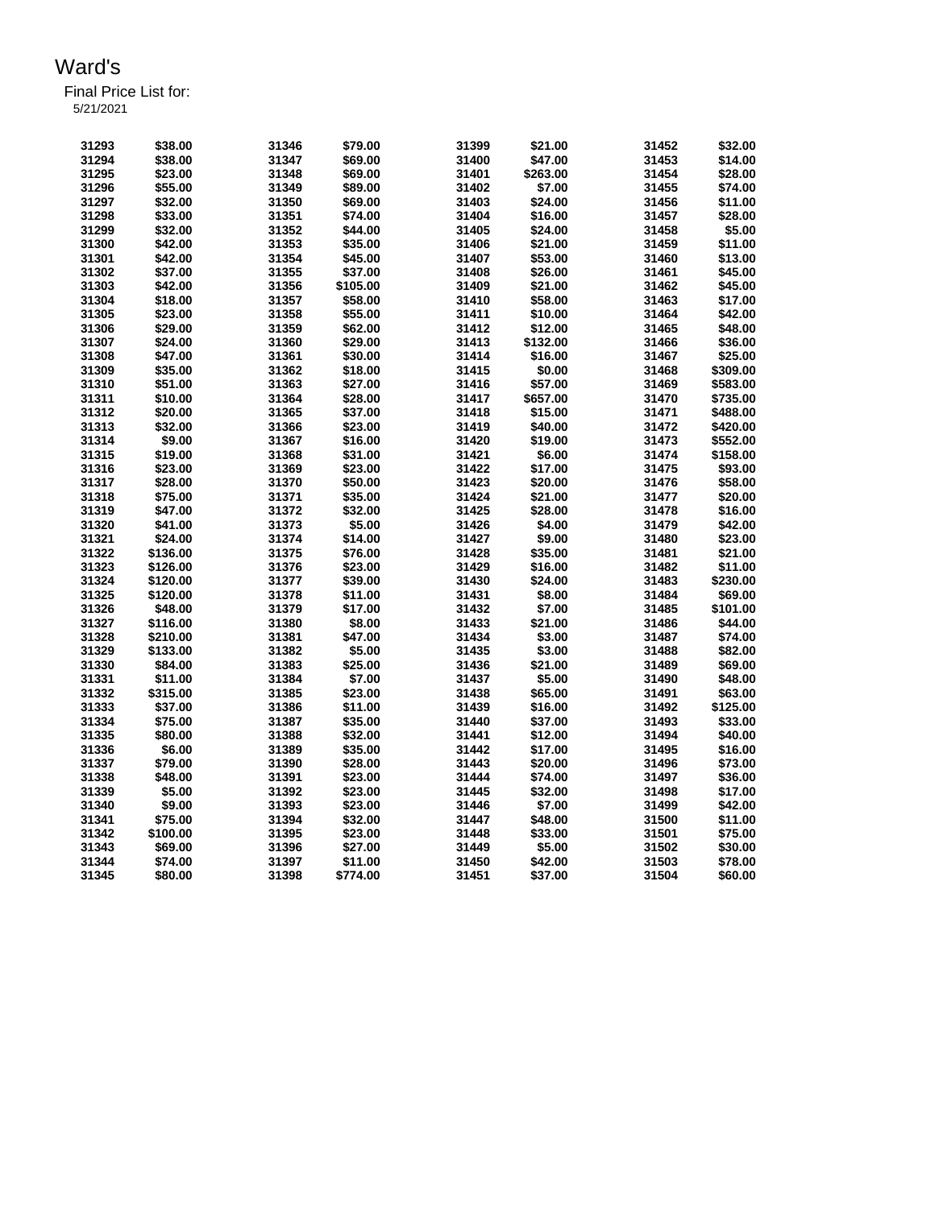| 31293 | \$38.00  | 31346 | \$79.00  | 31399 | \$21.00  | 31452 | \$32.00  |
|-------|----------|-------|----------|-------|----------|-------|----------|
| 31294 | \$38.00  | 31347 | \$69.00  | 31400 | \$47.00  | 31453 | \$14.00  |
| 31295 | \$23.00  | 31348 | \$69.00  | 31401 | \$263.00 | 31454 | \$28.00  |
| 31296 | \$55.00  | 31349 | \$89.00  | 31402 | \$7.00   | 31455 | \$74.00  |
| 31297 | \$32.00  | 31350 | \$69.00  | 31403 | \$24.00  | 31456 | \$11.00  |
| 31298 | \$33.00  | 31351 | \$74.00  | 31404 | \$16.00  | 31457 | \$28.00  |
| 31299 | \$32.00  | 31352 | \$44.00  | 31405 | \$24.00  | 31458 | \$5.00   |
| 31300 | \$42.00  | 31353 | \$35.00  | 31406 | \$21.00  | 31459 | \$11.00  |
| 31301 | \$42.00  | 31354 | \$45.00  | 31407 | \$53.00  | 31460 | \$13.00  |
| 31302 | \$37.00  | 31355 | \$37.00  | 31408 | \$26.00  | 31461 | \$45.00  |
| 31303 | \$42.00  | 31356 | \$105.00 | 31409 | \$21.00  | 31462 | \$45.00  |
| 31304 | \$18.00  | 31357 | \$58.00  | 31410 | \$58.00  | 31463 | \$17.00  |
| 31305 | \$23.00  | 31358 | \$55.00  | 31411 | \$10.00  | 31464 | \$42.00  |
| 31306 | \$29.00  | 31359 | \$62.00  | 31412 | \$12.00  | 31465 | \$48.00  |
| 31307 | \$24.00  | 31360 | \$29.00  | 31413 | \$132.00 | 31466 | \$36.00  |
| 31308 | \$47.00  | 31361 | \$30.00  | 31414 | \$16.00  | 31467 | \$25.00  |
| 31309 | \$35.00  | 31362 | \$18.00  | 31415 | \$0.00   | 31468 | \$309.00 |
| 31310 | \$51.00  | 31363 | \$27.00  | 31416 | \$57.00  | 31469 | \$583.00 |
| 31311 | \$10.00  | 31364 | \$28.00  | 31417 | \$657.00 | 31470 | \$735.00 |
| 31312 | \$20.00  | 31365 | \$37.00  | 31418 | \$15.00  | 31471 | \$488.00 |
| 31313 | \$32.00  | 31366 | \$23.00  | 31419 | \$40.00  | 31472 | \$420.00 |
| 31314 | \$9.00   | 31367 | \$16.00  | 31420 | \$19.00  | 31473 | \$552.00 |
| 31315 | \$19.00  | 31368 | \$31.00  | 31421 | \$6.00   | 31474 | \$158.00 |
| 31316 | \$23.00  | 31369 | \$23.00  | 31422 | \$17.00  | 31475 | \$93.00  |
| 31317 | \$28.00  | 31370 | \$50.00  | 31423 | \$20.00  | 31476 | \$58.00  |
| 31318 | \$75.00  | 31371 | \$35.00  | 31424 | \$21.00  | 31477 | \$20.00  |
| 31319 | \$47.00  | 31372 | \$32.00  | 31425 | \$28.00  | 31478 | \$16.00  |
| 31320 | \$41.00  | 31373 | \$5.00   | 31426 | \$4.00   | 31479 | \$42.00  |
| 31321 | \$24.00  | 31374 | \$14.00  | 31427 | \$9.00   | 31480 | \$23.00  |
| 31322 | \$136.00 | 31375 | \$76.00  | 31428 | \$35.00  | 31481 | \$21.00  |
| 31323 | \$126.00 | 31376 | \$23.00  | 31429 | \$16.00  | 31482 | \$11.00  |
| 31324 | \$120.00 | 31377 | \$39.00  | 31430 | \$24.00  | 31483 | \$230.00 |
| 31325 | \$120.00 | 31378 | \$11.00  | 31431 | \$8.00   | 31484 | \$69.00  |
| 31326 | \$48.00  | 31379 | \$17.00  | 31432 | \$7.00   | 31485 | \$101.00 |
| 31327 | \$116.00 | 31380 | \$8.00   | 31433 | \$21.00  | 31486 | \$44.00  |
| 31328 | \$210.00 | 31381 | \$47.00  | 31434 | \$3.00   | 31487 | \$74.00  |
| 31329 | \$133.00 | 31382 | \$5.00   | 31435 | \$3.00   | 31488 | \$82.00  |
| 31330 | \$84.00  | 31383 | \$25.00  | 31436 | \$21.00  | 31489 | \$69.00  |
| 31331 | \$11.00  | 31384 | \$7.00   | 31437 | \$5.00   | 31490 | \$48.00  |
| 31332 | \$315.00 | 31385 | \$23.00  | 31438 | \$65.00  | 31491 | \$63.00  |
| 31333 | \$37.00  | 31386 | \$11.00  | 31439 | \$16.00  | 31492 | \$125.00 |
| 31334 | \$75.00  | 31387 | \$35.00  | 31440 | \$37.00  | 31493 | \$33.00  |
| 31335 | \$80.00  | 31388 | \$32.00  | 31441 | \$12.00  | 31494 | \$40.00  |
|       |          |       |          |       |          |       |          |
| 31336 | \$6.00   | 31389 | \$35.00  | 31442 | \$17.00  | 31495 | \$16.00  |
| 31337 | \$79.00  | 31390 | \$28.00  | 31443 | \$20.00  | 31496 | \$73.00  |
| 31338 | \$48.00  | 31391 | \$23.00  | 31444 | \$74.00  | 31497 | \$36.00  |
| 31339 | \$5.00   | 31392 | \$23.00  | 31445 | \$32.00  | 31498 | \$17.00  |
| 31340 | \$9.00   | 31393 | \$23.00  | 31446 | \$7.00   | 31499 | \$42.00  |
| 31341 | \$75.00  | 31394 | \$32.00  | 31447 | \$48.00  | 31500 | \$11.00  |
| 31342 | \$100.00 | 31395 | \$23.00  | 31448 | \$33.00  | 31501 | \$75.00  |
| 31343 | \$69.00  | 31396 | \$27.00  | 31449 | \$5.00   | 31502 | \$30.00  |
| 31344 | \$74.00  | 31397 | \$11.00  | 31450 | \$42.00  | 31503 | \$78.00  |
| 31345 | \$80.00  | 31398 | \$774.00 | 31451 | \$37.00  | 31504 | \$60.00  |